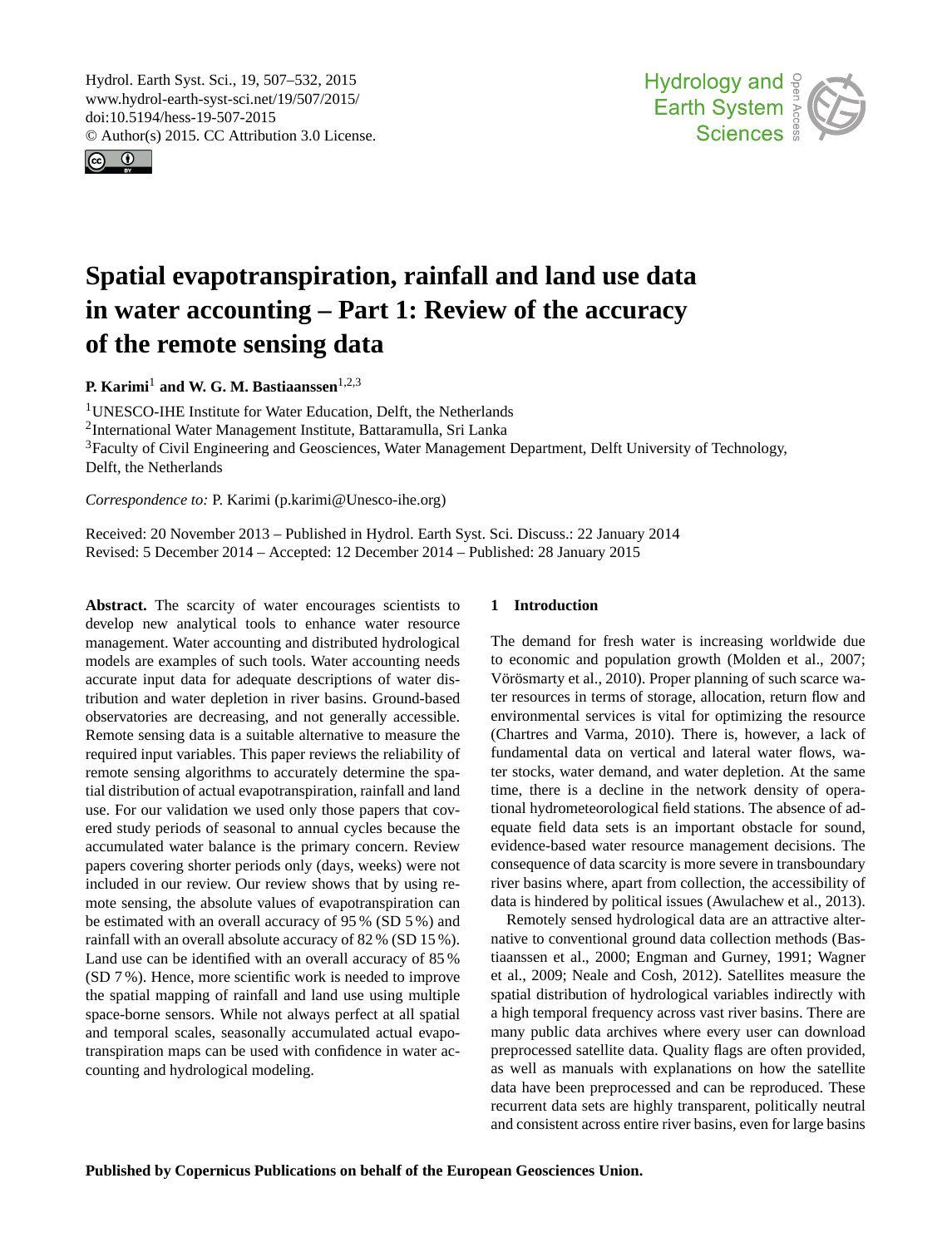<span id="page-0-1"></span>Hydrol. Earth Syst. Sci., 19, 507–532, 2015 www.hydrol-earth-syst-sci.net/19/507/2015/ doi:10.5194/hess-19-507-2015 © Author(s) 2015. CC Attribution 3.0 License.





# **Spatial evapotranspiration, rainfall and land use data in water accounting – Part 1: Review of the accuracy of the remote sensing data**

**P. Karimi<sup>[1](#page-0-0)</sup> and W. G. M. Bastiaanssen**<sup>[1,2,3](#page-0-0)</sup>

<sup>1</sup>UNESCO-IHE Institute for Water Education, Delft, the Netherlands 2 International Water Management Institute, Battaramulla, Sri Lanka <sup>3</sup>Faculty of Civil Engineering and Geosciences, Water Management Department, Delft University of Technology, Delft, the Netherlands

*Correspondence to:* P. Karimi (p.karimi@Unesco-ihe.org)

Received: 20 November 2013 – Published in Hydrol. Earth Syst. Sci. Discuss.: 22 January 2014 Revised: 5 December 2014 – Accepted: 12 December 2014 – Published: 28 January 2015

<span id="page-0-0"></span>Abstract. The scarcity of water encourages scientists to develop new analytical tools to enhance water resource management. Water accounting and distributed hydrological models are examples of such tools. Water accounting needs accurate input data for adequate descriptions of water distribution and water depletion in river basins. Ground-based observatories are decreasing, and not generally accessible. Remote sensing data is a suitable alternative to measure the required input variables. This paper reviews the reliability of remote sensing algorithms to accurately determine the spatial distribution of actual evapotranspiration, rainfall and land use. For our validation we used only those papers that covered study periods of seasonal to annual cycles because the accumulated water balance is the primary concern. Review papers covering shorter periods only (days, weeks) were not included in our review. Our review shows that by using remote sensing, the absolute values of evapotranspiration can be estimated with an overall accuracy of 95 % (SD 5 %) and rainfall with an overall absolute accuracy of 82 % (SD 15 %). Land use can be identified with an overall accuracy of 85 % (SD 7 %). Hence, more scientific work is needed to improve the spatial mapping of rainfall and land use using multiple space-borne sensors. While not always perfect at all spatial and temporal scales, seasonally accumulated actual evapotranspiration maps can be used with confidence in water accounting and hydrological modeling.

## **1 Introduction**

The demand for fresh water is increasing worldwide due to economic and population growth (Molden et al., 2007; Vörösmarty et al., 2010). Proper planning of such scarce water resources in terms of storage, allocation, return flow and environmental services is vital for optimizing the resource (Chartres and Varma, 2010). There is, however, a lack of fundamental data on vertical and lateral water flows, water stocks, water demand, and water depletion. At the same time, there is a decline in the network density of operational hydrometeorological field stations. The absence of adequate field data sets is an important obstacle for sound, evidence-based water resource management decisions. The consequence of data scarcity is more severe in transboundary river basins where, apart from collection, the accessibility of data is hindered by political issues (Awulachew et al., 2013).

Remotely sensed hydrological data are an attractive alternative to conventional ground data collection methods (Bastiaanssen et al., 2000; Engman and Gurney, 1991; Wagner et al., 2009; Neale and Cosh, 2012). Satellites measure the spatial distribution of hydrological variables indirectly with a high temporal frequency across vast river basins. There are many public data archives where every user can download preprocessed satellite data. Quality flags are often provided, as well as manuals with explanations on how the satellite data have been preprocessed and can be reproduced. These recurrent data sets are highly transparent, politically neutral and consistent across entire river basins, even for large basins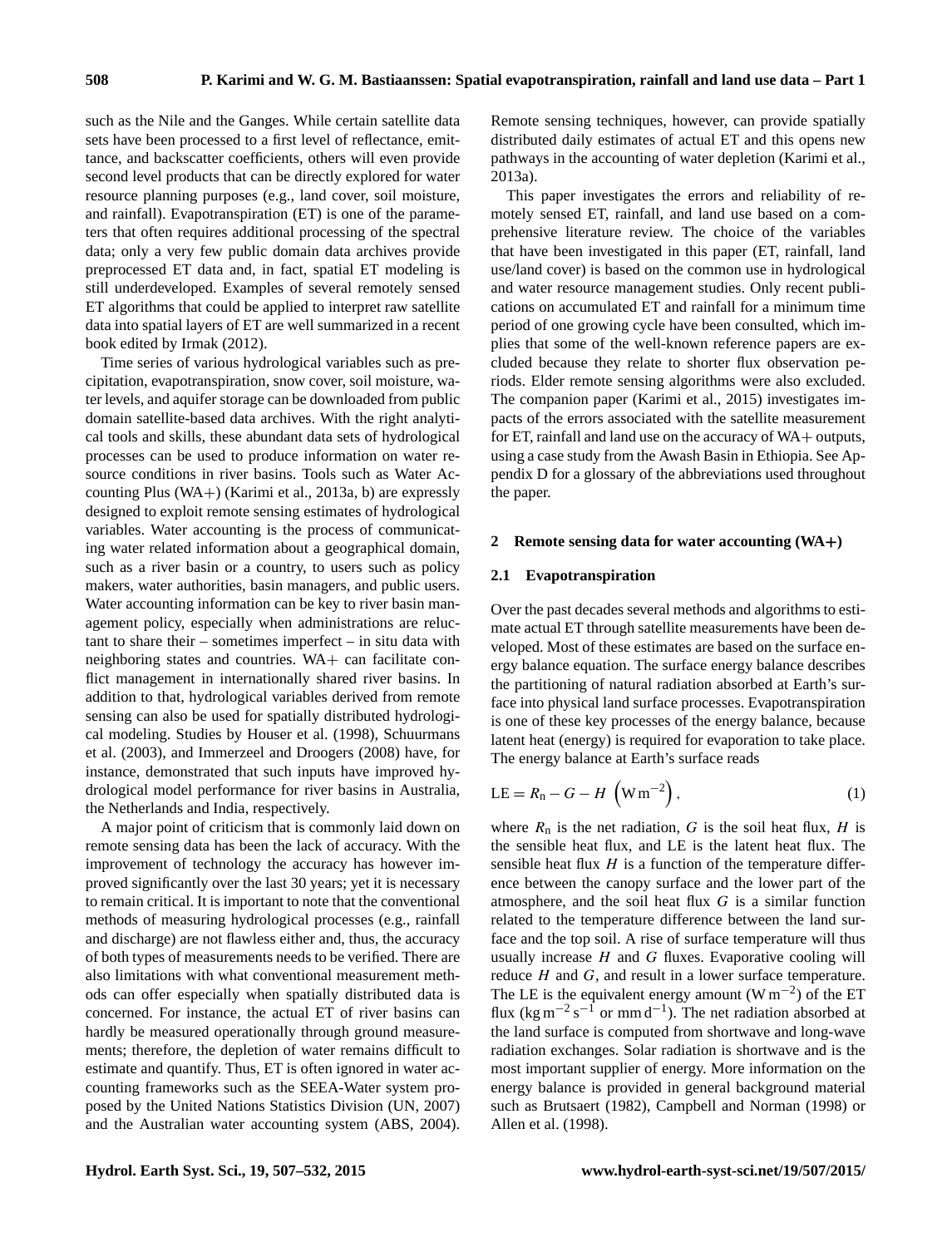such as the Nile and the Ganges. While certain satellite data sets have been processed to a first level of reflectance, emittance, and backscatter coefficients, others will even provide second level products that can be directly explored for water resource planning purposes (e.g., land cover, soil moisture, and rainfall). Evapotranspiration (ET) is one of the parameters that often requires additional processing of the spectral data; only a very few public domain data archives provide preprocessed ET data and, in fact, spatial ET modeling is still underdeveloped. Examples of several remotely sensed ET algorithms that could be applied to interpret raw satellite data into spatial layers of ET are well summarized in a recent book edited by Irmak (2012).

Time series of various hydrological variables such as precipitation, evapotranspiration, snow cover, soil moisture, water levels, and aquifer storage can be downloaded from public domain satellite-based data archives. With the right analytical tools and skills, these abundant data sets of hydrological processes can be used to produce information on water resource conditions in river basins. Tools such as Water Accounting Plus (WA+) (Karimi et al., 2013a, b) are expressly designed to exploit remote sensing estimates of hydrological variables. Water accounting is the process of communicating water related information about a geographical domain, such as a river basin or a country, to users such as policy makers, water authorities, basin managers, and public users. Water accounting information can be key to river basin management policy, especially when administrations are reluctant to share their – sometimes imperfect – in situ data with neighboring states and countries. WA+ can facilitate conflict management in internationally shared river basins. In addition to that, hydrological variables derived from remote sensing can also be used for spatially distributed hydrological modeling. Studies by Houser et al. (1998), Schuurmans et al. (2003), and Immerzeel and Droogers (2008) have, for instance, demonstrated that such inputs have improved hydrological model performance for river basins in Australia, the Netherlands and India, respectively.

A major point of criticism that is commonly laid down on remote sensing data has been the lack of accuracy. With the improvement of technology the accuracy has however improved significantly over the last 30 years; yet it is necessary to remain critical. It is important to note that the conventional methods of measuring hydrological processes (e.g., rainfall and discharge) are not flawless either and, thus, the accuracy of both types of measurements needs to be verified. There are also limitations with what conventional measurement methods can offer especially when spatially distributed data is concerned. For instance, the actual ET of river basins can hardly be measured operationally through ground measurements; therefore, the depletion of water remains difficult to estimate and quantify. Thus, ET is often ignored in water accounting frameworks such as the SEEA-Water system proposed by the United Nations Statistics Division (UN, 2007) and the Australian water accounting system (ABS, 2004). Remote sensing techniques, however, can provide spatially distributed daily estimates of actual ET and this opens new pathways in the accounting of water depletion (Karimi et al., 2013a).

This paper investigates the errors and reliability of remotely sensed ET, rainfall, and land use based on a comprehensive literature review. The choice of the variables that have been investigated in this paper (ET, rainfall, land use/land cover) is based on the common use in hydrological and water resource management studies. Only recent publications on accumulated ET and rainfall for a minimum time period of one growing cycle have been consulted, which implies that some of the well-known reference papers are excluded because they relate to shorter flux observation periods. Elder remote sensing algorithms were also excluded. The companion paper (Karimi et al., 2015) investigates impacts of the errors associated with the satellite measurement for ET, rainfall and land use on the accuracy of  $WA +$  outputs, using a case study from the Awash Basin in Ethiopia. See Appendix D for a glossary of the abbreviations used throughout the paper.

#### **2 Remote sensing data for water accounting (WA**+**)**

#### **2.1 Evapotranspiration**

Over the past decades several methods and algorithms to estimate actual ET through satellite measurements have been developed. Most of these estimates are based on the surface energy balance equation. The surface energy balance describes the partitioning of natural radiation absorbed at Earth's surface into physical land surface processes. Evapotranspiration is one of these key processes of the energy balance, because latent heat (energy) is required for evaporation to take place. The energy balance at Earth's surface reads

$$
LE = R_n - G - H \left( W m^{-2} \right), \tag{1}
$$

where  $R_n$  is the net radiation, G is the soil heat flux, H is the sensible heat flux, and LE is the latent heat flux. The sensible heat flux  $H$  is a function of the temperature difference between the canopy surface and the lower part of the atmosphere, and the soil heat flux G is a similar function related to the temperature difference between the land surface and the top soil. A rise of surface temperature will thus usually increase  $H$  and  $G$  fluxes. Evaporative cooling will reduce H and G, and result in a lower surface temperature. The LE is the equivalent energy amount  $(W m^{-2})$  of the ET flux (kg m<sup>-2</sup> s<sup>-1</sup> or mm d<sup>-1</sup>). The net radiation absorbed at the land surface is computed from shortwave and long-wave radiation exchanges. Solar radiation is shortwave and is the most important supplier of energy. More information on the energy balance is provided in general background material such as Brutsaert (1982), Campbell and Norman (1998) or Allen et al. (1998).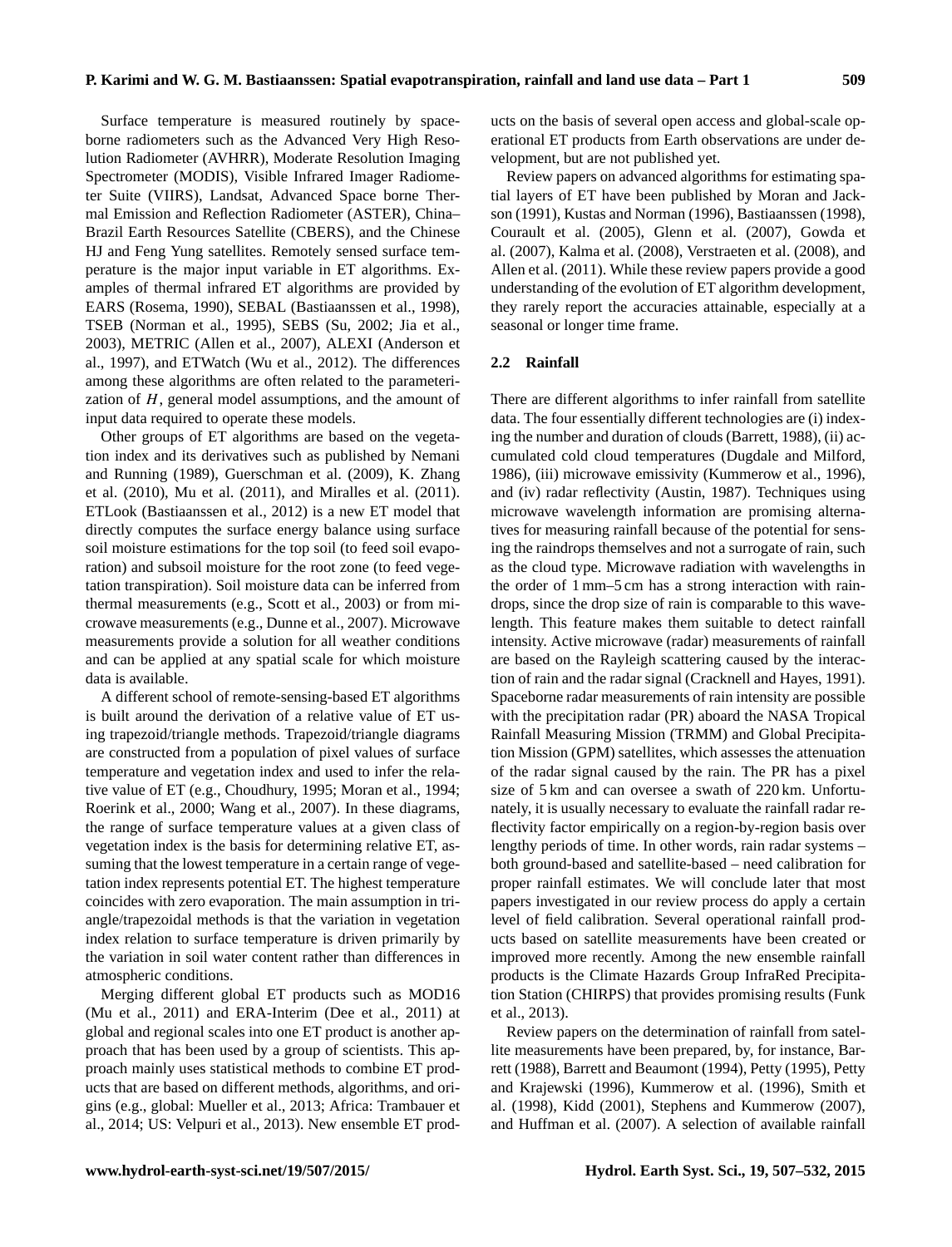Surface temperature is measured routinely by spaceborne radiometers such as the Advanced Very High Resolution Radiometer (AVHRR), Moderate Resolution Imaging Spectrometer (MODIS), Visible Infrared Imager Radiometer Suite (VIIRS), Landsat, Advanced Space borne Thermal Emission and Reflection Radiometer (ASTER), China– Brazil Earth Resources Satellite (CBERS), and the Chinese HJ and Feng Yung satellites. Remotely sensed surface temperature is the major input variable in ET algorithms. Examples of thermal infrared ET algorithms are provided by EARS (Rosema, 1990), SEBAL (Bastiaanssen et al., 1998), TSEB (Norman et al., 1995), SEBS (Su, 2002; Jia et al., 2003), METRIC (Allen et al., 2007), ALEXI (Anderson et al., 1997), and ETWatch (Wu et al., 2012). The differences among these algorithms are often related to the parameterization of H, general model assumptions, and the amount of input data required to operate these models.

Other groups of ET algorithms are based on the vegetation index and its derivatives such as published by Nemani and Running (1989), Guerschman et al. (2009), K. Zhang et al. (2010), Mu et al. (2011), and Miralles et al. (2011). ETLook (Bastiaanssen et al., 2012) is a new ET model that directly computes the surface energy balance using surface soil moisture estimations for the top soil (to feed soil evaporation) and subsoil moisture for the root zone (to feed vegetation transpiration). Soil moisture data can be inferred from thermal measurements (e.g., Scott et al., 2003) or from microwave measurements (e.g., Dunne et al., 2007). Microwave measurements provide a solution for all weather conditions and can be applied at any spatial scale for which moisture data is available.

A different school of remote-sensing-based ET algorithms is built around the derivation of a relative value of ET using trapezoid/triangle methods. Trapezoid/triangle diagrams are constructed from a population of pixel values of surface temperature and vegetation index and used to infer the relative value of ET (e.g., Choudhury, 1995; Moran et al., 1994; Roerink et al., 2000; Wang et al., 2007). In these diagrams, the range of surface temperature values at a given class of vegetation index is the basis for determining relative ET, assuming that the lowest temperature in a certain range of vegetation index represents potential ET. The highest temperature coincides with zero evaporation. The main assumption in triangle/trapezoidal methods is that the variation in vegetation index relation to surface temperature is driven primarily by the variation in soil water content rather than differences in atmospheric conditions.

Merging different global ET products such as MOD16 (Mu et al., 2011) and ERA-Interim (Dee et al., 2011) at global and regional scales into one ET product is another approach that has been used by a group of scientists. This approach mainly uses statistical methods to combine ET products that are based on different methods, algorithms, and origins (e.g., global: Mueller et al., 2013; Africa: Trambauer et al., 2014; US: Velpuri et al., 2013). New ensemble ET products on the basis of several open access and global-scale operational ET products from Earth observations are under development, but are not published yet.

Review papers on advanced algorithms for estimating spatial layers of ET have been published by Moran and Jackson (1991), Kustas and Norman (1996), Bastiaanssen (1998), Courault et al. (2005), Glenn et al. (2007), Gowda et al. (2007), Kalma et al. (2008), Verstraeten et al. (2008), and Allen et al. (2011). While these review papers provide a good understanding of the evolution of ET algorithm development, they rarely report the accuracies attainable, especially at a seasonal or longer time frame.

### **2.2 Rainfall**

There are different algorithms to infer rainfall from satellite data. The four essentially different technologies are (i) indexing the number and duration of clouds (Barrett, 1988), (ii) accumulated cold cloud temperatures (Dugdale and Milford, 1986), (iii) microwave emissivity (Kummerow et al., 1996), and (iv) radar reflectivity (Austin, 1987). Techniques using microwave wavelength information are promising alternatives for measuring rainfall because of the potential for sensing the raindrops themselves and not a surrogate of rain, such as the cloud type. Microwave radiation with wavelengths in the order of 1 mm–5 cm has a strong interaction with raindrops, since the drop size of rain is comparable to this wavelength. This feature makes them suitable to detect rainfall intensity. Active microwave (radar) measurements of rainfall are based on the Rayleigh scattering caused by the interaction of rain and the radar signal (Cracknell and Hayes, 1991). Spaceborne radar measurements of rain intensity are possible with the precipitation radar (PR) aboard the NASA Tropical Rainfall Measuring Mission (TRMM) and Global Precipitation Mission (GPM) satellites, which assesses the attenuation of the radar signal caused by the rain. The PR has a pixel size of 5 km and can oversee a swath of 220 km. Unfortunately, it is usually necessary to evaluate the rainfall radar reflectivity factor empirically on a region-by-region basis over lengthy periods of time. In other words, rain radar systems – both ground-based and satellite-based – need calibration for proper rainfall estimates. We will conclude later that most papers investigated in our review process do apply a certain level of field calibration. Several operational rainfall products based on satellite measurements have been created or improved more recently. Among the new ensemble rainfall products is the Climate Hazards Group InfraRed Precipitation Station (CHIRPS) that provides promising results (Funk et al., 2013).

Review papers on the determination of rainfall from satellite measurements have been prepared, by, for instance, Barrett (1988), Barrett and Beaumont (1994), Petty (1995), Petty and Krajewski (1996), Kummerow et al. (1996), Smith et al. (1998), Kidd (2001), Stephens and Kummerow (2007), and Huffman et al. (2007). A selection of available rainfall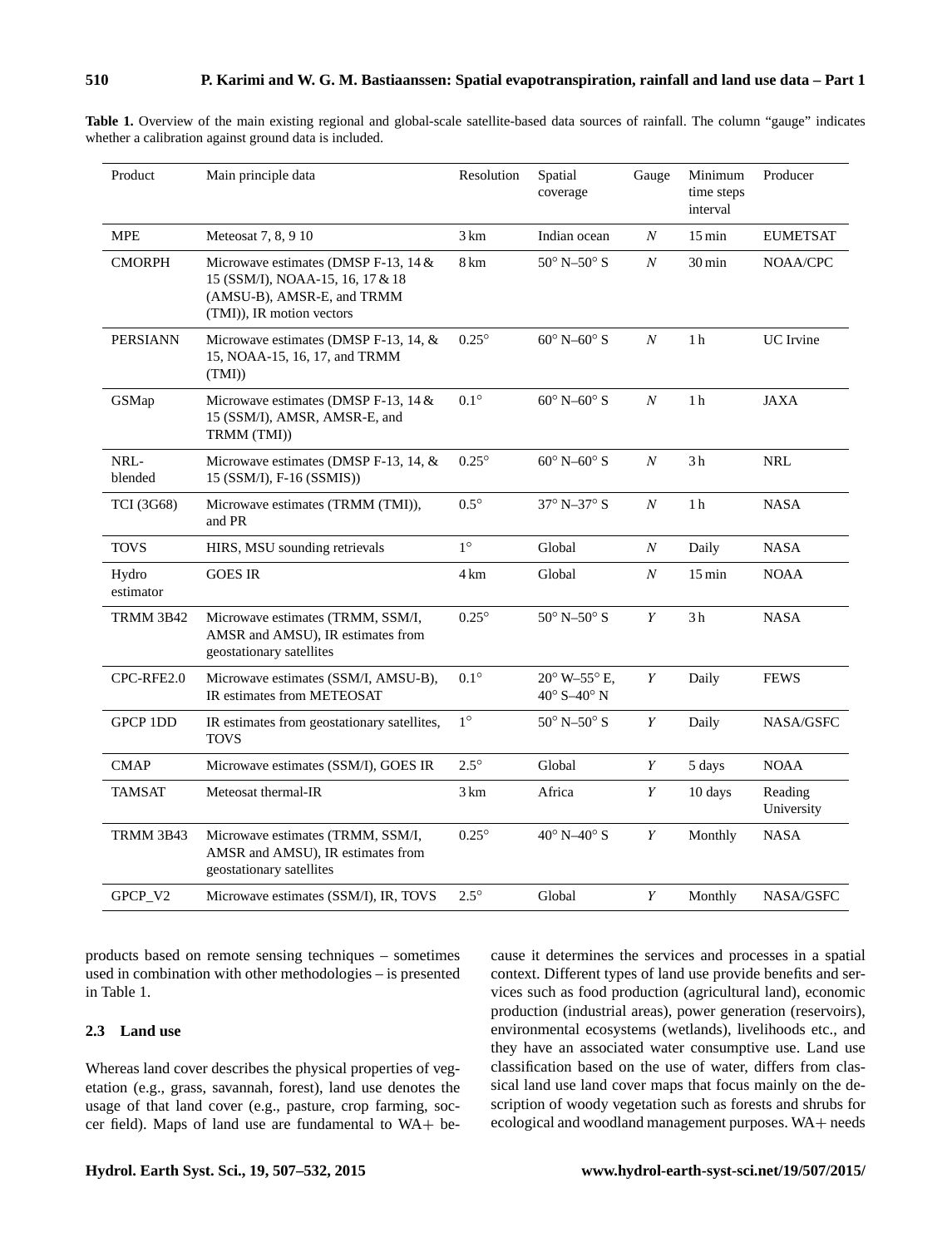| Product            | Main principle data                                                                                                                 | Resolution    | Spatial<br>coverage                                               | Gauge            | Minimum<br>time steps<br>interval | Producer              |
|--------------------|-------------------------------------------------------------------------------------------------------------------------------------|---------------|-------------------------------------------------------------------|------------------|-----------------------------------|-----------------------|
| <b>MPE</b>         | Meteosat 7, 8, 9 10                                                                                                                 | 3 km          | Indian ocean                                                      | $\boldsymbol{N}$ | $15 \,\mathrm{min}$               | <b>EUMETSAT</b>       |
| <b>CMORPH</b>      | Microwave estimates (DMSP F-13, 14 &<br>15 (SSM/I), NOAA-15, 16, 17 & 18<br>(AMSU-B), AMSR-E, and TRMM<br>(TMI)), IR motion vectors | 8 km          | $50^{\circ}$ N- $50^{\circ}$ S                                    | $\boldsymbol{N}$ | $30 \,\mathrm{min}$               | NOAA/CPC              |
| <b>PERSIANN</b>    | Microwave estimates (DMSP F-13, 14, &<br>15, NOAA-15, 16, 17, and TRMM<br>(TMI))                                                    | $0.25^\circ$  | $60^\circ$ N- $60^\circ$ S                                        | $\boldsymbol{N}$ | 1 <sub>h</sub>                    | <b>UC</b> Irvine      |
| GSMap              | Microwave estimates (DMSP F-13, 14 $\&$<br>15 (SSM/I), AMSR, AMSR-E, and<br>TRMM (TMI))                                             | $0.1^\circ$   | $60^\circ$ N- $60^\circ$ S                                        | $\boldsymbol{N}$ | 1 <sub>h</sub>                    | <b>JAXA</b>           |
| NRI-<br>blended    | Microwave estimates (DMSP F-13, 14, &<br>15 (SSM/I), F-16 (SSMIS))                                                                  | $0.25^\circ$  | $60^\circ$ N- $60^\circ$ S                                        | $\boldsymbol{N}$ | 3 <sub>h</sub>                    | <b>NRL</b>            |
| TCI (3G68)         | Microwave estimates (TRMM (TMI)),<br>and PR                                                                                         | $0.5^{\circ}$ | 37° N-37° S                                                       | $\boldsymbol{N}$ | 1 <sub>h</sub>                    | <b>NASA</b>           |
| TOVS               | HIRS, MSU sounding retrievals                                                                                                       | $1^{\circ}$   | Global                                                            | $\boldsymbol{N}$ | Daily                             | <b>NASA</b>           |
| Hydro<br>estimator | <b>GOES IR</b>                                                                                                                      | 4 km          | Global                                                            | $\boldsymbol{N}$ | $15 \,\mathrm{min}$               | <b>NOAA</b>           |
| TRMM 3B42          | Microwave estimates (TRMM, SSM/I,<br>AMSR and AMSU), IR estimates from<br>geostationary satellites                                  | $0.25^\circ$  | $50^\circ$ N-50 $^\circ$ S                                        | Y                | 3 <sub>h</sub>                    | <b>NASA</b>           |
| CPC-RFE2.0         | Microwave estimates (SSM/I, AMSU-B),<br>IR estimates from METEOSAT                                                                  | $0.1^\circ$   | $20^{\circ}$ W-55 $^{\circ}$ E.<br>$40^{\circ}$ S- $40^{\circ}$ N | Y                | Daily                             | <b>FEWS</b>           |
| <b>GPCP 1DD</b>    | IR estimates from geostationary satellites,<br><b>TOVS</b>                                                                          | $1^{\circ}$   | $50^{\circ}$ N- $50^{\circ}$ S                                    | $\boldsymbol{Y}$ | Daily                             | NASA/GSFC             |
| <b>CMAP</b>        | Microwave estimates (SSM/I), GOES IR                                                                                                | $2.5^\circ$   | Global                                                            | Y                | 5 days                            | <b>NOAA</b>           |
| <b>TAMSAT</b>      | Meteosat thermal-IR                                                                                                                 | 3 km          | Africa                                                            | Y                | 10 days                           | Reading<br>University |
| TRMM 3B43          | Microwave estimates (TRMM, SSM/I,<br>AMSR and AMSU), IR estimates from<br>geostationary satellites                                  | $0.25^\circ$  | $40^{\circ}$ N-40 $^{\circ}$ S                                    | Y                | Monthly                           | <b>NASA</b>           |
| GPCP_V2            | Microwave estimates (SSM/I), IR, TOVS                                                                                               | $2.5^\circ$   | Global                                                            | Y                | Monthly                           | NASA/GSFC             |

**Table 1.** Overview of the main existing regional and global-scale satellite-based data sources of rainfall. The column "gauge" indicates whether a calibration against ground data is included.

products based on remote sensing techniques – sometimes used in combination with other methodologies – is presented in Table 1.

## **2.3 Land use**

Whereas land cover describes the physical properties of vegetation (e.g., grass, savannah, forest), land use denotes the usage of that land cover (e.g., pasture, crop farming, soccer field). Maps of land use are fundamental to WA+ because it determines the services and processes in a spatial context. Different types of land use provide benefits and services such as food production (agricultural land), economic production (industrial areas), power generation (reservoirs), environmental ecosystems (wetlands), livelihoods etc., and they have an associated water consumptive use. Land use classification based on the use of water, differs from classical land use land cover maps that focus mainly on the description of woody vegetation such as forests and shrubs for ecological and woodland management purposes. WA+ needs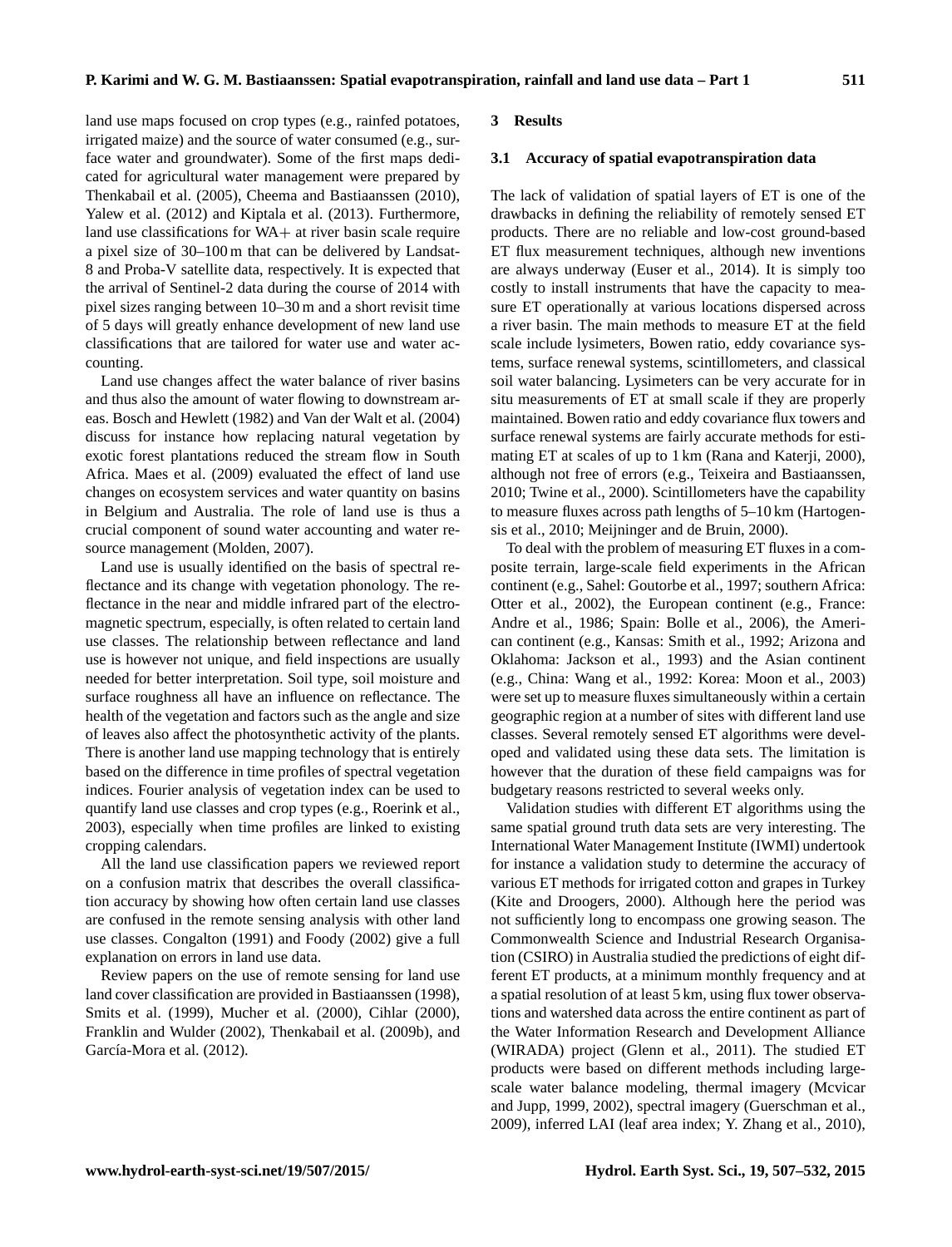land use maps focused on crop types (e.g., rainfed potatoes, irrigated maize) and the source of water consumed (e.g., surface water and groundwater). Some of the first maps dedicated for agricultural water management were prepared by Thenkabail et al. (2005), Cheema and Bastiaanssen (2010), Yalew et al. (2012) and Kiptala et al. (2013). Furthermore, land use classifications for WA+ at river basin scale require a pixel size of 30–100 m that can be delivered by Landsat-8 and Proba-V satellite data, respectively. It is expected that the arrival of Sentinel-2 data during the course of 2014 with pixel sizes ranging between 10–30 m and a short revisit time of 5 days will greatly enhance development of new land use classifications that are tailored for water use and water accounting.

Land use changes affect the water balance of river basins and thus also the amount of water flowing to downstream areas. Bosch and Hewlett (1982) and Van der Walt et al. (2004) discuss for instance how replacing natural vegetation by exotic forest plantations reduced the stream flow in South Africa. Maes et al. (2009) evaluated the effect of land use changes on ecosystem services and water quantity on basins in Belgium and Australia. The role of land use is thus a crucial component of sound water accounting and water resource management (Molden, 2007).

Land use is usually identified on the basis of spectral reflectance and its change with vegetation phonology. The reflectance in the near and middle infrared part of the electromagnetic spectrum, especially, is often related to certain land use classes. The relationship between reflectance and land use is however not unique, and field inspections are usually needed for better interpretation. Soil type, soil moisture and surface roughness all have an influence on reflectance. The health of the vegetation and factors such as the angle and size of leaves also affect the photosynthetic activity of the plants. There is another land use mapping technology that is entirely based on the difference in time profiles of spectral vegetation indices. Fourier analysis of vegetation index can be used to quantify land use classes and crop types (e.g., Roerink et al., 2003), especially when time profiles are linked to existing cropping calendars.

All the land use classification papers we reviewed report on a confusion matrix that describes the overall classification accuracy by showing how often certain land use classes are confused in the remote sensing analysis with other land use classes. Congalton (1991) and Foody (2002) give a full explanation on errors in land use data.

Review papers on the use of remote sensing for land use land cover classification are provided in Bastiaanssen (1998), Smits et al. (1999), Mucher et al. (2000), Cihlar (2000), Franklin and Wulder (2002), Thenkabail et al. (2009b), and García-Mora et al. (2012).

#### **3 Results**

#### **3.1 Accuracy of spatial evapotranspiration data**

The lack of validation of spatial layers of ET is one of the drawbacks in defining the reliability of remotely sensed ET products. There are no reliable and low-cost ground-based ET flux measurement techniques, although new inventions are always underway (Euser et al., 2014). It is simply too costly to install instruments that have the capacity to measure ET operationally at various locations dispersed across a river basin. The main methods to measure ET at the field scale include lysimeters, Bowen ratio, eddy covariance systems, surface renewal systems, scintillometers, and classical soil water balancing. Lysimeters can be very accurate for in situ measurements of ET at small scale if they are properly maintained. Bowen ratio and eddy covariance flux towers and surface renewal systems are fairly accurate methods for estimating ET at scales of up to 1 km (Rana and Katerji, 2000), although not free of errors (e.g., Teixeira and Bastiaanssen, 2010; Twine et al., 2000). Scintillometers have the capability to measure fluxes across path lengths of 5–10 km (Hartogensis et al., 2010; Meijninger and de Bruin, 2000).

To deal with the problem of measuring ET fluxes in a composite terrain, large-scale field experiments in the African continent (e.g., Sahel: Goutorbe et al., 1997; southern Africa: Otter et al., 2002), the European continent (e.g., France: Andre et al., 1986; Spain: Bolle et al., 2006), the American continent (e.g., Kansas: Smith et al., 1992; Arizona and Oklahoma: Jackson et al., 1993) and the Asian continent (e.g., China: Wang et al., 1992: Korea: Moon et al., 2003) were set up to measure fluxes simultaneously within a certain geographic region at a number of sites with different land use classes. Several remotely sensed ET algorithms were developed and validated using these data sets. The limitation is however that the duration of these field campaigns was for budgetary reasons restricted to several weeks only.

Validation studies with different ET algorithms using the same spatial ground truth data sets are very interesting. The International Water Management Institute (IWMI) undertook for instance a validation study to determine the accuracy of various ET methods for irrigated cotton and grapes in Turkey (Kite and Droogers, 2000). Although here the period was not sufficiently long to encompass one growing season. The Commonwealth Science and Industrial Research Organisation (CSIRO) in Australia studied the predictions of eight different ET products, at a minimum monthly frequency and at a spatial resolution of at least 5 km, using flux tower observations and watershed data across the entire continent as part of the Water Information Research and Development Alliance (WIRADA) project (Glenn et al., 2011). The studied ET products were based on different methods including largescale water balance modeling, thermal imagery (Mcvicar and Jupp, 1999, 2002), spectral imagery (Guerschman et al., 2009), inferred LAI (leaf area index; Y. Zhang et al., 2010),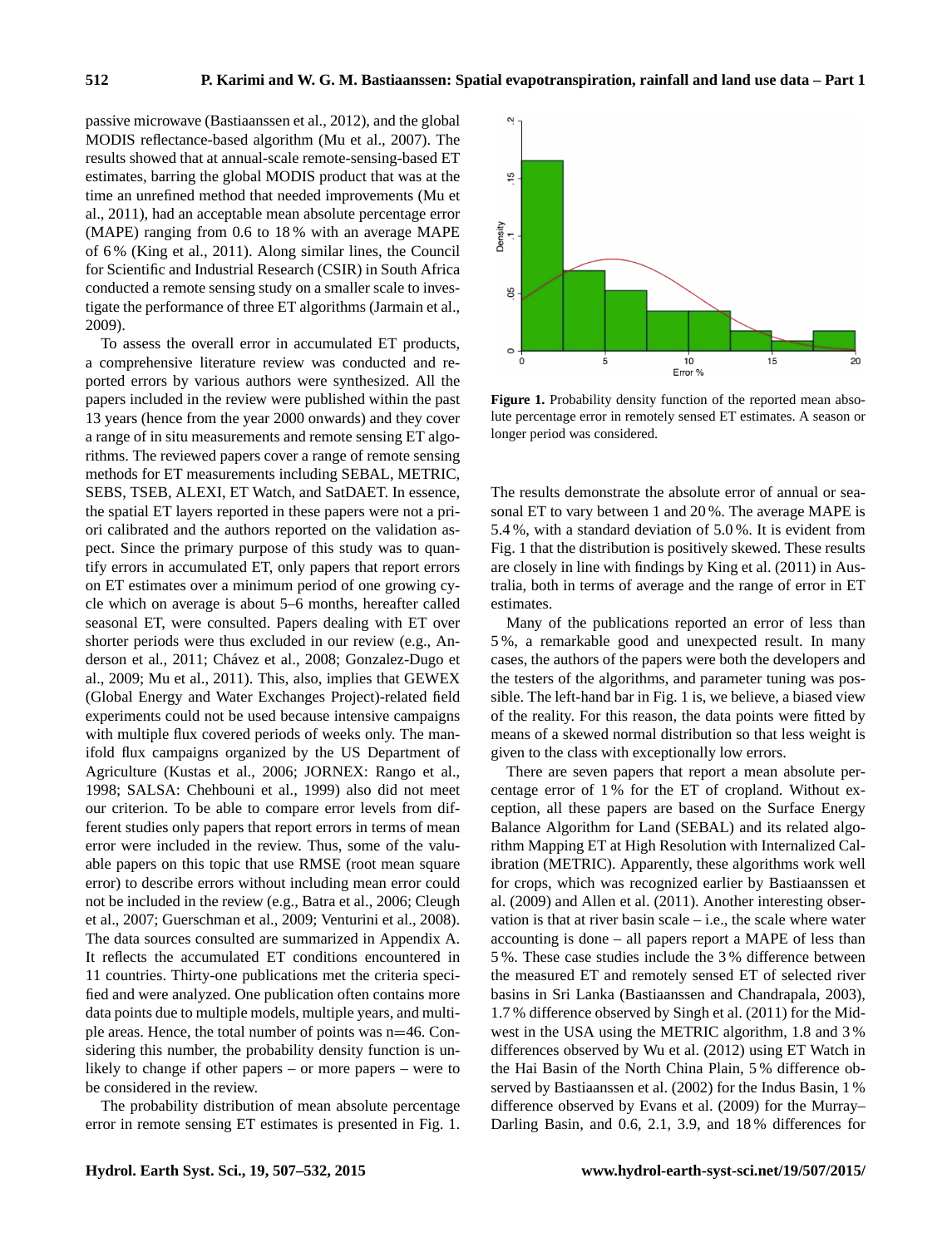passive microwave (Bastiaanssen et al., 2012), and the global MODIS reflectance-based algorithm (Mu et al., 2007). The results showed that at annual-scale remote-sensing-based ET estimates, barring the global MODIS product that was at the time an unrefined method that needed improvements (Mu et al., 2011), had an acceptable mean absolute percentage error (MAPE) ranging from 0.6 to 18 % with an average MAPE of 6 % (King et al., 2011). Along similar lines, the Council for Scientific and Industrial Research (CSIR) in South Africa conducted a remote sensing study on a smaller scale to investigate the performance of three ET algorithms (Jarmain et al., 2009).

To assess the overall error in accumulated ET products, a comprehensive literature review was conducted and reported errors by various authors were synthesized. All the papers included in the review were published within the past 13 years (hence from the year 2000 onwards) and they cover a range of in situ measurements and remote sensing ET algorithms. The reviewed papers cover a range of remote sensing methods for ET measurements including SEBAL, METRIC, SEBS, TSEB, ALEXI, ET Watch, and SatDAET. In essence, the spatial ET layers reported in these papers were not a priori calibrated and the authors reported on the validation aspect. Since the primary purpose of this study was to quantify errors in accumulated ET, only papers that report errors on ET estimates over a minimum period of one growing cycle which on average is about 5–6 months, hereafter called seasonal ET, were consulted. Papers dealing with ET over shorter periods were thus excluded in our review (e.g., Anderson et al., 2011; Chávez et al., 2008; Gonzalez-Dugo et al., 2009; Mu et al., 2011). This, also, implies that GEWEX (Global Energy and Water Exchanges Project)-related field experiments could not be used because intensive campaigns with multiple flux covered periods of weeks only. The manifold flux campaigns organized by the US Department of Agriculture (Kustas et al., 2006; JORNEX: Rango et al., 1998; SALSA: Chehbouni et al., 1999) also did not meet our criterion. To be able to compare error levels from different studies only papers that report errors in terms of mean error were included in the review. Thus, some of the valuable papers on this topic that use RMSE (root mean square error) to describe errors without including mean error could not be included in the review (e.g., Batra et al., 2006; Cleugh et al., 2007; Guerschman et al., 2009; Venturini et al., 2008). The data sources consulted are summarized in Appendix A. It reflects the accumulated ET conditions encountered in 11 countries. Thirty-one publications met the criteria specified and were analyzed. One publication often contains more data points due to multiple models, multiple years, and multiple areas. Hence, the total number of points was n=46. Considering this number, the probability density function is unlikely to change if other papers – or more papers – were to be considered in the review.

The probability distribution of mean absolute percentage error in remote sensing ET estimates is presented in Fig. 1.



Figure 1. Probability density function of the reported mean absolute percentage error in remotely sensed ET estimates. A season or longer period was considered.

The results demonstrate the absolute error of annual or seasonal ET to vary between 1 and 20 %. The average MAPE is 5.4 %, with a standard deviation of 5.0 %. It is evident from Fig. 1 that the distribution is positively skewed. These results are closely in line with findings by King et al. (2011) in Australia, both in terms of average and the range of error in ET estimates.

Many of the publications reported an error of less than 5 %, a remarkable good and unexpected result. In many cases, the authors of the papers were both the developers and the testers of the algorithms, and parameter tuning was possible. The left-hand bar in Fig. 1 is, we believe, a biased view of the reality. For this reason, the data points were fitted by means of a skewed normal distribution so that less weight is given to the class with exceptionally low errors.

There are seven papers that report a mean absolute percentage error of 1 % for the ET of cropland. Without exception, all these papers are based on the Surface Energy Balance Algorithm for Land (SEBAL) and its related algorithm Mapping ET at High Resolution with Internalized Calibration (METRIC). Apparently, these algorithms work well for crops, which was recognized earlier by Bastiaanssen et al. (2009) and Allen et al. (2011). Another interesting observation is that at river basin scale – i.e., the scale where water accounting is done – all papers report a MAPE of less than 5 %. These case studies include the 3 % difference between the measured ET and remotely sensed ET of selected river basins in Sri Lanka (Bastiaanssen and Chandrapala, 2003), 1.7 % difference observed by Singh et al. (2011) for the Midwest in the USA using the METRIC algorithm, 1.8 and 3 % differences observed by Wu et al. (2012) using ET Watch in the Hai Basin of the North China Plain, 5 % difference observed by Bastiaanssen et al. (2002) for the Indus Basin, 1 % difference observed by Evans et al. (2009) for the Murray– Darling Basin, and 0.6, 2.1, 3.9, and 18 % differences for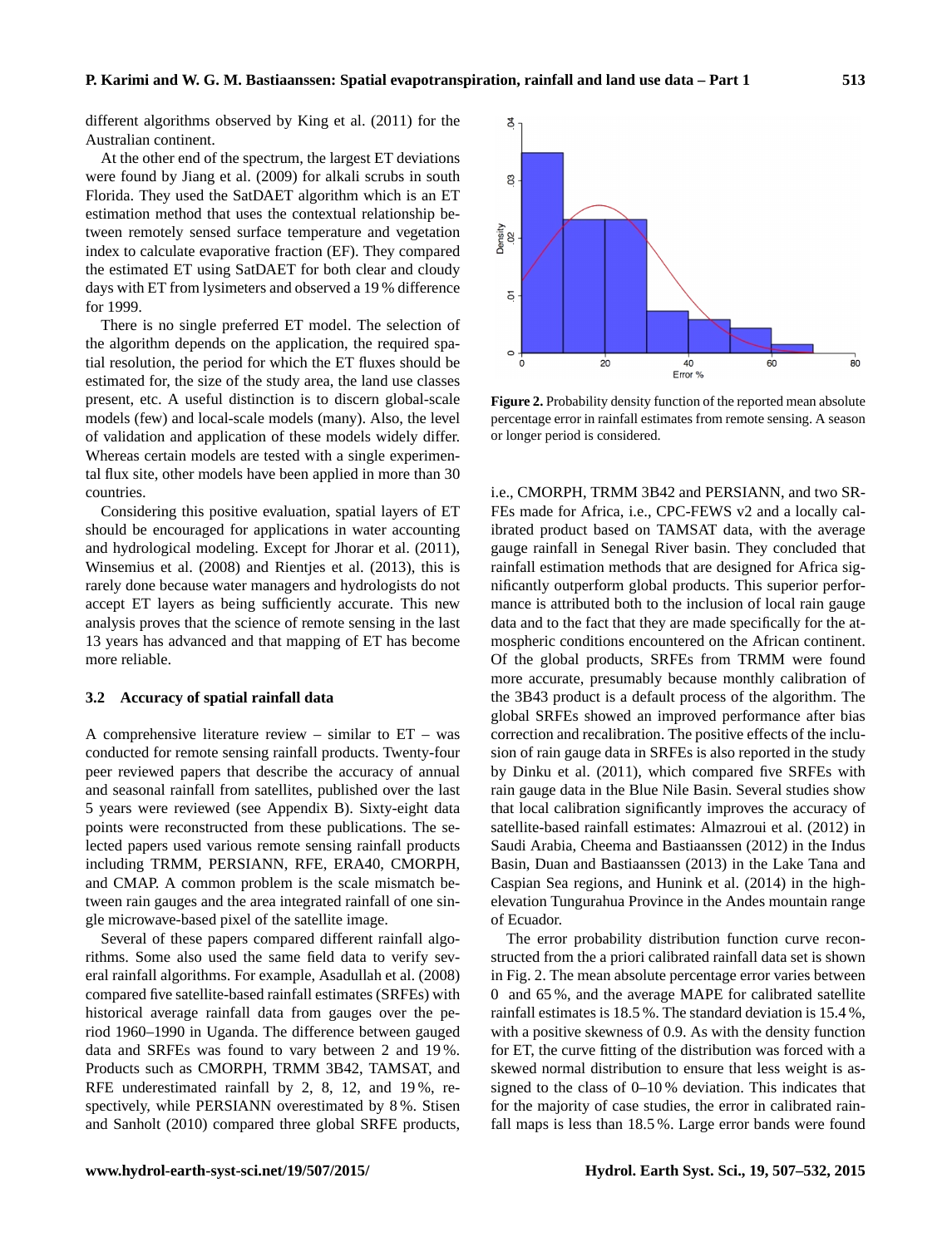different algorithms observed by King et al. (2011) for the Australian continent.

At the other end of the spectrum, the largest ET deviations were found by Jiang et al. (2009) for alkali scrubs in south Florida. They used the SatDAET algorithm which is an ET estimation method that uses the contextual relationship between remotely sensed surface temperature and vegetation index to calculate evaporative fraction (EF). They compared the estimated ET using SatDAET for both clear and cloudy days with ET from lysimeters and observed a 19 % difference for 1999.

There is no single preferred ET model. The selection of the algorithm depends on the application, the required spatial resolution, the period for which the ET fluxes should be estimated for, the size of the study area, the land use classes present, etc. A useful distinction is to discern global-scale models (few) and local-scale models (many). Also, the level of validation and application of these models widely differ. Whereas certain models are tested with a single experimental flux site, other models have been applied in more than 30 countries.

Considering this positive evaluation, spatial layers of ET should be encouraged for applications in water accounting and hydrological modeling. Except for Jhorar et al. (2011), Winsemius et al. (2008) and Rientjes et al. (2013), this is rarely done because water managers and hydrologists do not accept ET layers as being sufficiently accurate. This new analysis proves that the science of remote sensing in the last 13 years has advanced and that mapping of ET has become more reliable.

## **3.2 Accuracy of spatial rainfall data**

A comprehensive literature review – similar to ET – was conducted for remote sensing rainfall products. Twenty-four peer reviewed papers that describe the accuracy of annual and seasonal rainfall from satellites, published over the last 5 years were reviewed (see Appendix B). Sixty-eight data points were reconstructed from these publications. The selected papers used various remote sensing rainfall products including TRMM, PERSIANN, RFE, ERA40, CMORPH, and CMAP. A common problem is the scale mismatch between rain gauges and the area integrated rainfall of one single microwave-based pixel of the satellite image.

Several of these papers compared different rainfall algorithms. Some also used the same field data to verify several rainfall algorithms. For example, Asadullah et al. (2008) compared five satellite-based rainfall estimates (SRFEs) with historical average rainfall data from gauges over the period 1960–1990 in Uganda. The difference between gauged data and SRFEs was found to vary between 2 and 19 %. Products such as CMORPH, TRMM 3B42, TAMSAT, and RFE underestimated rainfall by 2, 8, 12, and 19 %, respectively, while PERSIANN overestimated by 8 %. Stisen and Sanholt (2010) compared three global SRFE products,



**Figure 2.** Probability density function of the reported mean absolute percentage error in rainfall estimates from remote sensing. A season or longer period is considered.

i.e., CMORPH, TRMM 3B42 and PERSIANN, and two SR-FEs made for Africa, i.e., CPC-FEWS v2 and a locally calibrated product based on TAMSAT data, with the average gauge rainfall in Senegal River basin. They concluded that rainfall estimation methods that are designed for Africa significantly outperform global products. This superior performance is attributed both to the inclusion of local rain gauge data and to the fact that they are made specifically for the atmospheric conditions encountered on the African continent. Of the global products, SRFEs from TRMM were found more accurate, presumably because monthly calibration of the 3B43 product is a default process of the algorithm. The global SRFEs showed an improved performance after bias correction and recalibration. The positive effects of the inclusion of rain gauge data in SRFEs is also reported in the study by Dinku et al. (2011), which compared five SRFEs with rain gauge data in the Blue Nile Basin. Several studies show that local calibration significantly improves the accuracy of satellite-based rainfall estimates: Almazroui et al. (2012) in Saudi Arabia, Cheema and Bastiaanssen (2012) in the Indus Basin, Duan and Bastiaanssen (2013) in the Lake Tana and Caspian Sea regions, and Hunink et al. (2014) in the highelevation Tungurahua Province in the Andes mountain range of Ecuador.

The error probability distribution function curve reconstructed from the a priori calibrated rainfall data set is shown in Fig. 2. The mean absolute percentage error varies between 0 and 65 %, and the average MAPE for calibrated satellite rainfall estimates is 18.5 %. The standard deviation is 15.4 %, with a positive skewness of 0.9. As with the density function for ET, the curve fitting of the distribution was forced with a skewed normal distribution to ensure that less weight is assigned to the class of 0–10 % deviation. This indicates that for the majority of case studies, the error in calibrated rainfall maps is less than 18.5 %. Large error bands were found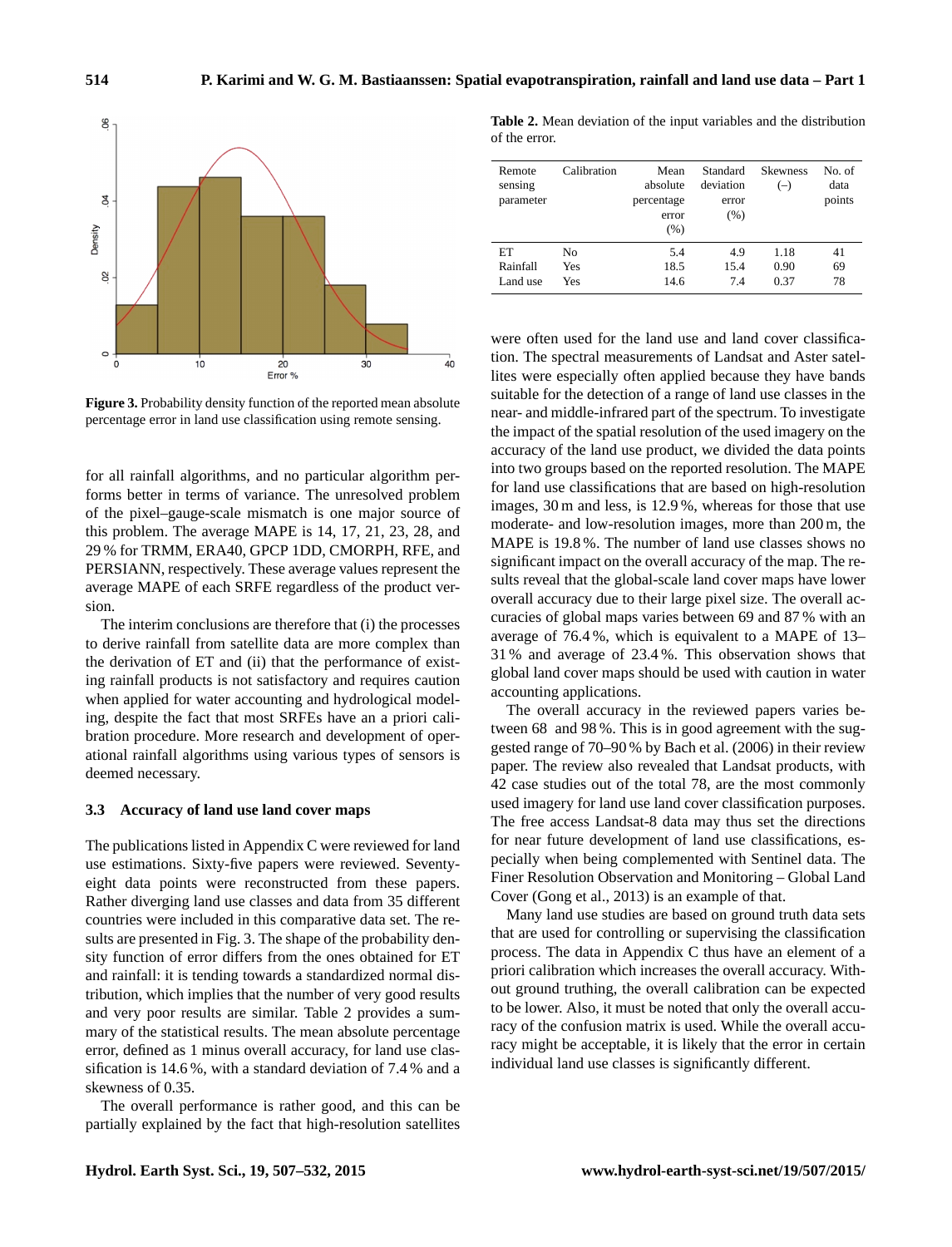

**Figure 3.** Probability density function of the reported mean absolute percentage error in land use classification using remote sensing.

for all rainfall algorithms, and no particular algorithm performs better in terms of variance. The unresolved problem of the pixel–gauge-scale mismatch is one major source of this problem. The average MAPE is 14, 17, 21, 23, 28, and 29 % for TRMM, ERA40, GPCP 1DD, CMORPH, RFE, and PERSIANN, respectively. These average values represent the average MAPE of each SRFE regardless of the product version.

The interim conclusions are therefore that (i) the processes to derive rainfall from satellite data are more complex than the derivation of ET and (ii) that the performance of existing rainfall products is not satisfactory and requires caution when applied for water accounting and hydrological modeling, despite the fact that most SRFEs have an a priori calibration procedure. More research and development of operational rainfall algorithms using various types of sensors is deemed necessary.

## **3.3 Accuracy of land use land cover maps**

The publications listed in Appendix C were reviewed for land use estimations. Sixty-five papers were reviewed. Seventyeight data points were reconstructed from these papers. Rather diverging land use classes and data from 35 different countries were included in this comparative data set. The results are presented in Fig. 3. The shape of the probability density function of error differs from the ones obtained for ET and rainfall: it is tending towards a standardized normal distribution, which implies that the number of very good results and very poor results are similar. Table 2 provides a summary of the statistical results. The mean absolute percentage error, defined as 1 minus overall accuracy, for land use classification is 14.6 %, with a standard deviation of 7.4 % and a skewness of 0.35.

The overall performance is rather good, and this can be partially explained by the fact that high-resolution satellites

**Table 2.** Mean deviation of the input variables and the distribution of the error.

| Remote<br>sensing<br>parameter | Calibration | Mean<br>absolute<br>percentage<br>error<br>(% ) | Standard<br>deviation<br>error<br>(% ) | <b>Skewness</b><br>$(-)$ | No. of<br>data<br>points |
|--------------------------------|-------------|-------------------------------------------------|----------------------------------------|--------------------------|--------------------------|
| ЕT                             | No          | 5.4                                             | 4.9                                    | 1.18                     | 41                       |
| Rainfall                       | Yes         | 18.5                                            | 15.4                                   | 0.90                     | 69                       |
| Land use                       | Yes         | 14.6                                            | 7.4                                    | 0.37                     | 78                       |

were often used for the land use and land cover classification. The spectral measurements of Landsat and Aster satellites were especially often applied because they have bands suitable for the detection of a range of land use classes in the near- and middle-infrared part of the spectrum. To investigate the impact of the spatial resolution of the used imagery on the accuracy of the land use product, we divided the data points into two groups based on the reported resolution. The MAPE for land use classifications that are based on high-resolution images, 30 m and less, is 12.9 %, whereas for those that use moderate- and low-resolution images, more than 200 m, the MAPE is 19.8 %. The number of land use classes shows no significant impact on the overall accuracy of the map. The results reveal that the global-scale land cover maps have lower overall accuracy due to their large pixel size. The overall accuracies of global maps varies between 69 and 87 % with an average of 76.4 %, which is equivalent to a MAPE of 13– 31 % and average of 23.4 %. This observation shows that global land cover maps should be used with caution in water accounting applications.

The overall accuracy in the reviewed papers varies between 68 and 98 %. This is in good agreement with the suggested range of 70–90 % by Bach et al. (2006) in their review paper. The review also revealed that Landsat products, with 42 case studies out of the total 78, are the most commonly used imagery for land use land cover classification purposes. The free access Landsat-8 data may thus set the directions for near future development of land use classifications, especially when being complemented with Sentinel data. The Finer Resolution Observation and Monitoring – Global Land Cover (Gong et al., 2013) is an example of that.

Many land use studies are based on ground truth data sets that are used for controlling or supervising the classification process. The data in Appendix C thus have an element of a priori calibration which increases the overall accuracy. Without ground truthing, the overall calibration can be expected to be lower. Also, it must be noted that only the overall accuracy of the confusion matrix is used. While the overall accuracy might be acceptable, it is likely that the error in certain individual land use classes is significantly different.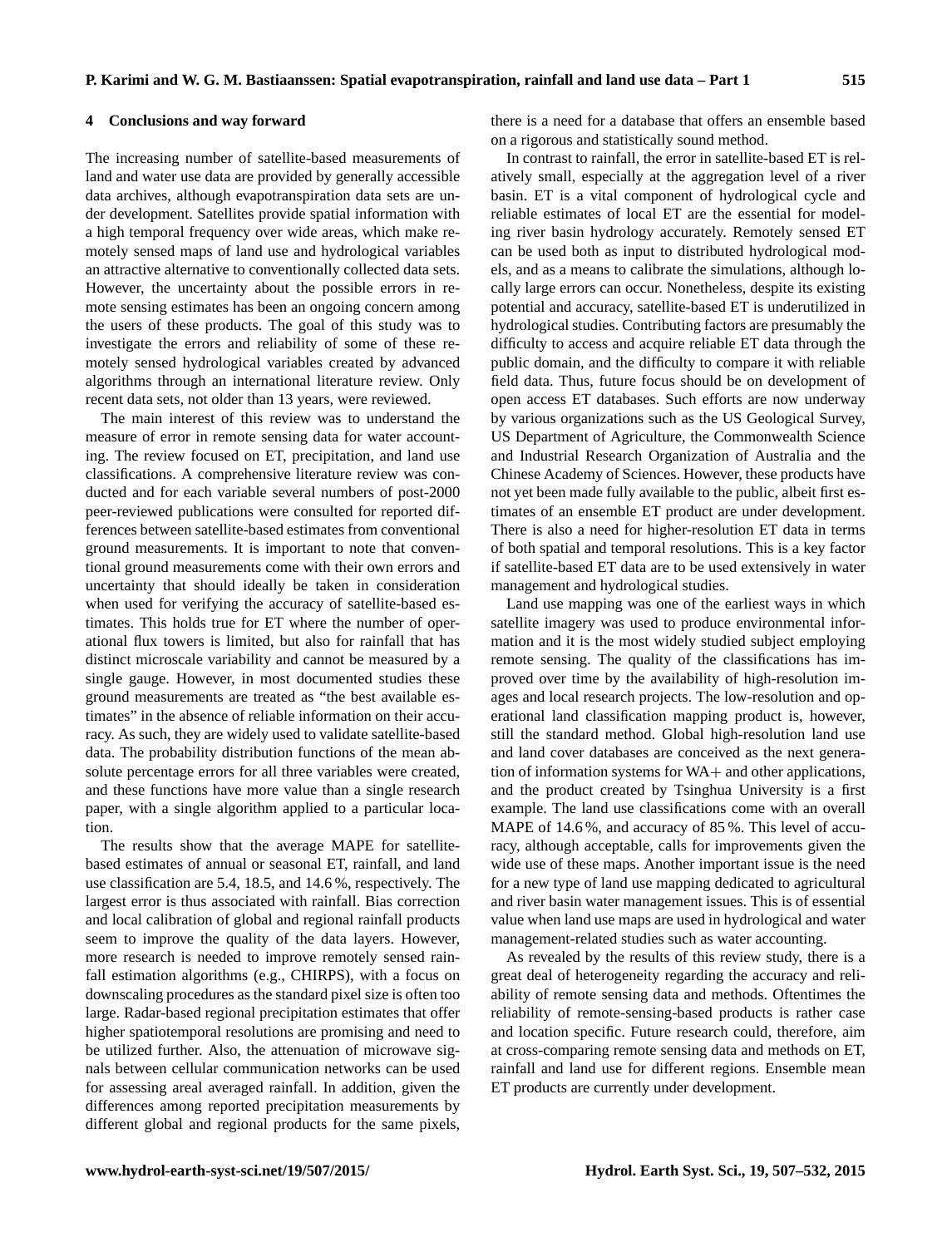#### **4 Conclusions and way forward**

The increasing number of satellite-based measurements of land and water use data are provided by generally accessible data archives, although evapotranspiration data sets are under development. Satellites provide spatial information with a high temporal frequency over wide areas, which make remotely sensed maps of land use and hydrological variables an attractive alternative to conventionally collected data sets. However, the uncertainty about the possible errors in remote sensing estimates has been an ongoing concern among the users of these products. The goal of this study was to investigate the errors and reliability of some of these remotely sensed hydrological variables created by advanced algorithms through an international literature review. Only recent data sets, not older than 13 years, were reviewed.

The main interest of this review was to understand the measure of error in remote sensing data for water accounting. The review focused on ET, precipitation, and land use classifications. A comprehensive literature review was conducted and for each variable several numbers of post-2000 peer-reviewed publications were consulted for reported differences between satellite-based estimates from conventional ground measurements. It is important to note that conventional ground measurements come with their own errors and uncertainty that should ideally be taken in consideration when used for verifying the accuracy of satellite-based estimates. This holds true for ET where the number of operational flux towers is limited, but also for rainfall that has distinct microscale variability and cannot be measured by a single gauge. However, in most documented studies these ground measurements are treated as "the best available estimates" in the absence of reliable information on their accuracy. As such, they are widely used to validate satellite-based data. The probability distribution functions of the mean absolute percentage errors for all three variables were created, and these functions have more value than a single research paper, with a single algorithm applied to a particular location.

The results show that the average MAPE for satellitebased estimates of annual or seasonal ET, rainfall, and land use classification are 5.4, 18.5, and 14.6 %, respectively. The largest error is thus associated with rainfall. Bias correction and local calibration of global and regional rainfall products seem to improve the quality of the data layers. However, more research is needed to improve remotely sensed rainfall estimation algorithms (e.g., CHIRPS), with a focus on downscaling procedures as the standard pixel size is often too large. Radar-based regional precipitation estimates that offer higher spatiotemporal resolutions are promising and need to be utilized further. Also, the attenuation of microwave signals between cellular communication networks can be used for assessing areal averaged rainfall. In addition, given the differences among reported precipitation measurements by different global and regional products for the same pixels, there is a need for a database that offers an ensemble based on a rigorous and statistically sound method.

In contrast to rainfall, the error in satellite-based ET is relatively small, especially at the aggregation level of a river basin. ET is a vital component of hydrological cycle and reliable estimates of local ET are the essential for modeling river basin hydrology accurately. Remotely sensed ET can be used both as input to distributed hydrological models, and as a means to calibrate the simulations, although locally large errors can occur. Nonetheless, despite its existing potential and accuracy, satellite-based ET is underutilized in hydrological studies. Contributing factors are presumably the difficulty to access and acquire reliable ET data through the public domain, and the difficulty to compare it with reliable field data. Thus, future focus should be on development of open access ET databases. Such efforts are now underway by various organizations such as the US Geological Survey, US Department of Agriculture, the Commonwealth Science and Industrial Research Organization of Australia and the Chinese Academy of Sciences. However, these products have not yet been made fully available to the public, albeit first estimates of an ensemble ET product are under development. There is also a need for higher-resolution ET data in terms of both spatial and temporal resolutions. This is a key factor if satellite-based ET data are to be used extensively in water management and hydrological studies.

Land use mapping was one of the earliest ways in which satellite imagery was used to produce environmental information and it is the most widely studied subject employing remote sensing. The quality of the classifications has improved over time by the availability of high-resolution images and local research projects. The low-resolution and operational land classification mapping product is, however, still the standard method. Global high-resolution land use and land cover databases are conceived as the next generation of information systems for WA+ and other applications, and the product created by Tsinghua University is a first example. The land use classifications come with an overall MAPE of 14.6%, and accuracy of 85%. This level of accuracy, although acceptable, calls for improvements given the wide use of these maps. Another important issue is the need for a new type of land use mapping dedicated to agricultural and river basin water management issues. This is of essential value when land use maps are used in hydrological and water management-related studies such as water accounting.

As revealed by the results of this review study, there is a great deal of heterogeneity regarding the accuracy and reliability of remote sensing data and methods. Oftentimes the reliability of remote-sensing-based products is rather case and location specific. Future research could, therefore, aim at cross-comparing remote sensing data and methods on ET, rainfall and land use for different regions. Ensemble mean ET products are currently under development.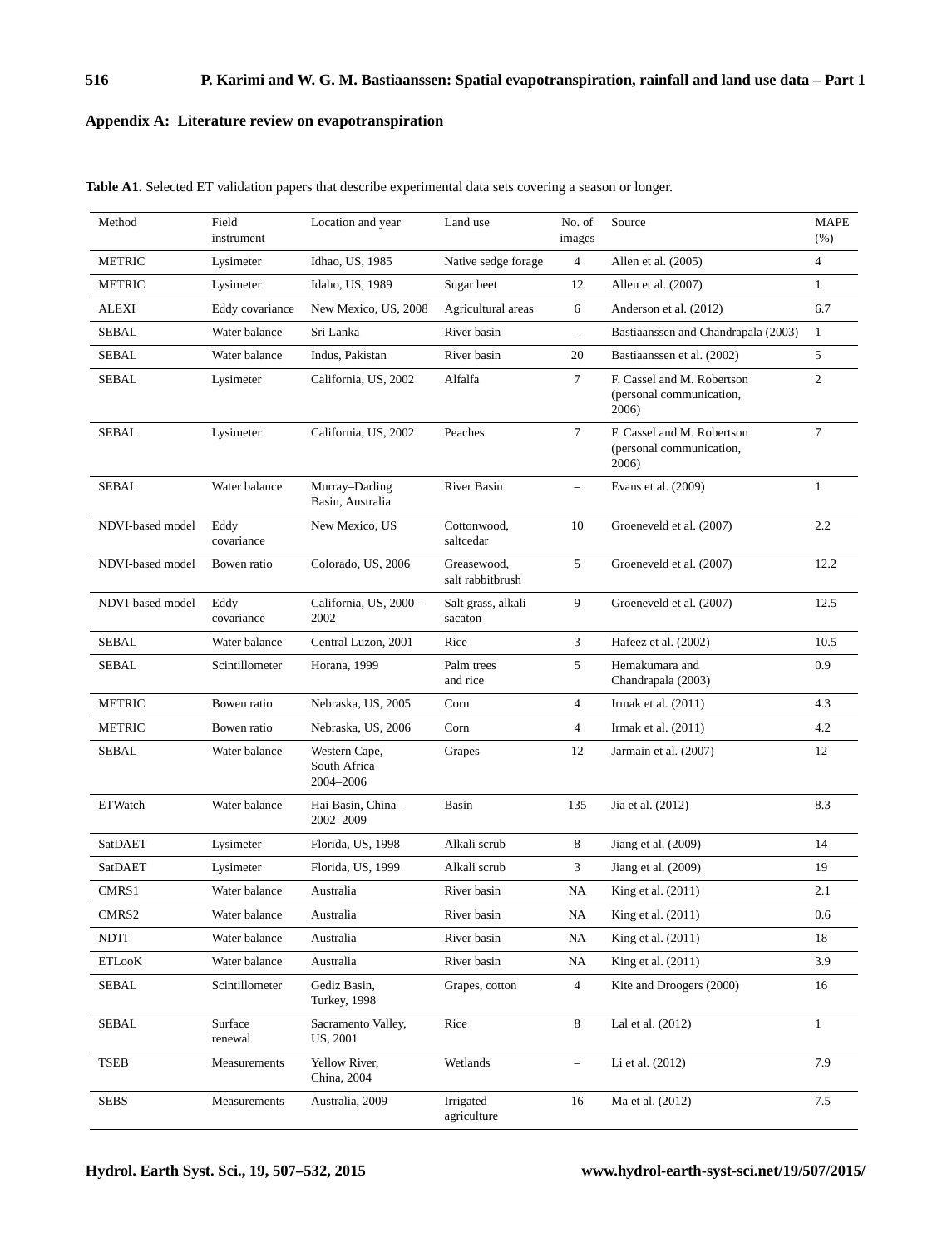# **Appendix A: Literature review on evapotranspiration**

| Method           | Field<br>instrument | Location and year                          | Land use                        | No. of<br>images         | Source                                                          | MAPE<br>(% )   |
|------------------|---------------------|--------------------------------------------|---------------------------------|--------------------------|-----------------------------------------------------------------|----------------|
| <b>METRIC</b>    | Lysimeter           | Idhao, US, 1985                            | Native sedge forage             | $\overline{4}$           | Allen et al. (2005)                                             | $\overline{4}$ |
| <b>METRIC</b>    | Lysimeter           | Idaho, US, 1989                            | Sugar beet                      | 12                       | Allen et al. (2007)                                             | $\mathbf{1}$   |
| <b>ALEXI</b>     | Eddy covariance     | New Mexico, US, 2008                       | Agricultural areas              | 6                        | Anderson et al. (2012)                                          | 6.7            |
| <b>SEBAL</b>     | Water balance       | Sri Lanka                                  | River basin                     | $\overline{\phantom{0}}$ | Bastiaanssen and Chandrapala (2003)                             | $\mathbf{1}$   |
| <b>SEBAL</b>     | Water balance       | Indus, Pakistan                            | River basin                     | 20                       | Bastiaanssen et al. (2002)                                      | 5              |
| <b>SEBAL</b>     | Lysimeter           | California, US, 2002                       | Alfalfa                         | $\tau$                   | F. Cassel and M. Robertson<br>(personal communication,<br>2006) | $\overline{2}$ |
| <b>SEBAL</b>     | Lysimeter           | California, US, 2002                       | Peaches                         | $\tau$                   | F. Cassel and M. Robertson<br>(personal communication,<br>2006) | $\tau$         |
| <b>SEBAL</b>     | Water balance       | Murray-Darling<br>Basin, Australia         | <b>River Basin</b>              | $\qquad \qquad -$        | Evans et al. (2009)                                             | $\mathbf{1}$   |
| NDVI-based model | Eddy<br>covariance  | New Mexico, US                             | Cottonwood,<br>saltcedar        | 10                       | Groeneveld et al. (2007)                                        | 2.2            |
| NDVI-based model | Bowen ratio         | Colorado, US, 2006                         | Greasewood,<br>salt rabbitbrush | 5                        | Groeneveld et al. (2007)                                        | 12.2           |
| NDVI-based model | Eddy<br>covariance  | California, US, 2000-<br>2002              | Salt grass, alkali<br>sacaton   | 9                        | Groeneveld et al. (2007)                                        | 12.5           |
| <b>SEBAL</b>     | Water balance       | Central Luzon, 2001                        | Rice                            | 3                        | Hafeez et al. (2002)                                            | 10.5           |
| <b>SEBAL</b>     | Scintillometer      | Horana, 1999                               | Palm trees<br>and rice          | 5                        | Hemakumara and<br>Chandrapala (2003)                            | 0.9            |
| <b>METRIC</b>    | Bowen ratio         | Nebraska, US, 2005                         | Corn                            | $\overline{4}$           | Irmak et al. $(2011)$                                           | 4.3            |
| <b>METRIC</b>    | Bowen ratio         | Nebraska, US, 2006                         | Corn                            | $\overline{4}$           | Irmak et al. $(2011)$                                           | 4.2            |
| <b>SEBAL</b>     | Water balance       | Western Cape,<br>South Africa<br>2004-2006 | Grapes                          | 12                       | Jarmain et al. (2007)                                           | 12             |
| ETWatch          | Water balance       | Hai Basin, China -<br>2002-2009            | Basin                           | 135                      | Jia et al. (2012)                                               | 8.3            |
| SatDAET          | Lysimeter           | Florida, US, 1998                          | Alkali scrub                    | 8                        | Jiang et al. (2009)                                             | 14             |
| SatDAET          | Lysimeter           | Florida, US, 1999                          | Alkali scrub                    | 3                        | Jiang et al. (2009)                                             | 19             |
| <b>CMRS1</b>     | Water balance       | Australia                                  | River basin                     | NA                       | King et al. (2011)                                              | 2.1            |
| CMRS2            | Water balance       | Australia                                  | River basin                     | NA                       | King et al. (2011)                                              | 0.6            |
| NDTI             | Water balance       | Australia                                  | River basin                     | NA                       | King et al. (2011)                                              | 18             |
| <b>ETLooK</b>    | Water balance       | Australia                                  | River basin                     | NA                       | King et al. (2011)                                              | 3.9            |
| <b>SEBAL</b>     | Scintillometer      | Gediz Basin,<br>Turkey, 1998               | Grapes, cotton                  | $\overline{4}$           | Kite and Droogers (2000)                                        | 16             |
| <b>SEBAL</b>     | Surface<br>renewal  | Sacramento Valley,<br>US, 2001             | Rice                            | 8                        | Lal et al. (2012)                                               | $\mathbf{1}$   |
| TSEB             | Measurements        | Yellow River,<br>China, 2004               | Wetlands                        | $\overline{\phantom{0}}$ | Li et al. (2012)                                                | 7.9            |
| <b>SEBS</b>      | Measurements        | Australia, 2009                            | Irrigated<br>agriculture        | 16                       | Ma et al. (2012)                                                | 7.5            |

**Table A1.** Selected ET validation papers that describe experimental data sets covering a season or longer.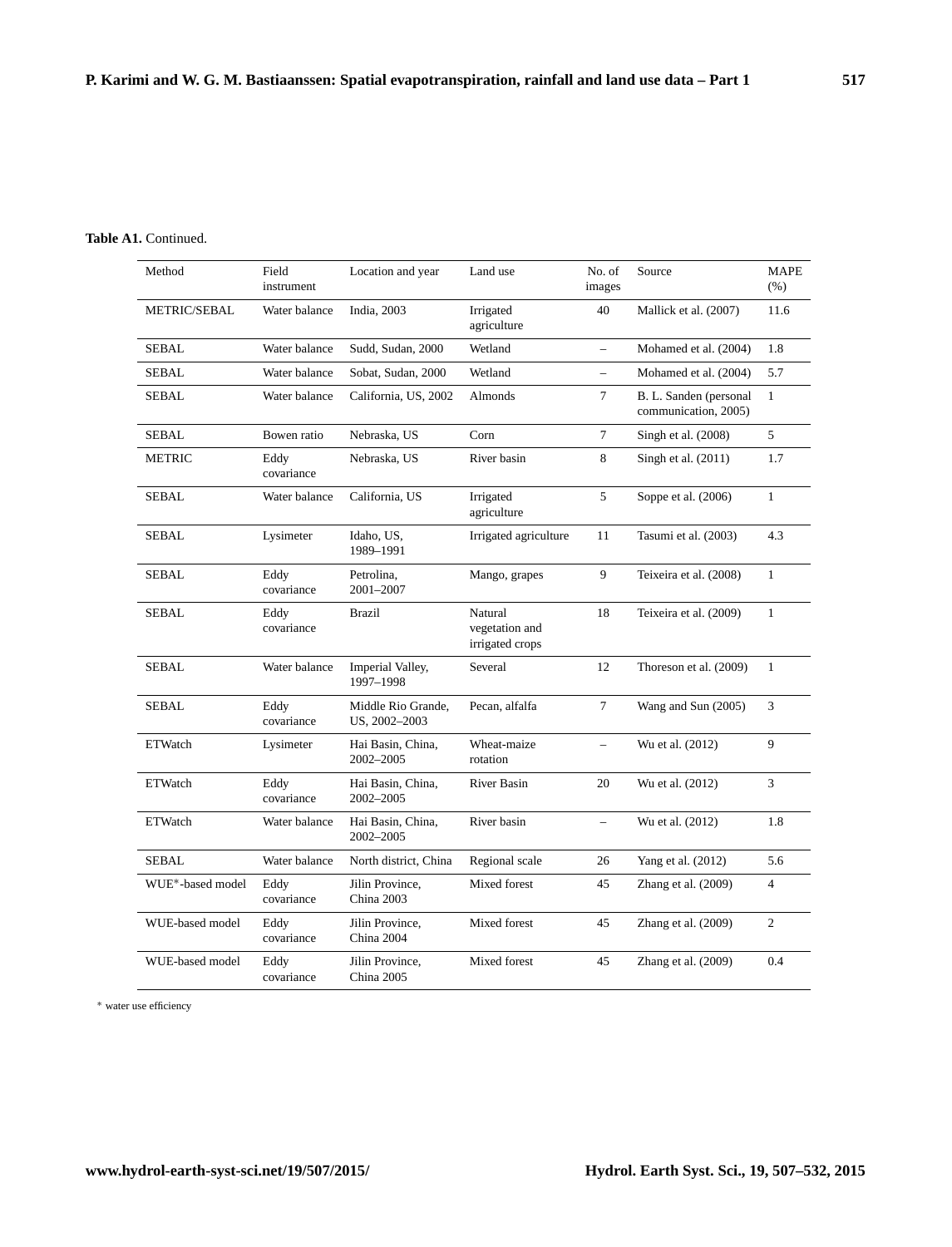## **Table A1.** Continued.

| Method              | Field<br>instrument | Location and year                   | Land use                                     | No. of<br>images | Source                                         | <b>MAPE</b><br>(% ) |
|---------------------|---------------------|-------------------------------------|----------------------------------------------|------------------|------------------------------------------------|---------------------|
| <b>METRIC/SEBAL</b> | Water balance       | India, 2003                         | Irrigated<br>agriculture                     | 40               | Mallick et al. (2007)                          | 11.6                |
| <b>SEBAL</b>        | Water balance       | Sudd, Sudan, 2000                   | Wetland                                      |                  | Mohamed et al. (2004)                          | 1.8                 |
| SEBAL               | Water balance       | Sobat, Sudan, 2000                  | Wetland                                      | $\overline{a}$   | Mohamed et al. (2004)                          | 5.7                 |
| <b>SEBAL</b>        | Water balance       | California, US, 2002                | <b>Almonds</b>                               | $\overline{7}$   | B. L. Sanden (personal<br>communication, 2005) | $\mathbf{1}$        |
| <b>SEBAL</b>        | Bowen ratio         | Nebraska, US                        | Corn                                         | $\tau$           | Singh et al. (2008)                            | 5                   |
| <b>METRIC</b>       | Eddy<br>covariance  | Nebraska, US                        | River basin                                  | 8                | Singh et al. $(2011)$                          | 1.7                 |
| <b>SEBAL</b>        | Water balance       | California, US                      | Irrigated<br>agriculture                     | 5                | Soppe et al. (2006)                            | $\mathbf{1}$        |
| SEBAL               | Lysimeter           | Idaho, US,<br>1989-1991             | Irrigated agriculture                        | 11               | Tasumi et al. (2003)                           | 4.3                 |
| SEBAL               | Eddy<br>covariance  | Petrolina,<br>2001-2007             | Mango, grapes                                | 9                | Teixeira et al. (2008)                         | $\mathbf{1}$        |
| <b>SEBAL</b>        | Eddy<br>covariance  | <b>Brazil</b>                       | Natural<br>vegetation and<br>irrigated crops | 18               | Teixeira et al. (2009)                         | $\mathbf{1}$        |
| <b>SEBAL</b>        | Water balance       | Imperial Valley,<br>1997-1998       | Several                                      | 12               | Thoreson et al. (2009)                         | $\mathbf{1}$        |
| SEBAL               | Eddy<br>covariance  | Middle Rio Grande,<br>US, 2002-2003 | Pecan, alfalfa                               | $\tau$           | Wang and Sun (2005)                            | 3                   |
| <b>ETWatch</b>      | Lysimeter           | Hai Basin, China,<br>2002-2005      | Wheat-maize<br>rotation                      |                  | Wu et al. (2012)                               | 9                   |
| <b>ETWatch</b>      | Eddy<br>covariance  | Hai Basin, China,<br>2002-2005      | <b>River Basin</b>                           | 20               | Wu et al. (2012)                               | 3                   |
| <b>ETWatch</b>      | Water balance       | Hai Basin, China,<br>2002-2005      | River basin                                  |                  | Wu et al. (2012)                               | 1.8                 |
| SEBAL               | Water balance       | North district, China               | Regional scale                               | 26               | Yang et al. (2012)                             | 5.6                 |
| WUE*-based model    | Eddy<br>covariance  | Jilin Province,<br>China 2003       | Mixed forest                                 | 45               | Zhang et al. (2009)                            | $\overline{4}$      |
| WUE-based model     | Eddy<br>covariance  | Jilin Province,<br>China 2004       | Mixed forest                                 | 45               | Zhang et al. $(2009)$                          | 2                   |
| WUE-based model     | Eddy<br>covariance  | Jilin Province,<br>China 2005       | Mixed forest                                 | 45               | Zhang et al. (2009)                            | 0.4                 |

<sup>∗</sup> water use efficiency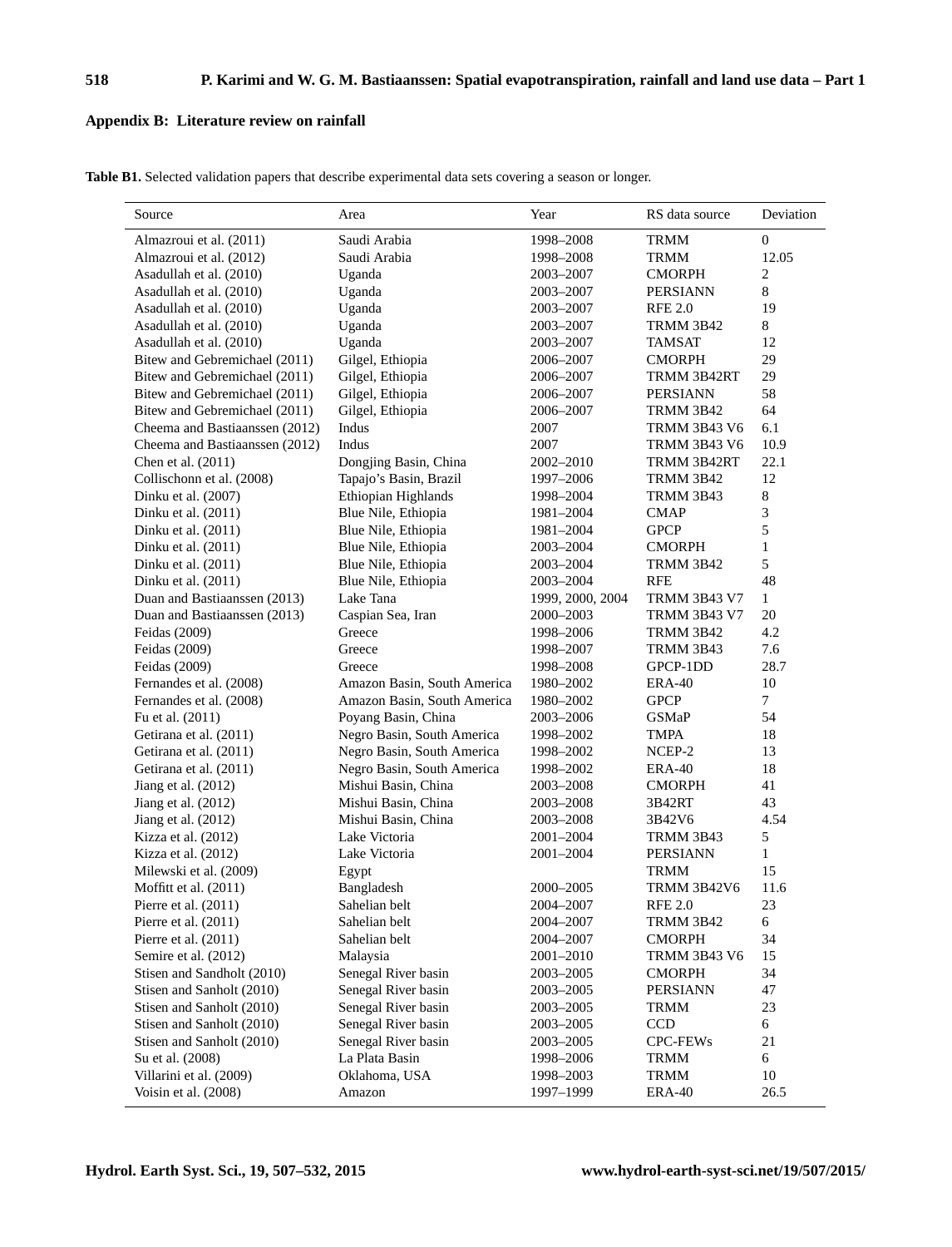# **Appendix B: Literature review on rainfall**

**Table B1.** Selected validation papers that describe experimental data sets covering a season or longer.

| Source                         | Area                        | Year             | RS data source      | Deviation      |
|--------------------------------|-----------------------------|------------------|---------------------|----------------|
| Almazroui et al. (2011)        | Saudi Arabia                | 1998-2008        | <b>TRMM</b>         | $\overline{0}$ |
| Almazroui et al. (2012)        | Saudi Arabia                | 1998-2008        | TRMM                | 12.05          |
| Asadullah et al. (2010)        | Uganda                      | 2003-2007        | <b>CMORPH</b>       | 2              |
| Asadullah et al. (2010)        | Uganda                      | 2003-2007        | <b>PERSIANN</b>     | 8              |
| Asadullah et al. (2010)        | Uganda                      | 2003-2007        | <b>RFE 2.0</b>      | 19             |
| Asadullah et al. (2010)        | Uganda                      | 2003-2007        | TRMM 3B42           | $8\,$          |
| Asadullah et al. (2010)        | Uganda                      | 2003-2007        | TAMSAT              | 12             |
| Bitew and Gebremichael (2011)  | Gilgel, Ethiopia            | 2006-2007        | <b>CMORPH</b>       | 29             |
| Bitew and Gebremichael (2011)  | Gilgel, Ethiopia            | 2006-2007        | TRMM 3B42RT         | 29             |
| Bitew and Gebremichael (2011)  | Gilgel, Ethiopia            | 2006-2007        | <b>PERSIANN</b>     | 58             |
| Bitew and Gebremichael (2011)  | Gilgel, Ethiopia            | 2006-2007        | TRMM 3B42           | 64             |
| Cheema and Bastiaanssen (2012) | Indus                       | 2007             | <b>TRMM 3B43 V6</b> | 6.1            |
| Cheema and Bastiaanssen (2012) | Indus                       | 2007             | TRMM 3B43 V6        | 10.9           |
| Chen et al. (2011)             | Dongjing Basin, China       | 2002-2010        | TRMM 3B42RT         | 22.1           |
| Collischonn et al. (2008)      | Tapajo's Basin, Brazil      | 1997-2006        | TRMM 3B42           | 12             |
| Dinku et al. (2007)            | Ethiopian Highlands         | 1998-2004        | TRMM 3B43           | $\,$ 8 $\,$    |
| Dinku et al. (2011)            | Blue Nile, Ethiopia         | 1981-2004        | <b>CMAP</b>         | 3              |
| Dinku et al. (2011)            | Blue Nile, Ethiopia         | 1981-2004        | <b>GPCP</b>         | 5              |
| Dinku et al. (2011)            | Blue Nile, Ethiopia         | 2003-2004        | <b>CMORPH</b>       | $\mathbf{1}$   |
| Dinku et al. (2011)            | Blue Nile, Ethiopia         | 2003-2004        | TRMM 3B42           | 5              |
| Dinku et al. (2011)            | Blue Nile, Ethiopia         | 2003-2004        | <b>RFE</b>          | 48             |
| Duan and Bastiaanssen (2013)   | Lake Tana                   | 1999, 2000, 2004 | <b>TRMM 3B43 V7</b> | $\mathbf{1}$   |
| Duan and Bastiaanssen (2013)   | Caspian Sea, Iran           | 2000-2003        | <b>TRMM 3B43 V7</b> | 20             |
| Feidas (2009)                  | Greece                      | 1998-2006        | TRMM 3B42           | 4.2            |
| Feidas (2009)                  | Greece                      | 1998-2007        | TRMM 3B43           | 7.6            |
| Feidas (2009)                  | Greece                      | 1998-2008        | GPCP-1DD            | 28.7           |
| Fernandes et al. (2008)        | Amazon Basin, South America | 1980–2002        | <b>ERA-40</b>       | 10             |
| Fernandes et al. (2008)        | Amazon Basin, South America | 1980-2002        | <b>GPCP</b>         | $\tau$         |
| Fu et al. (2011)               | Poyang Basin, China         | 2003-2006        | <b>GSMaP</b>        | 54             |
| Getirana et al. (2011)         | Negro Basin, South America  | 1998-2002        | <b>TMPA</b>         | 18             |
| Getirana et al. (2011)         | Negro Basin, South America  | 1998-2002        | NCEP-2              | 13             |
| Getirana et al. (2011)         | Negro Basin, South America  | 1998-2002        | <b>ERA-40</b>       | 18             |
| Jiang et al. $(2012)$          | Mishui Basin, China         | 2003-2008        | <b>CMORPH</b>       | 41             |
| Jiang et al. (2012)            | Mishui Basin, China         | 2003-2008        | 3B42RT              | 43             |
| Jiang et al. (2012)            | Mishui Basin, China         | 2003-2008        | 3B42V6              | 4.54           |
| Kizza et al. (2012)            | Lake Victoria               | 2001-2004        | TRMM 3B43           | 5              |
| Kizza et al. (2012)            | Lake Victoria               | 2001-2004        | <b>PERSIANN</b>     | $\mathbf{1}$   |
| Milewski et al. (2009)         | Egypt                       |                  | <b>TRMM</b>         | 15             |
| Moffitt et al. (2011)          | Bangladesh                  | 2000-2005        | TRMM 3B42V6         | 11.6           |
| Pierre et al. (2011)           | Sahelian belt               | 2004-2007        | <b>RFE 2.0</b>      | 23             |
| Pierre et al. (2011)           | Sahelian belt               | 2004-2007        | TRMM 3B42           | 6              |
| Pierre et al. $(2011)$         | Sahelian belt               | 2004-2007        | <b>CMORPH</b>       | 34             |
| Semire et al. (2012)           | Malaysia                    | 2001-2010        | <b>TRMM 3B43 V6</b> | 15             |
| Stisen and Sandholt (2010)     | Senegal River basin         | 2003-2005        | <b>CMORPH</b>       | 34             |
| Stisen and Sanholt (2010)      | Senegal River basin         | 2003-2005        | PERSIANN            | 47             |
| Stisen and Sanholt (2010)      | Senegal River basin         | 2003-2005        | TRMM                | 23             |
| Stisen and Sanholt (2010)      | Senegal River basin         | 2003-2005        | CCD                 | 6              |
| Stisen and Sanholt (2010)      | Senegal River basin         | 2003-2005        | CPC-FEWs            | 21             |
| Su et al. (2008)               | La Plata Basin              | 1998-2006        | <b>TRMM</b>         | 6              |
| Villarini et al. (2009)        | Oklahoma, USA               | 1998-2003        | TRMM                | 10             |
| Voisin et al. (2008)           | Amazon                      | 1997-1999        | <b>ERA-40</b>       | 26.5           |
|                                |                             |                  |                     |                |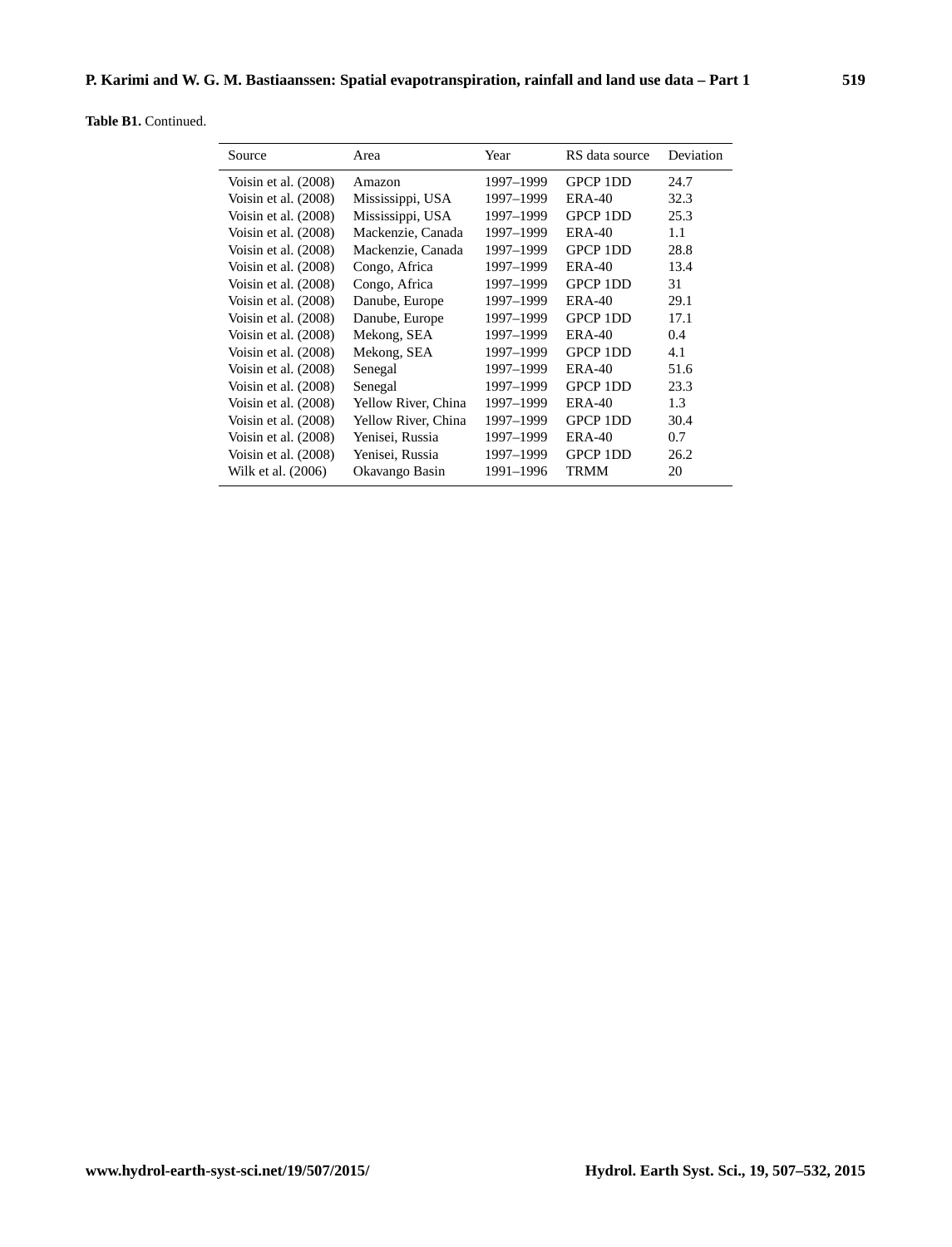**Table B1.** Continued.

| Source                 | Area                | Year      | RS data source  | Deviation |
|------------------------|---------------------|-----------|-----------------|-----------|
| Voisin et al. $(2008)$ | Amazon              | 1997–1999 | <b>GPCP 1DD</b> | 24.7      |
| Voisin et al. (2008)   | Mississippi, USA    | 1997-1999 | <b>ERA-40</b>   | 32.3      |
| Voisin et al. (2008)   | Mississippi, USA    | 1997-1999 | <b>GPCP 1DD</b> | 25.3      |
| Voisin et al. $(2008)$ | Mackenzie, Canada   | 1997-1999 | $ERA-40$        | 1.1       |
| Voisin et al. $(2008)$ | Mackenzie, Canada   | 1997–1999 | <b>GPCP 1DD</b> | 28.8      |
| Voisin et al. (2008)   | Congo, Africa       | 1997-1999 | $ERA-40$        | 13.4      |
| Voisin et al. $(2008)$ | Congo, Africa       | 1997-1999 | <b>GPCP 1DD</b> | 31        |
| Voisin et al. (2008)   | Danube, Europe      | 1997-1999 | $ERA-40$        | 29.1      |
| Voisin et al. (2008)   | Danube, Europe      | 1997–1999 | <b>GPCP 1DD</b> | 17.1      |
| Voisin et al. (2008)   | Mekong, SEA         | 1997–1999 | $ERA-40$        | 0.4       |
| Voisin et al. (2008)   | Mekong, SEA         | 1997-1999 | <b>GPCP 1DD</b> | 4.1       |
| Voisin et al. $(2008)$ | Senegal             | 1997-1999 | <b>ERA-40</b>   | 51.6      |
| Voisin et al. $(2008)$ | Senegal             | 1997-1999 | <b>GPCP 1DD</b> | 23.3      |
| Voisin et al. (2008)   | Yellow River, China | 1997-1999 | $ERA-40$        | 1.3       |
| Voisin et al. (2008)   | Yellow River, China | 1997-1999 | <b>GPCP 1DD</b> | 30.4      |
| Voisin et al. (2008)   | Yenisei, Russia     | 1997-1999 | <b>ERA-40</b>   | 0.7       |
| Voisin et al. (2008)   | Yenisei, Russia     | 1997-1999 | <b>GPCP 1DD</b> | 26.2      |
| Wilk et al. (2006)     | Okavango Basin      | 1991–1996 | <b>TRMM</b>     | 20        |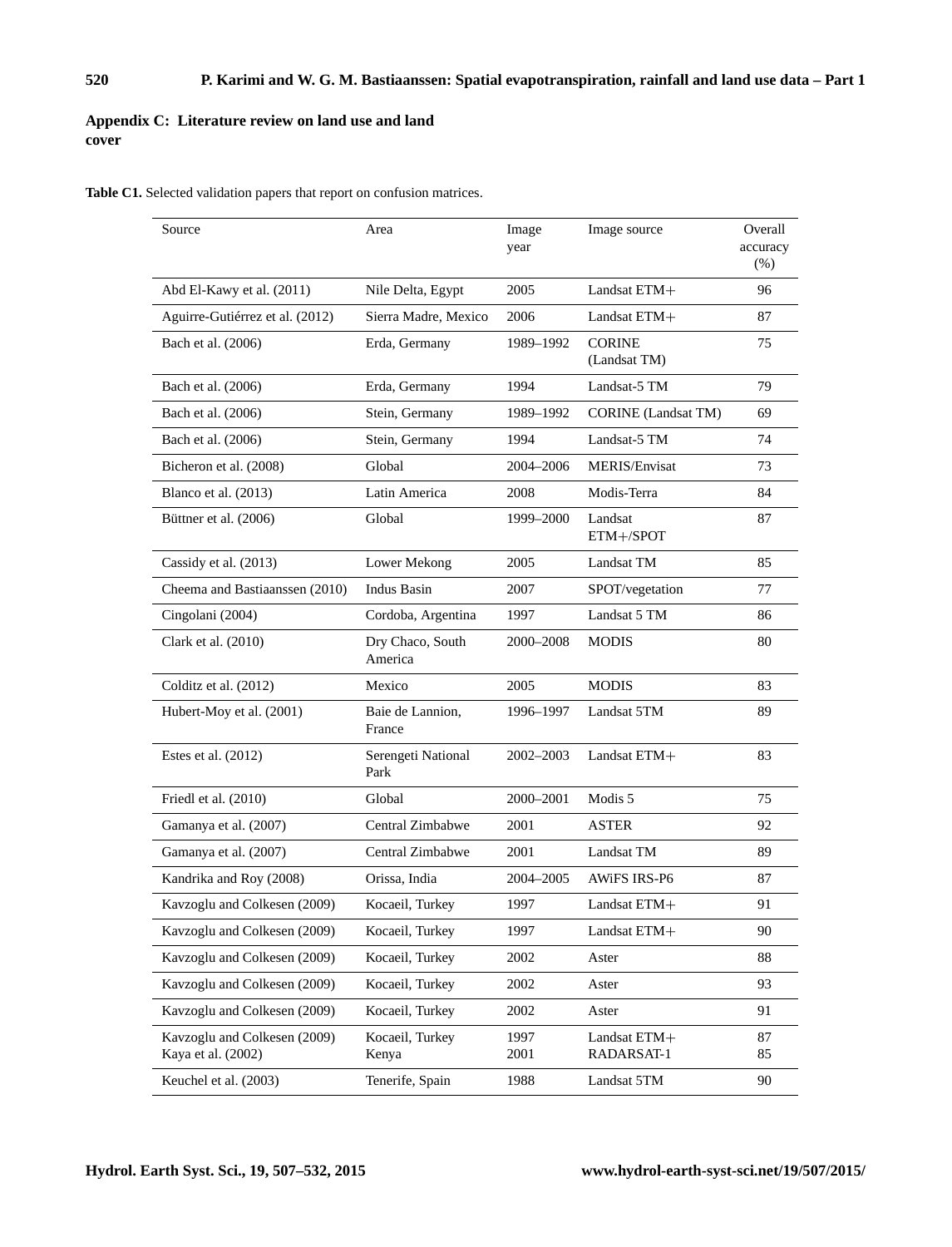## **Appendix C: Literature review on land use and land cover**

**Table C1.** Selected validation papers that report on confusion matrices.

| Source                                             | Area                        | Image<br>year | Image source                  | Overall<br>accuracy<br>(% ) |
|----------------------------------------------------|-----------------------------|---------------|-------------------------------|-----------------------------|
| Abd El-Kawy et al. (2011)                          | Nile Delta, Egypt           | 2005          | Landsat ETM+                  | 96                          |
| Aguirre-Gutiérrez et al. (2012)                    | Sierra Madre, Mexico        | 2006          | Landsat ETM+                  | 87                          |
| Bach et al. (2006)                                 | Erda, Germany               | 1989-1992     | <b>CORINE</b><br>(Landsat TM) | 75                          |
| Bach et al. (2006)                                 | Erda, Germany               | 1994          | Landsat-5 TM                  | 79                          |
| Bach et al. (2006)                                 | Stein, Germany              | 1989-1992     | <b>CORINE</b> (Landsat TM)    | 69                          |
| Bach et al. (2006)                                 | Stein, Germany              | 1994          | Landsat-5 TM                  | 74                          |
| Bicheron et al. (2008)                             | Global                      | 2004–2006     | <b>MERIS/Envisat</b>          | 73                          |
| Blanco et al. (2013)                               | Latin America               | 2008          | Modis-Terra                   | 84                          |
| Büttner et al. (2006)                              | Global                      | 1999-2000     | Landsat<br>ETM+/SPOT          | 87                          |
| Cassidy et al. (2013)                              | Lower Mekong                | 2005          | Landsat TM                    | 85                          |
| Cheema and Bastiaanssen (2010)                     | Indus Basin                 | 2007          | SPOT/vegetation               | 77                          |
| Cingolani (2004)                                   | Cordoba, Argentina          | 1997          | Landsat 5 TM                  | 86                          |
| Clark et al. (2010)                                | Dry Chaco, South<br>America | 2000-2008     | <b>MODIS</b>                  | 80                          |
| Colditz et al. (2012)                              | Mexico                      | 2005          | <b>MODIS</b>                  | 83                          |
| Hubert-Moy et al. (2001)                           | Baie de Lannion,<br>France  | 1996-1997     | Landsat 5TM                   | 89                          |
| Estes et al. $(2012)$                              | Serengeti National<br>Park  | 2002–2003     | Landsat ETM+                  | 83                          |
| Friedl et al. (2010)                               | Global                      | 2000-2001     | Modis 5                       | 75                          |
| Gamanya et al. (2007)                              | Central Zimbabwe            | 2001          | <b>ASTER</b>                  | 92                          |
| Gamanya et al. (2007)                              | Central Zimbabwe            | 2001          | Landsat TM                    | 89                          |
| Kandrika and Roy (2008)                            | Orissa, India               | 2004-2005     | <b>AWIFS IRS-P6</b>           | 87                          |
| Kavzoglu and Colkesen (2009)                       | Kocaeil, Turkey             | 1997          | Landsat $ETM+$                | 91                          |
| Kavzoglu and Colkesen (2009)                       | Kocaeil, Turkey             | 1997          | Landsat ETM+                  | 90                          |
| Kavzoglu and Colkesen (2009)                       | Kocaeil, Turkey             | 2002          | Aster                         | 88                          |
| Kavzoglu and Colkesen (2009)                       | Kocaeil, Turkey             | 2002          | Aster                         | 93                          |
| Kavzoglu and Colkesen (2009)                       | Kocaeil, Turkey             | 2002          | Aster                         | 91                          |
| Kavzoglu and Colkesen (2009)<br>Kaya et al. (2002) | Kocaeil, Turkey<br>Kenya    | 1997<br>2001  | Landsat ETM+<br>RADARSAT-1    | 87<br>85                    |
| Keuchel et al. (2003)                              | Tenerife, Spain             | 1988          | Landsat 5TM                   | 90                          |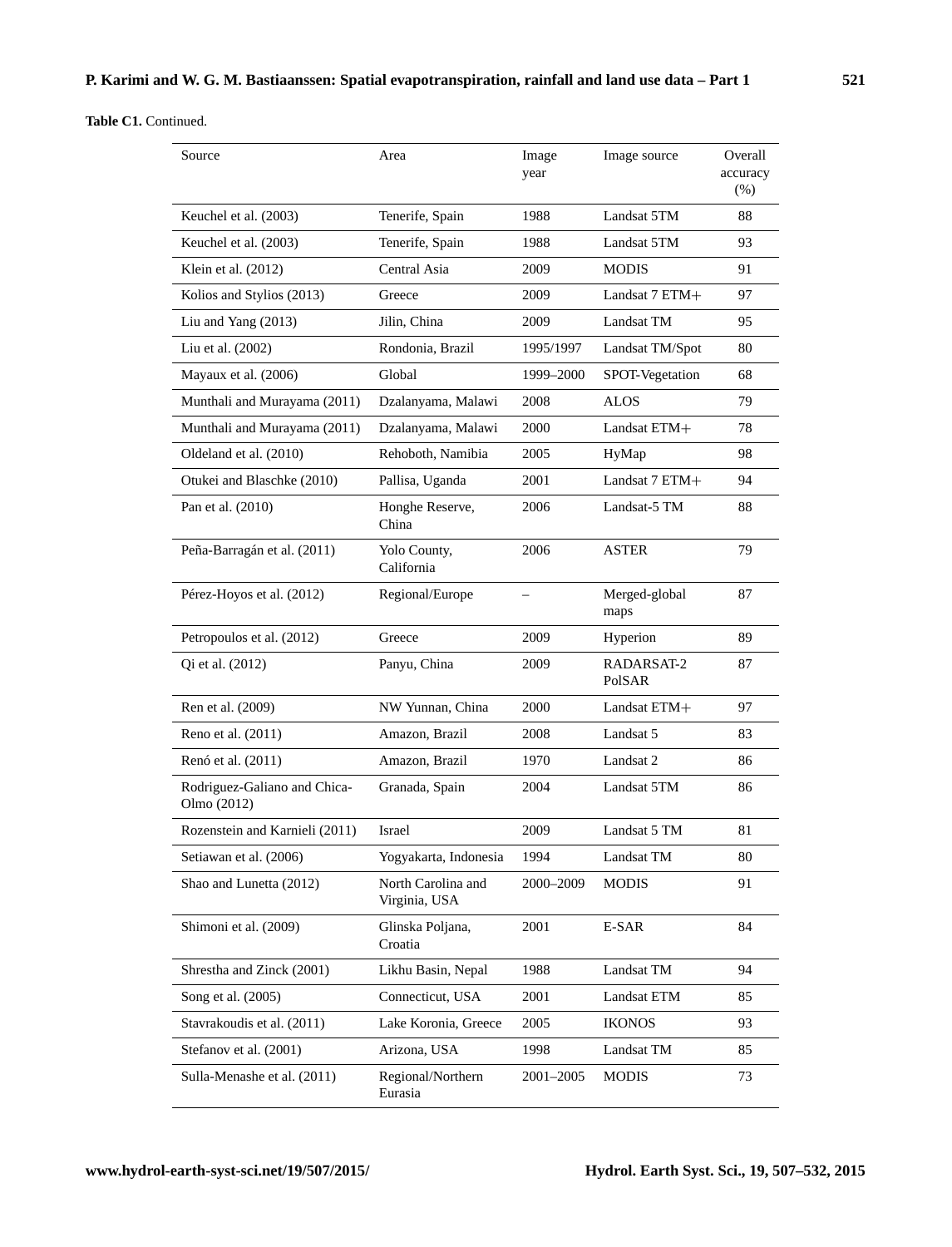**Table C1.** Continued.

| Source                                      | Area                                | Image<br>year            | Image source          | Overall<br>accuracy<br>(% ) |
|---------------------------------------------|-------------------------------------|--------------------------|-----------------------|-----------------------------|
| Keuchel et al. (2003)                       | Tenerife, Spain                     | 1988                     | Landsat 5TM           | 88                          |
| Keuchel et al. (2003)                       | Tenerife, Spain                     | 1988                     | Landsat 5TM           | 93                          |
| Klein et al. (2012)                         | Central Asia                        | 2009                     | <b>MODIS</b>          | 91                          |
| Kolios and Stylios (2013)                   | Greece                              | 2009                     | Landsat 7 ETM+        | 97                          |
| Liu and Yang $(2013)$                       | Jilin, China                        | 2009                     | Landsat TM            | 95                          |
| Liu et al. (2002)                           | Rondonia, Brazil                    | 1995/1997                | Landsat TM/Spot       | 80                          |
| Mayaux et al. (2006)                        | Global                              | 1999-2000                | SPOT-Vegetation       | 68                          |
| Munthali and Murayama (2011)                | Dzalanyama, Malawi                  | 2008                     | ALOS                  | 79                          |
| Munthali and Murayama (2011)                | Dzalanyama, Malawi                  | 2000                     | Landsat ETM+          | 78                          |
| Oldeland et al. (2010)                      | Rehoboth, Namibia                   | 2005                     | HyMap                 | 98                          |
| Otukei and Blaschke (2010)                  | Pallisa, Uganda                     | 2001                     | Landsat 7 ETM+        | 94                          |
| Pan et al. (2010)                           | Honghe Reserve,<br>China            | 2006                     | Landsat-5 TM          | 88                          |
| Peña-Barragán et al. (2011)                 | Yolo County,<br>California          | 2006                     | <b>ASTER</b>          | 79                          |
| Pérez-Hoyos et al. (2012)                   | Regional/Europe                     | $\overline{\phantom{0}}$ | Merged-global<br>maps | 87                          |
| Petropoulos et al. (2012)                   | Greece                              | 2009                     | Hyperion              | 89                          |
| Qi et al. (2012)                            | Panyu, China                        | 2009                     | RADARSAT-2<br>PolSAR  | 87                          |
| Ren et al. (2009)                           | NW Yunnan, China                    | 2000                     | Landsat ETM+          | 97                          |
| Reno et al. (2011)                          | Amazon, Brazil                      | 2008                     | Landsat 5             | 83                          |
| Renó et al. (2011)                          | Amazon, Brazil                      | 1970                     | Landsat 2             | 86                          |
| Rodriguez-Galiano and Chica-<br>Olmo (2012) | Granada, Spain                      | 2004                     | Landsat 5TM           | 86                          |
| Rozenstein and Karnieli (2011)              | Israel                              | 2009                     | Landsat 5 TM          | 81                          |
| Setiawan et al. (2006)                      | Yogyakarta, Indonesia               | 1994                     | Landsat TM            | 80                          |
| Shao and Lunetta (2012)                     | North Carolina and<br>Virginia, USA | 2000-2009                | <b>MODIS</b>          | 91                          |
| Shimoni et al. (2009)                       | Glinska Poljana,<br>Croatia         | 2001                     | E-SAR                 | 84                          |
| Shrestha and Zinck (2001)                   | Likhu Basin, Nepal                  | 1988                     | Landsat TM            | 94                          |
| Song et al. (2005)                          | Connecticut, USA                    | 2001                     | Landsat ETM           | 85                          |
| Stavrakoudis et al. (2011)                  | Lake Koronia, Greece                | 2005                     | <b>IKONOS</b>         | 93                          |
| Stefanov et al. (2001)                      | Arizona, USA                        | 1998                     | Landsat TM            | 85                          |
| Sulla-Menashe et al. (2011)                 | Regional/Northern<br>Eurasia        | 2001-2005                | <b>MODIS</b>          | 73                          |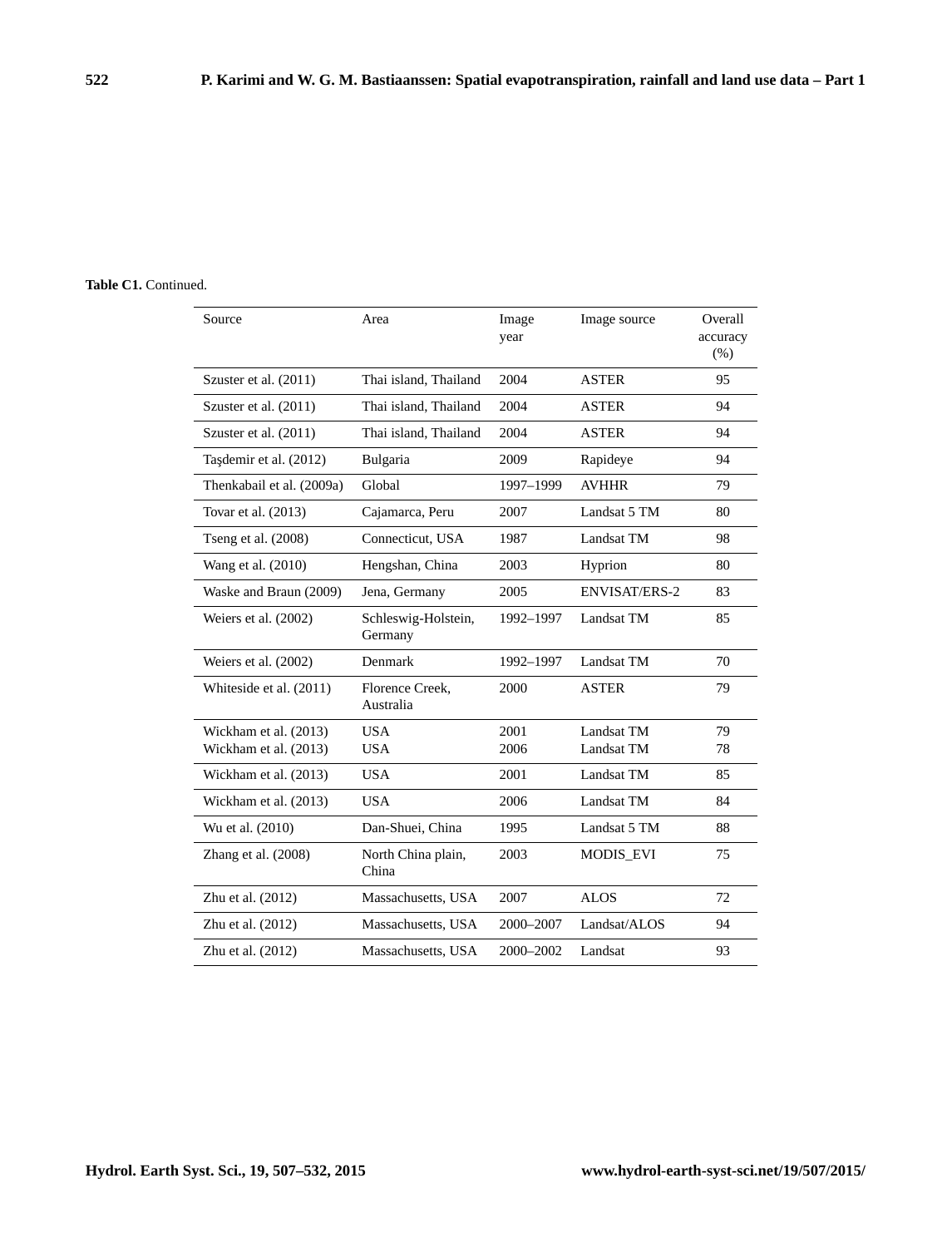## **Table C1.** Continued.

| Source                    | Area                           | Image<br>year | Image source         | Overall<br>accuracy<br>(% ) |
|---------------------------|--------------------------------|---------------|----------------------|-----------------------------|
| Szuster et al. (2011)     | Thai island, Thailand          | 2004          | <b>ASTER</b>         | 95                          |
| Szuster et al. (2011)     | Thai island, Thailand          | 2004          | <b>ASTER</b>         | 94                          |
| Szuster et al. (2011)     | Thai island, Thailand          | 2004          | <b>ASTER</b>         | 94                          |
| Taşdemir et al. (2012)    | Bulgaria                       | 2009          | Rapideye             | 94                          |
| Thenkabail et al. (2009a) | Global                         | 1997-1999     | AVHHR                | 79                          |
| Tovar et al. (2013)       | Cajamarca, Peru                | 2007          | Landsat 5 TM         | 80                          |
| Tseng et al. (2008)       | Connecticut, USA               | 1987          | Landsat TM           | 98                          |
| Wang et al. (2010)        | Hengshan, China                | 2003          | Hyprion              | 80                          |
| Waske and Braun (2009)    | Jena, Germany                  | 2005          | <b>ENVISAT/ERS-2</b> | 83                          |
| Weiers et al. (2002)      | Schleswig-Holstein,<br>Germany | 1992-1997     | Landsat TM           | 85                          |
| Weiers et al. (2002)      | Denmark                        | 1992-1997     | Landsat TM           | 70                          |
| Whiteside et al. (2011)   | Florence Creek,<br>Australia   | 2000          | <b>ASTER</b>         | 79                          |
| Wickham et al. (2013)     | <b>USA</b>                     | 2001          | Landsat TM           | 79                          |
| Wickham et al. (2013)     | <b>USA</b>                     | 2006          | Landsat TM           | 78                          |
| Wickham et al. (2013)     | <b>USA</b>                     | 2001          | Landsat TM           | 85                          |
| Wickham et al. (2013)     | <b>USA</b>                     | 2006          | Landsat TM           | 84                          |
| Wu et al. (2010)          | Dan-Shuei, China               | 1995          | Landsat 5 TM         | 88                          |
| Zhang et al. (2008)       | North China plain,<br>China    | 2003          | <b>MODIS EVI</b>     | 75                          |
| Zhu et al. (2012)         | Massachusetts, USA             | 2007          | <b>ALOS</b>          | 72                          |
| Zhu et al. (2012)         | Massachusetts, USA             | 2000–2007     | Landsat/ALOS         | 94                          |
| Zhu et al. (2012)         | Massachusetts, USA             | 2000-2002     | Landsat              | 93                          |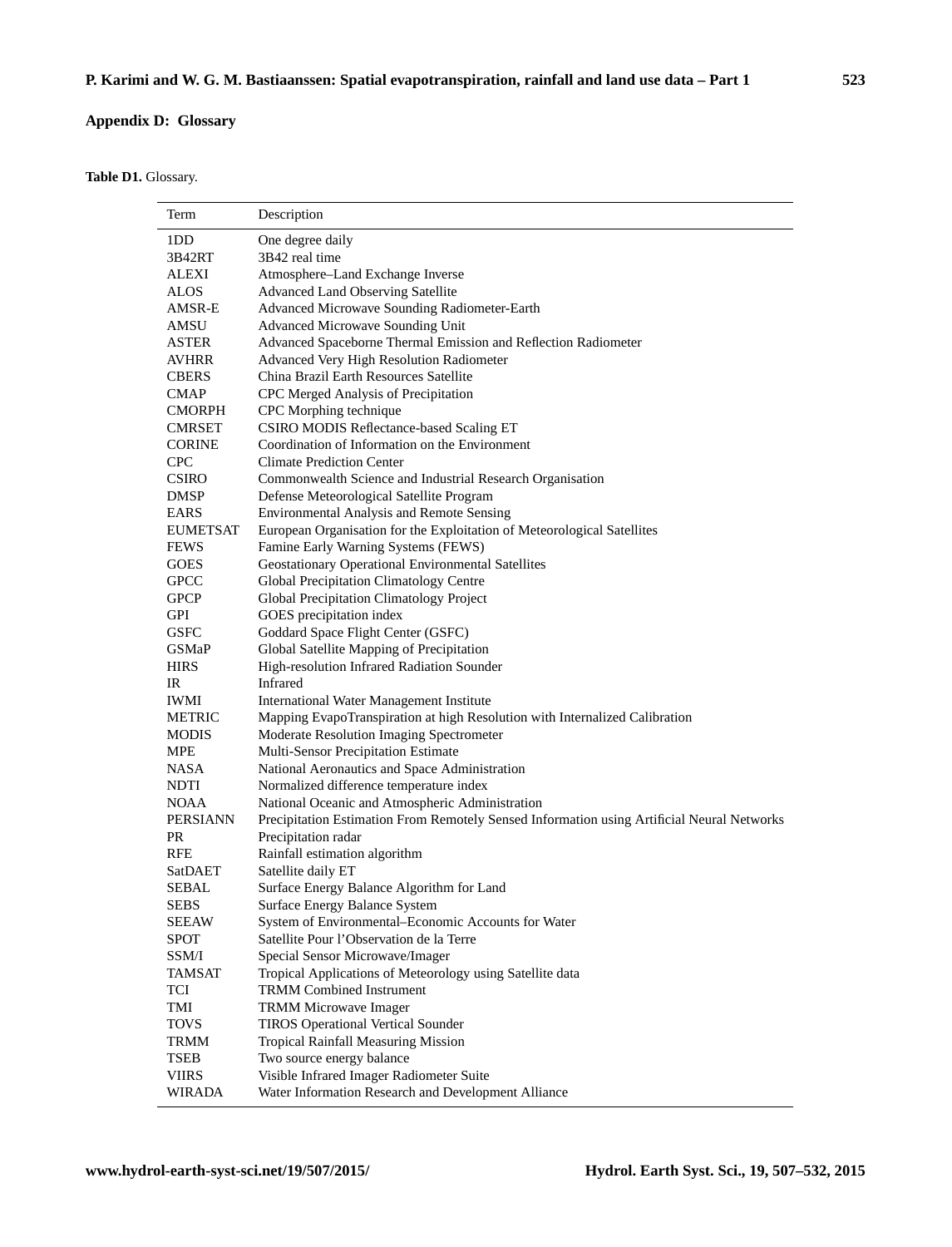# **Appendix D: Glossary**

**Table D1.** Glossary.

| Term               | Description                                                                                |
|--------------------|--------------------------------------------------------------------------------------------|
| 1DD                | One degree daily                                                                           |
| 3B42RT             | 3B42 real time                                                                             |
| ALEXI              | Atmosphere-Land Exchange Inverse                                                           |
| ALOS               | <b>Advanced Land Observing Satellite</b>                                                   |
| AMSR-E             | Advanced Microwave Sounding Radiometer-Earth                                               |
| AMSU               | Advanced Microwave Sounding Unit                                                           |
| ASTER              | Advanced Spaceborne Thermal Emission and Reflection Radiometer                             |
| <b>AVHRR</b>       | Advanced Very High Resolution Radiometer                                                   |
| <b>CBERS</b>       | China Brazil Earth Resources Satellite                                                     |
| <b>CMAP</b>        | CPC Merged Analysis of Precipitation                                                       |
| <b>CMORPH</b>      | CPC Morphing technique                                                                     |
| <b>CMRSET</b>      | CSIRO MODIS Reflectance-based Scaling ET                                                   |
| <b>CORINE</b>      | Coordination of Information on the Environment                                             |
| <b>CPC</b>         | <b>Climate Prediction Center</b>                                                           |
| <b>CSIRO</b>       | Commonwealth Science and Industrial Research Organisation                                  |
| <b>DMSP</b>        | Defense Meteorological Satellite Program                                                   |
| <b>EARS</b>        | Environmental Analysis and Remote Sensing                                                  |
| <b>EUMETSAT</b>    | European Organisation for the Exploitation of Meteorological Satellites                    |
| <b>FEWS</b>        | Famine Early Warning Systems (FEWS)                                                        |
| <b>GOES</b>        | Geostationary Operational Environmental Satellites                                         |
| <b>GPCC</b>        | Global Precipitation Climatology Centre                                                    |
| <b>GPCP</b>        | Global Precipitation Climatology Project                                                   |
| GPI                | GOES precipitation index                                                                   |
| <b>GSFC</b>        | Goddard Space Flight Center (GSFC)                                                         |
| <b>GSMaP</b>       | Global Satellite Mapping of Precipitation                                                  |
| <b>HIRS</b>        | High-resolution Infrared Radiation Sounder                                                 |
| IR                 | Infrared                                                                                   |
| IWMI               | <b>International Water Management Institute</b>                                            |
| <b>METRIC</b>      | Mapping EvapoTranspiration at high Resolution with Internalized Calibration                |
| <b>MODIS</b>       | Moderate Resolution Imaging Spectrometer                                                   |
| <b>MPE</b><br>NASA | Multi-Sensor Precipitation Estimate<br>National Aeronautics and Space Administration       |
| <b>NDTI</b>        | Normalized difference temperature index                                                    |
| <b>NOAA</b>        | National Oceanic and Atmospheric Administration                                            |
| <b>PERSIANN</b>    | Precipitation Estimation From Remotely Sensed Information using Artificial Neural Networks |
| <b>PR</b>          | Precipitation radar                                                                        |
| RFE                | Rainfall estimation algorithm                                                              |
| SatDAET            | Satellite daily ET                                                                         |
| SEBAL              | Surface Energy Balance Algorithm for Land                                                  |
| <b>SEBS</b>        | Surface Energy Balance System                                                              |
| SEEAW              | System of Environmental-Economic Accounts for Water                                        |
| <b>SPOT</b>        | Satellite Pour l'Observation de la Terre                                                   |
| SSM/I              | Special Sensor Microwave/Imager                                                            |
| TAMSAT             | Tropical Applications of Meteorology using Satellite data                                  |
| TCI                | <b>TRMM</b> Combined Instrument                                                            |
| TMI                | TRMM Microwave Imager                                                                      |
| <b>TOVS</b>        | <b>TIROS Operational Vertical Sounder</b>                                                  |
| TRMM               | Tropical Rainfall Measuring Mission                                                        |
| <b>TSEB</b>        | Two source energy balance                                                                  |
| <b>VIIRS</b>       | Visible Infrared Imager Radiometer Suite                                                   |
| WIRADA             | Water Information Research and Development Alliance                                        |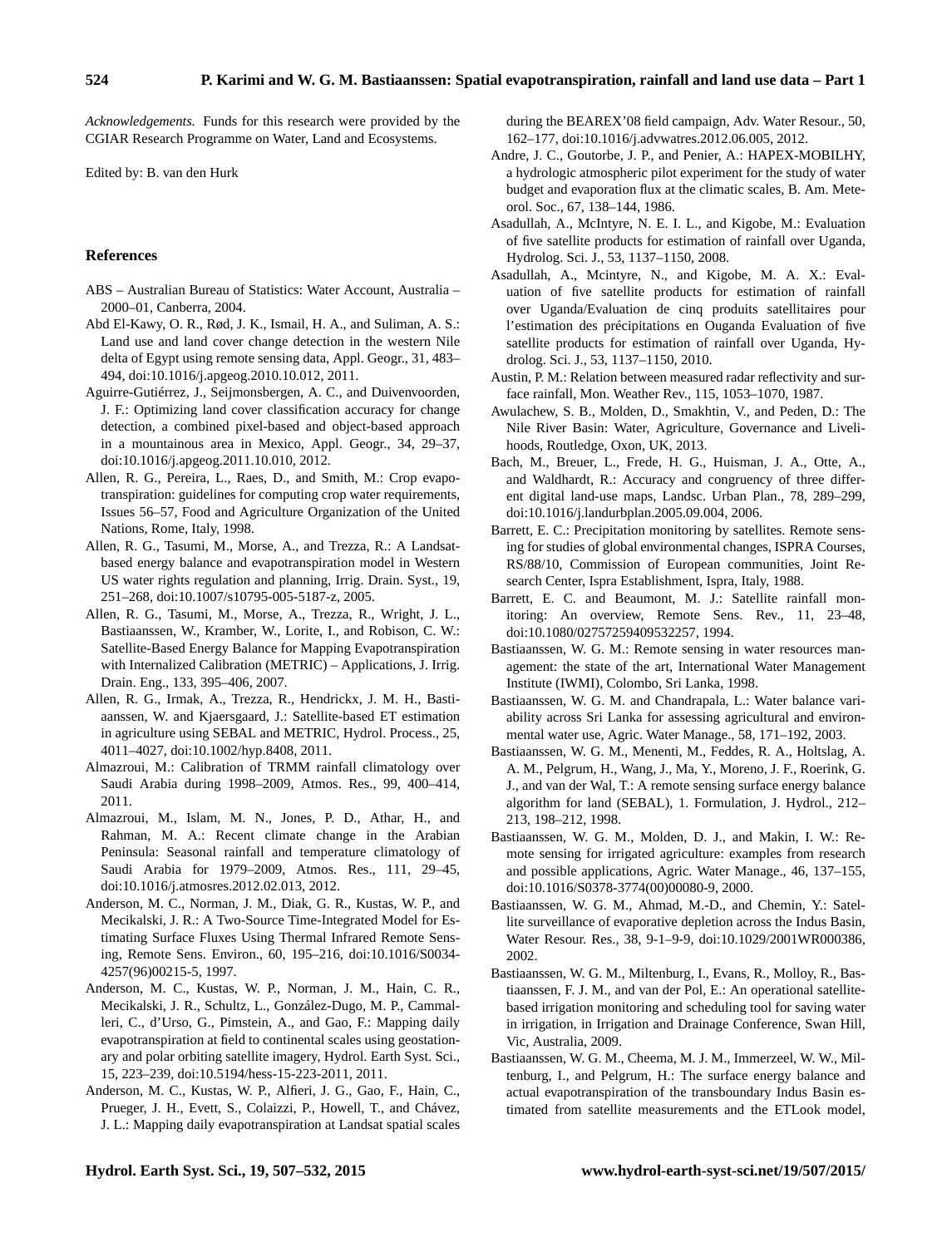*Acknowledgements.* Funds for this research were provided by the CGIAR Research Programme on Water, Land and Ecosystems.

Edited by: B. van den Hurk

### **References**

- ABS Australian Bureau of Statistics: Water Account, Australia 2000–01, Canberra, 2004.
- Abd El-Kawy, O. R., Rød, J. K., Ismail, H. A., and Suliman, A. S.: Land use and land cover change detection in the western Nile delta of Egypt using remote sensing data, Appl. Geogr., 31, 483– 494, doi[:10.1016/j.apgeog.2010.10.012,](http://dx.doi.org/10.1016/j.apgeog.2010.10.012) 2011.
- Aguirre-Gutiérrez, J., Seijmonsbergen, A. C., and Duivenvoorden, J. F.: Optimizing land cover classification accuracy for change detection, a combined pixel-based and object-based approach in a mountainous area in Mexico, Appl. Geogr., 34, 29–37, doi[:10.1016/j.apgeog.2011.10.010,](http://dx.doi.org/10.1016/j.apgeog.2011.10.010) 2012.
- Allen, R. G., Pereira, L., Raes, D., and Smith, M.: Crop evapotranspiration: guidelines for computing crop water requirements, Issues 56–57, Food and Agriculture Organization of the United Nations, Rome, Italy, 1998.
- Allen, R. G., Tasumi, M., Morse, A., and Trezza, R.: A Landsatbased energy balance and evapotranspiration model in Western US water rights regulation and planning, Irrig. Drain. Syst., 19, 251–268, doi[:10.1007/s10795-005-5187-z,](http://dx.doi.org/10.1007/s10795-005-5187-z) 2005.
- Allen, R. G., Tasumi, M., Morse, A., Trezza, R., Wright, J. L., Bastiaanssen, W., Kramber, W., Lorite, I., and Robison, C. W.: Satellite-Based Energy Balance for Mapping Evapotranspiration with Internalized Calibration (METRIC) – Applications, J. Irrig. Drain. Eng., 133, 395–406, 2007.
- Allen, R. G., Irmak, A., Trezza, R., Hendrickx, J. M. H., Bastiaanssen, W. and Kjaersgaard, J.: Satellite-based ET estimation in agriculture using SEBAL and METRIC, Hydrol. Process., 25, 4011–4027, doi[:10.1002/hyp.8408,](http://dx.doi.org/10.1002/hyp.8408) 2011.
- Almazroui, M.: Calibration of TRMM rainfall climatology over Saudi Arabia during 1998–2009, Atmos. Res., 99, 400–414, 2011.
- Almazroui, M., Islam, M. N., Jones, P. D., Athar, H., and Rahman, M. A.: Recent climate change in the Arabian Peninsula: Seasonal rainfall and temperature climatology of Saudi Arabia for 1979–2009, Atmos. Res., 111, 29–45, doi[:10.1016/j.atmosres.2012.02.013,](http://dx.doi.org/10.1016/j.atmosres.2012.02.013) 2012.
- Anderson, M. C., Norman, J. M., Diak, G. R., Kustas, W. P., and Mecikalski, J. R.: A Two-Source Time-Integrated Model for Estimating Surface Fluxes Using Thermal Infrared Remote Sensing, Remote Sens. Environ., 60, 195–216, doi[:10.1016/S0034-](http://dx.doi.org/10.1016/S0034-4257(96)00215-5) [4257\(96\)00215-5,](http://dx.doi.org/10.1016/S0034-4257(96)00215-5) 1997.
- Anderson, M. C., Kustas, W. P., Norman, J. M., Hain, C. R., Mecikalski, J. R., Schultz, L., González-Dugo, M. P., Cammalleri, C., d'Urso, G., Pimstein, A., and Gao, F.: Mapping daily evapotranspiration at field to continental scales using geostationary and polar orbiting satellite imagery, Hydrol. Earth Syst. Sci., 15, 223–239, doi[:10.5194/hess-15-223-2011,](http://dx.doi.org/10.5194/hess-15-223-2011) 2011.
- Anderson, M. C., Kustas, W. P., Alfieri, J. G., Gao, F., Hain, C., Prueger, J. H., Evett, S., Colaizzi, P., Howell, T., and Chávez, J. L.: Mapping daily evapotranspiration at Landsat spatial scales

during the BEAREX'08 field campaign, Adv. Water Resour., 50, 162–177, doi[:10.1016/j.advwatres.2012.06.005,](http://dx.doi.org/10.1016/j.advwatres.2012.06.005) 2012.

- Andre, J. C., Goutorbe, J. P., and Penier, A.: HAPEX-MOBILHY, a hydrologic atmospheric pilot experiment for the study of water budget and evaporation flux at the climatic scales, B. Am. Meteorol. Soc., 67, 138–144, 1986.
- Asadullah, A., McIntyre, N. E. I. L., and Kigobe, M.: Evaluation of five satellite products for estimation of rainfall over Uganda, Hydrolog. Sci. J., 53, 1137–1150, 2008.
- Asadullah, A., Mcintyre, N., and Kigobe, M. A. X.: Evaluation of five satellite products for estimation of rainfall over Uganda/Evaluation de cinq produits satellitaires pour l'estimation des précipitations en Ouganda Evaluation of five satellite products for estimation of rainfall over Uganda, Hydrolog. Sci. J., 53, 1137–1150, 2010.
- Austin, P. M.: Relation between measured radar reflectivity and surface rainfall, Mon. Weather Rev., 115, 1053–1070, 1987.
- Awulachew, S. B., Molden, D., Smakhtin, V., and Peden, D.: The Nile River Basin: Water, Agriculture, Governance and Livelihoods, Routledge, Oxon, UK, 2013.
- Bach, M., Breuer, L., Frede, H. G., Huisman, J. A., Otte, A., and Waldhardt, R.: Accuracy and congruency of three different digital land-use maps, Landsc. Urban Plan., 78, 289–299, doi[:10.1016/j.landurbplan.2005.09.004,](http://dx.doi.org/10.1016/j.landurbplan.2005.09.004) 2006.
- Barrett, E. C.: Precipitation monitoring by satellites. Remote sensing for studies of global environmental changes, ISPRA Courses, RS/88/10, Commission of European communities, Joint Research Center, Ispra Establishment, Ispra, Italy, 1988.
- Barrett, E. C. and Beaumont, M. J.: Satellite rainfall monitoring: An overview, Remote Sens. Rev., 11, 23–48, doi[:10.1080/02757259409532257,](http://dx.doi.org/10.1080/02757259409532257) 1994.
- Bastiaanssen, W. G. M.: Remote sensing in water resources management: the state of the art, International Water Management Institute (IWMI), Colombo, Sri Lanka, 1998.
- Bastiaanssen, W. G. M. and Chandrapala, L.: Water balance variability across Sri Lanka for assessing agricultural and environmental water use, Agric. Water Manage., 58, 171–192, 2003.
- Bastiaanssen, W. G. M., Menenti, M., Feddes, R. A., Holtslag, A. A. M., Pelgrum, H., Wang, J., Ma, Y., Moreno, J. F., Roerink, G. J., and van der Wal, T.: A remote sensing surface energy balance algorithm for land (SEBAL), 1. Formulation, J. Hydrol., 212– 213, 198–212, 1998.
- Bastiaanssen, W. G. M., Molden, D. J., and Makin, I. W.: Remote sensing for irrigated agriculture: examples from research and possible applications, Agric. Water Manage., 46, 137–155, doi[:10.1016/S0378-3774\(00\)00080-9,](http://dx.doi.org/10.1016/S0378-3774(00)00080-9) 2000.
- Bastiaanssen, W. G. M., Ahmad, M.-D., and Chemin, Y.: Satellite surveillance of evaporative depletion across the Indus Basin, Water Resour. Res., 38, 9-1–9-9, doi[:10.1029/2001WR000386,](http://dx.doi.org/10.1029/2001WR000386) 2002.
- Bastiaanssen, W. G. M., Miltenburg, I., Evans, R., Molloy, R., Bastiaanssen, F. J. M., and van der Pol, E.: An operational satellitebased irrigation monitoring and scheduling tool for saving water in irrigation, in Irrigation and Drainage Conference, Swan Hill, Vic, Australia, 2009.
- Bastiaanssen, W. G. M., Cheema, M. J. M., Immerzeel, W. W., Miltenburg, I., and Pelgrum, H.: The surface energy balance and actual evapotranspiration of the transboundary Indus Basin estimated from satellite measurements and the ETLook model,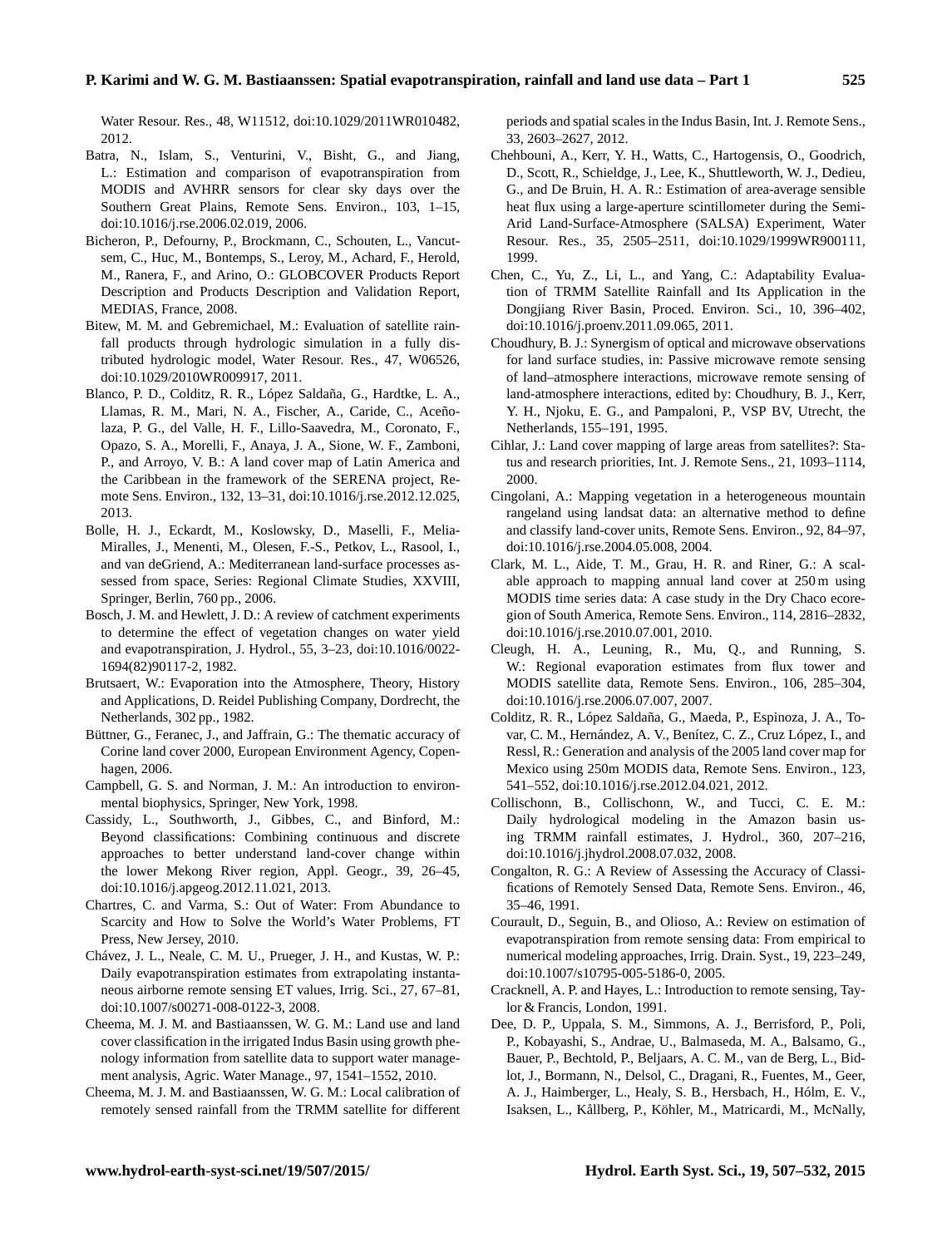Water Resour. Res., 48, W11512, doi[:10.1029/2011WR010482,](http://dx.doi.org/10.1029/2011WR010482) 2012.

- Batra, N., Islam, S., Venturini, V., Bisht, G., and Jiang, L.: Estimation and comparison of evapotranspiration from MODIS and AVHRR sensors for clear sky days over the Southern Great Plains, Remote Sens. Environ., 103, 1–15, doi[:10.1016/j.rse.2006.02.019,](http://dx.doi.org/10.1016/j.rse.2006.02.019) 2006.
- Bicheron, P., Defourny, P., Brockmann, C., Schouten, L., Vancutsem, C., Huc, M., Bontemps, S., Leroy, M., Achard, F., Herold, M., Ranera, F., and Arino, O.: GLOBCOVER Products Report Description and Products Description and Validation Report, MEDIAS, France, 2008.
- Bitew, M. M. and Gebremichael, M.: Evaluation of satellite rainfall products through hydrologic simulation in a fully distributed hydrologic model, Water Resour. Res., 47, W06526, doi[:10.1029/2010WR009917,](http://dx.doi.org/10.1029/2010WR009917) 2011.
- Blanco, P. D., Colditz, R. R., López Saldaña, G., Hardtke, L. A., Llamas, R. M., Mari, N. A., Fischer, A., Caride, C., Aceñolaza, P. G., del Valle, H. F., Lillo-Saavedra, M., Coronato, F., Opazo, S. A., Morelli, F., Anaya, J. A., Sione, W. F., Zamboni, P., and Arroyo, V. B.: A land cover map of Latin America and the Caribbean in the framework of the SERENA project, Remote Sens. Environ., 132, 13–31, doi[:10.1016/j.rse.2012.12.025,](http://dx.doi.org/10.1016/j.rse.2012.12.025) 2013.
- Bolle, H. J., Eckardt, M., Koslowsky, D., Maselli, F., Melia-Miralles, J., Menenti, M., Olesen, F.-S., Petkov, L., Rasool, I., and van deGriend, A.: Mediterranean land-surface processes assessed from space, Series: Regional Climate Studies, XXVIII, Springer, Berlin, 760 pp., 2006.
- Bosch, J. M. and Hewlett, J. D.: A review of catchment experiments to determine the effect of vegetation changes on water yield and evapotranspiration, J. Hydrol., 55, 3–23, doi[:10.1016/0022-](http://dx.doi.org/10.1016/0022-1694(82)90117-2) [1694\(82\)90117-2,](http://dx.doi.org/10.1016/0022-1694(82)90117-2) 1982.
- Brutsaert, W.: Evaporation into the Atmosphere, Theory, History and Applications, D. Reidel Publishing Company, Dordrecht, the Netherlands, 302 pp., 1982.
- Büttner, G., Feranec, J., and Jaffrain, G.: The thematic accuracy of Corine land cover 2000, European Environment Agency, Copenhagen, 2006.
- Campbell, G. S. and Norman, J. M.: An introduction to environmental biophysics, Springer, New York, 1998.
- Cassidy, L., Southworth, J., Gibbes, C., and Binford, M.: Beyond classifications: Combining continuous and discrete approaches to better understand land-cover change within the lower Mekong River region, Appl. Geogr., 39, 26–45, doi[:10.1016/j.apgeog.2012.11.021,](http://dx.doi.org/10.1016/j.apgeog.2012.11.021) 2013.
- Chartres, C. and Varma, S.: Out of Water: From Abundance to Scarcity and How to Solve the World's Water Problems, FT Press, New Jersey, 2010.
- Chávez, J. L., Neale, C. M. U., Prueger, J. H., and Kustas, W. P.: Daily evapotranspiration estimates from extrapolating instantaneous airborne remote sensing ET values, Irrig. Sci., 27, 67–81, doi[:10.1007/s00271-008-0122-3,](http://dx.doi.org/10.1007/s00271-008-0122-3) 2008.
- Cheema, M. J. M. and Bastiaanssen, W. G. M.: Land use and land cover classification in the irrigated Indus Basin using growth phenology information from satellite data to support water management analysis, Agric. Water Manage., 97, 1541–1552, 2010.
- Cheema, M. J. M. and Bastiaanssen, W. G. M.: Local calibration of remotely sensed rainfall from the TRMM satellite for different

periods and spatial scales in the Indus Basin, Int. J. Remote Sens., 33, 2603–2627, 2012.

- Chehbouni, A., Kerr, Y. H., Watts, C., Hartogensis, O., Goodrich, D., Scott, R., Schieldge, J., Lee, K., Shuttleworth, W. J., Dedieu, G., and De Bruin, H. A. R.: Estimation of area-average sensible heat flux using a large-aperture scintillometer during the Semi-Arid Land-Surface-Atmosphere (SALSA) Experiment, Water Resour. Res., 35, 2505–2511, doi[:10.1029/1999WR900111,](http://dx.doi.org/10.1029/1999WR900111) 1999.
- Chen, C., Yu, Z., Li, L., and Yang, C.: Adaptability Evaluation of TRMM Satellite Rainfall and Its Application in the Dongjiang River Basin, Proced. Environ. Sci., 10, 396–402, doi[:10.1016/j.proenv.2011.09.065,](http://dx.doi.org/10.1016/j.proenv.2011.09.065) 2011.
- Choudhury, B. J.: Synergism of optical and microwave observations for land surface studies, in: Passive microwave remote sensing of land–atmosphere interactions, microwave remote sensing of land-atmosphere interactions, edited by: Choudhury, B. J., Kerr, Y. H., Njoku, E. G., and Pampaloni, P., VSP BV, Utrecht, the Netherlands, 155–191, 1995.
- Cihlar, J.: Land cover mapping of large areas from satellites?: Status and research priorities, Int. J. Remote Sens., 21, 1093–1114, 2000.
- Cingolani, A.: Mapping vegetation in a heterogeneous mountain rangeland using landsat data: an alternative method to define and classify land-cover units, Remote Sens. Environ., 92, 84–97, doi[:10.1016/j.rse.2004.05.008,](http://dx.doi.org/10.1016/j.rse.2004.05.008) 2004.
- Clark, M. L., Aide, T. M., Grau, H. R. and Riner, G.: A scalable approach to mapping annual land cover at 250 m using MODIS time series data: A case study in the Dry Chaco ecoregion of South America, Remote Sens. Environ., 114, 2816–2832, doi[:10.1016/j.rse.2010.07.001,](http://dx.doi.org/10.1016/j.rse.2010.07.001) 2010.
- Cleugh, H. A., Leuning, R., Mu, Q., and Running, S. W.: Regional evaporation estimates from flux tower and MODIS satellite data, Remote Sens. Environ., 106, 285–304, doi[:10.1016/j.rse.2006.07.007,](http://dx.doi.org/10.1016/j.rse.2006.07.007) 2007.
- Colditz, R. R., López Saldaña, G., Maeda, P., Espinoza, J. A., Tovar, C. M., Hernández, A. V., Benítez, C. Z., Cruz López, I., and Ressl, R.: Generation and analysis of the 2005 land cover map for Mexico using 250m MODIS data, Remote Sens. Environ., 123, 541–552, doi[:10.1016/j.rse.2012.04.021,](http://dx.doi.org/10.1016/j.rse.2012.04.021) 2012.
- Collischonn, B., Collischonn, W., and Tucci, C. E. M.: Daily hydrological modeling in the Amazon basin using TRMM rainfall estimates, J. Hydrol., 360, 207–216, doi[:10.1016/j.jhydrol.2008.07.032,](http://dx.doi.org/10.1016/j.jhydrol.2008.07.032) 2008.
- Congalton, R. G.: A Review of Assessing the Accuracy of Classifications of Remotely Sensed Data, Remote Sens. Environ., 46, 35–46, 1991.
- Courault, D., Seguin, B., and Olioso, A.: Review on estimation of evapotranspiration from remote sensing data: From empirical to numerical modeling approaches, Irrig. Drain. Syst., 19, 223–249, doi[:10.1007/s10795-005-5186-0,](http://dx.doi.org/10.1007/s10795-005-5186-0) 2005.
- Cracknell, A. P. and Hayes, L.: Introduction to remote sensing, Taylor & Francis, London, 1991.
- Dee, D. P., Uppala, S. M., Simmons, A. J., Berrisford, P., Poli, P., Kobayashi, S., Andrae, U., Balmaseda, M. A., Balsamo, G., Bauer, P., Bechtold, P., Beljaars, A. C. M., van de Berg, L., Bidlot, J., Bormann, N., Delsol, C., Dragani, R., Fuentes, M., Geer, A. J., Haimberger, L., Healy, S. B., Hersbach, H., Hólm, E. V., Isaksen, L., Kållberg, P., Köhler, M., Matricardi, M., McNally,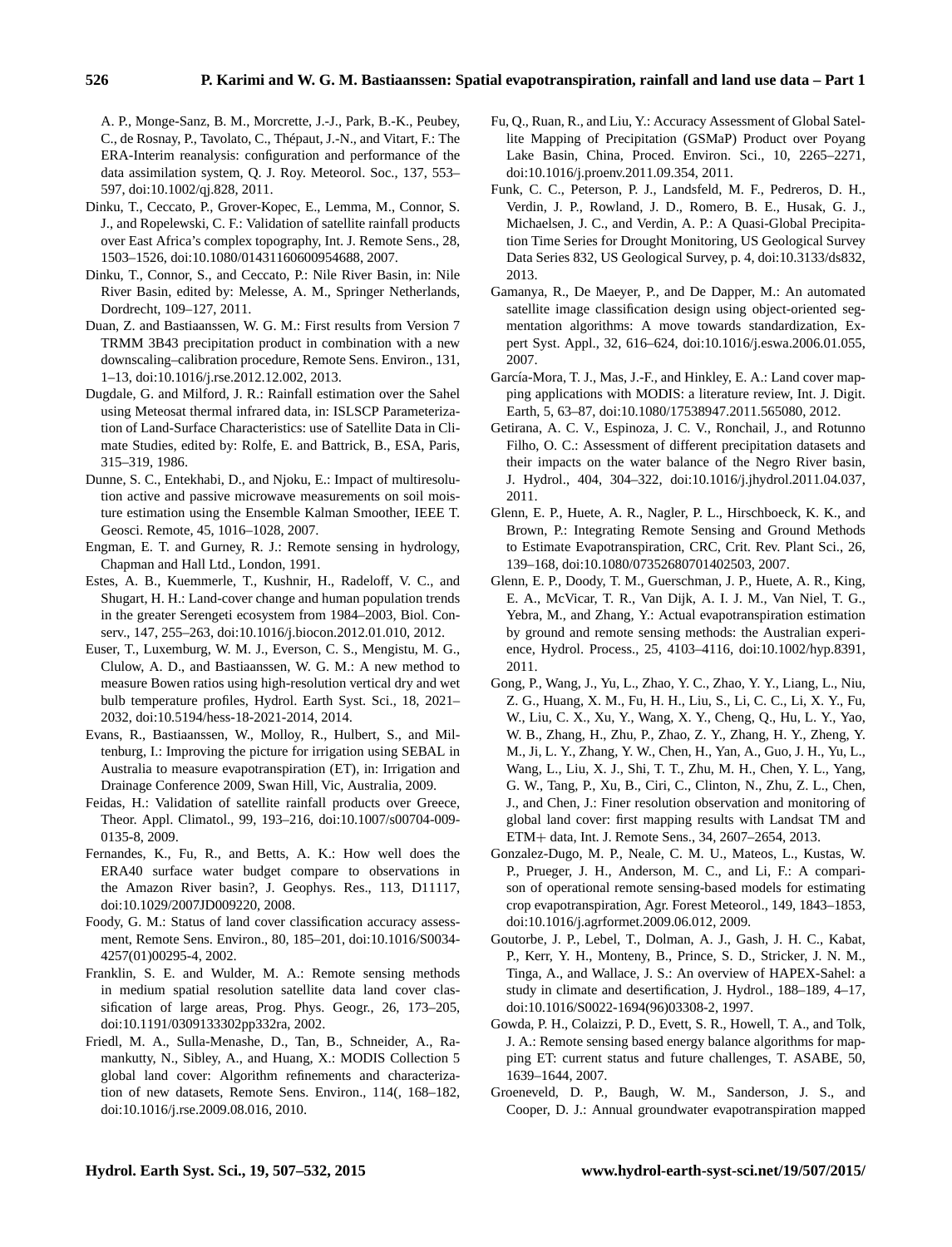A. P., Monge-Sanz, B. M., Morcrette, J.-J., Park, B.-K., Peubey, C., de Rosnay, P., Tavolato, C., Thépaut, J.-N., and Vitart, F.: The ERA-Interim reanalysis: configuration and performance of the data assimilation system, Q. J. Roy. Meteorol. Soc., 137, 553– 597, doi[:10.1002/qj.828,](http://dx.doi.org/10.1002/qj.828) 2011.

- Dinku, T., Ceccato, P., Grover-Kopec, E., Lemma, M., Connor, S. J., and Ropelewski, C. F.: Validation of satellite rainfall products over East Africa's complex topography, Int. J. Remote Sens., 28, 1503–1526, doi[:10.1080/01431160600954688,](http://dx.doi.org/10.1080/01431160600954688) 2007.
- Dinku, T., Connor, S., and Ceccato, P.: Nile River Basin, in: Nile River Basin, edited by: Melesse, A. M., Springer Netherlands, Dordrecht, 109–127, 2011.
- Duan, Z. and Bastiaanssen, W. G. M.: First results from Version 7 TRMM 3B43 precipitation product in combination with a new downscaling–calibration procedure, Remote Sens. Environ., 131, 1–13, doi[:10.1016/j.rse.2012.12.002,](http://dx.doi.org/10.1016/j.rse.2012.12.002) 2013.
- Dugdale, G. and Milford, J. R.: Rainfall estimation over the Sahel using Meteosat thermal infrared data, in: ISLSCP Parameterization of Land-Surface Characteristics: use of Satellite Data in Climate Studies, edited by: Rolfe, E. and Battrick, B., ESA, Paris, 315–319, 1986.
- Dunne, S. C., Entekhabi, D., and Njoku, E.: Impact of multiresolution active and passive microwave measurements on soil moisture estimation using the Ensemble Kalman Smoother, IEEE T. Geosci. Remote, 45, 1016–1028, 2007.
- Engman, E. T. and Gurney, R. J.: Remote sensing in hydrology, Chapman and Hall Ltd., London, 1991.
- Estes, A. B., Kuemmerle, T., Kushnir, H., Radeloff, V. C., and Shugart, H. H.: Land-cover change and human population trends in the greater Serengeti ecosystem from 1984–2003, Biol. Conserv., 147, 255–263, doi[:10.1016/j.biocon.2012.01.010,](http://dx.doi.org/10.1016/j.biocon.2012.01.010) 2012.
- Euser, T., Luxemburg, W. M. J., Everson, C. S., Mengistu, M. G., Clulow, A. D., and Bastiaanssen, W. G. M.: A new method to measure Bowen ratios using high-resolution vertical dry and wet bulb temperature profiles, Hydrol. Earth Syst. Sci., 18, 2021– 2032, doi[:10.5194/hess-18-2021-2014,](http://dx.doi.org/10.5194/hess-18-2021-2014) 2014.
- Evans, R., Bastiaanssen, W., Molloy, R., Hulbert, S., and Miltenburg, I.: Improving the picture for irrigation using SEBAL in Australia to measure evapotranspiration (ET), in: Irrigation and Drainage Conference 2009, Swan Hill, Vic, Australia, 2009.
- Feidas, H.: Validation of satellite rainfall products over Greece, Theor. Appl. Climatol., 99, 193–216, doi[:10.1007/s00704-009-](http://dx.doi.org/10.1007/s00704-009-0135-8) [0135-8,](http://dx.doi.org/10.1007/s00704-009-0135-8) 2009.
- Fernandes, K., Fu, R., and Betts, A. K.: How well does the ERA40 surface water budget compare to observations in the Amazon River basin?, J. Geophys. Res., 113, D11117, doi[:10.1029/2007JD009220,](http://dx.doi.org/10.1029/2007JD009220) 2008.
- Foody, G. M.: Status of land cover classification accuracy assessment, Remote Sens. Environ., 80, 185–201, doi[:10.1016/S0034-](http://dx.doi.org/10.1016/S0034-4257(01)00295-4) [4257\(01\)00295-4,](http://dx.doi.org/10.1016/S0034-4257(01)00295-4) 2002.
- Franklin, S. E. and Wulder, M. A.: Remote sensing methods in medium spatial resolution satellite data land cover classification of large areas, Prog. Phys. Geogr., 26, 173–205, doi[:10.1191/0309133302pp332ra,](http://dx.doi.org/10.1191/0309133302pp332ra) 2002.
- Friedl, M. A., Sulla-Menashe, D., Tan, B., Schneider, A., Ramankutty, N., Sibley, A., and Huang, X.: MODIS Collection 5 global land cover: Algorithm refinements and characterization of new datasets, Remote Sens. Environ., 114(, 168–182, doi[:10.1016/j.rse.2009.08.016,](http://dx.doi.org/10.1016/j.rse.2009.08.016) 2010.
- Fu, Q., Ruan, R., and Liu, Y.: Accuracy Assessment of Global Satellite Mapping of Precipitation (GSMaP) Product over Poyang Lake Basin, China, Proced. Environ. Sci., 10, 2265–2271, doi[:10.1016/j.proenv.2011.09.354,](http://dx.doi.org/10.1016/j.proenv.2011.09.354) 2011.
- Funk, C. C., Peterson, P. J., Landsfeld, M. F., Pedreros, D. H., Verdin, J. P., Rowland, J. D., Romero, B. E., Husak, G. J., Michaelsen, J. C., and Verdin, A. P.: A Quasi-Global Precipitation Time Series for Drought Monitoring, US Geological Survey Data Series 832, US Geological Survey, p. 4, doi[:10.3133/ds832,](http://dx.doi.org/10.3133/ds832) 2013.
- Gamanya, R., De Maeyer, P., and De Dapper, M.: An automated satellite image classification design using object-oriented segmentation algorithms: A move towards standardization, Expert Syst. Appl., 32, 616–624, doi[:10.1016/j.eswa.2006.01.055,](http://dx.doi.org/10.1016/j.eswa.2006.01.055) 2007.
- García-Mora, T. J., Mas, J.-F., and Hinkley, E. A.: Land cover mapping applications with MODIS: a literature review, Int. J. Digit. Earth, 5, 63–87, doi[:10.1080/17538947.2011.565080,](http://dx.doi.org/10.1080/17538947.2011.565080) 2012.
- Getirana, A. C. V., Espinoza, J. C. V., Ronchail, J., and Rotunno Filho, O. C.: Assessment of different precipitation datasets and their impacts on the water balance of the Negro River basin, J. Hydrol., 404, 304–322, doi[:10.1016/j.jhydrol.2011.04.037,](http://dx.doi.org/10.1016/j.jhydrol.2011.04.037) 2011.
- Glenn, E. P., Huete, A. R., Nagler, P. L., Hirschboeck, K. K., and Brown, P.: Integrating Remote Sensing and Ground Methods to Estimate Evapotranspiration, CRC, Crit. Rev. Plant Sci., 26, 139–168, doi[:10.1080/07352680701402503,](http://dx.doi.org/10.1080/07352680701402503) 2007.
- Glenn, E. P., Doody, T. M., Guerschman, J. P., Huete, A. R., King, E. A., McVicar, T. R., Van Dijk, A. I. J. M., Van Niel, T. G., Yebra, M., and Zhang, Y.: Actual evapotranspiration estimation by ground and remote sensing methods: the Australian experience, Hydrol. Process., 25, 4103–4116, doi[:10.1002/hyp.8391,](http://dx.doi.org/10.1002/hyp.8391) 2011.
- Gong, P., Wang, J., Yu, L., Zhao, Y. C., Zhao, Y. Y., Liang, L., Niu, Z. G., Huang, X. M., Fu, H. H., Liu, S., Li, C. C., Li, X. Y., Fu, W., Liu, C. X., Xu, Y., Wang, X. Y., Cheng, Q., Hu, L. Y., Yao, W. B., Zhang, H., Zhu, P., Zhao, Z. Y., Zhang, H. Y., Zheng, Y. M., Ji, L. Y., Zhang, Y. W., Chen, H., Yan, A., Guo, J. H., Yu, L., Wang, L., Liu, X. J., Shi, T. T., Zhu, M. H., Chen, Y. L., Yang, G. W., Tang, P., Xu, B., Ciri, C., Clinton, N., Zhu, Z. L., Chen, J., and Chen, J.: Finer resolution observation and monitoring of global land cover: first mapping results with Landsat TM and ETM+ data, Int. J. Remote Sens., 34, 2607–2654, 2013.
- Gonzalez-Dugo, M. P., Neale, C. M. U., Mateos, L., Kustas, W. P., Prueger, J. H., Anderson, M. C., and Li, F.: A comparison of operational remote sensing-based models for estimating crop evapotranspiration, Agr. Forest Meteorol., 149, 1843–1853, doi[:10.1016/j.agrformet.2009.06.012,](http://dx.doi.org/10.1016/j.agrformet.2009.06.012) 2009.
- Goutorbe, J. P., Lebel, T., Dolman, A. J., Gash, J. H. C., Kabat, P., Kerr, Y. H., Monteny, B., Prince, S. D., Stricker, J. N. M., Tinga, A., and Wallace, J. S.: An overview of HAPEX-Sahel: a study in climate and desertification, J. Hydrol., 188–189, 4–17, doi[:10.1016/S0022-1694\(96\)03308-2,](http://dx.doi.org/10.1016/S0022-1694(96)03308-2) 1997.
- Gowda, P. H., Colaizzi, P. D., Evett, S. R., Howell, T. A., and Tolk, J. A.: Remote sensing based energy balance algorithms for mapping ET: current status and future challenges, T. ASABE, 50, 1639–1644, 2007.
- Groeneveld, D. P., Baugh, W. M., Sanderson, J. S., and Cooper, D. J.: Annual groundwater evapotranspiration mapped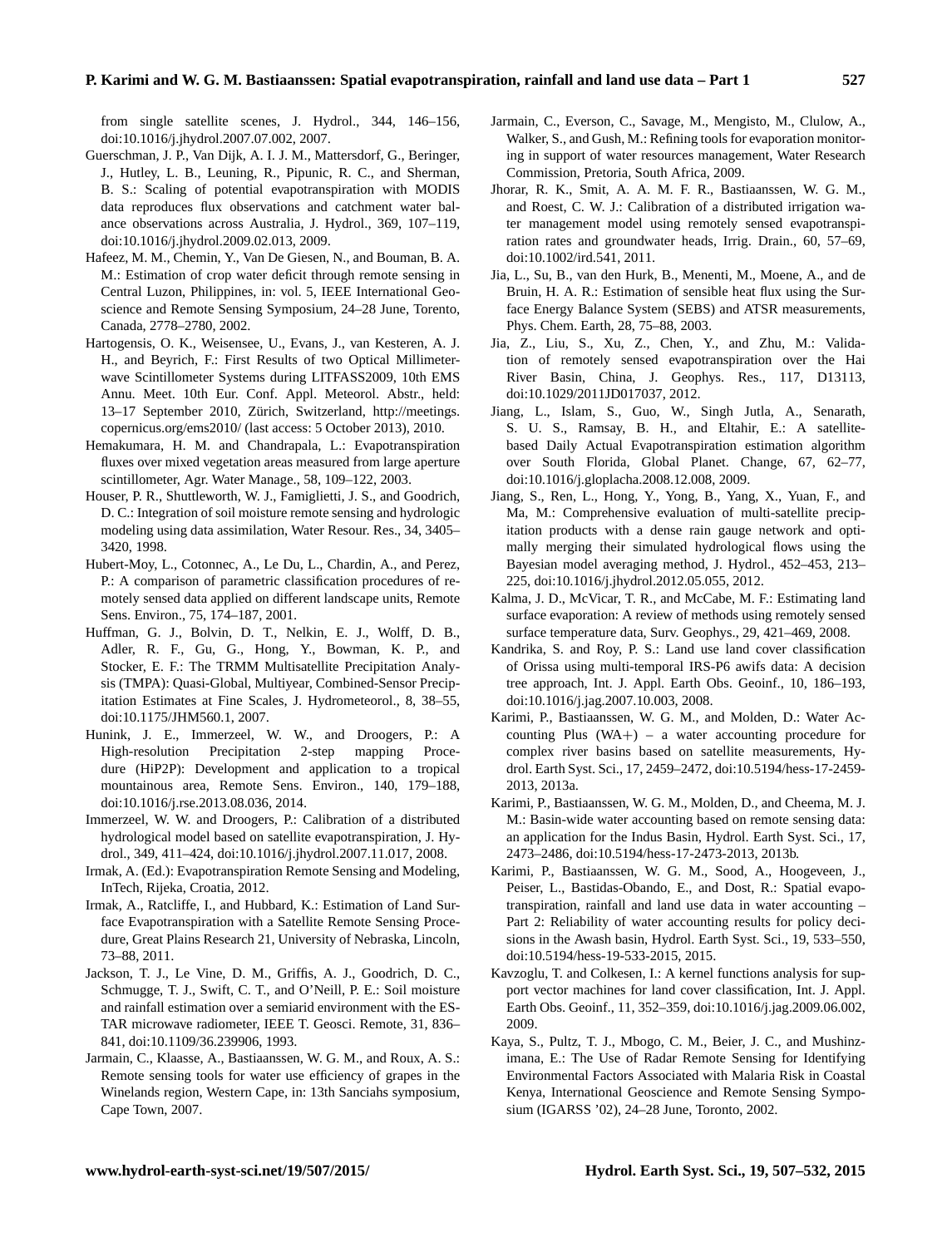from single satellite scenes, J. Hydrol., 344, 146–156, doi[:10.1016/j.jhydrol.2007.07.002,](http://dx.doi.org/10.1016/j.jhydrol.2007.07.002) 2007.

- Guerschman, J. P., Van Dijk, A. I. J. M., Mattersdorf, G., Beringer, J., Hutley, L. B., Leuning, R., Pipunic, R. C., and Sherman, B. S.: Scaling of potential evapotranspiration with MODIS data reproduces flux observations and catchment water balance observations across Australia, J. Hydrol., 369, 107–119, doi[:10.1016/j.jhydrol.2009.02.013,](http://dx.doi.org/10.1016/j.jhydrol.2009.02.013) 2009.
- Hafeez, M. M., Chemin, Y., Van De Giesen, N., and Bouman, B. A. M.: Estimation of crop water deficit through remote sensing in Central Luzon, Philippines, in: vol. 5, IEEE International Geoscience and Remote Sensing Symposium, 24–28 June, Torento, Canada, 2778–2780, 2002.
- Hartogensis, O. K., Weisensee, U., Evans, J., van Kesteren, A. J. H., and Beyrich, F.: First Results of two Optical Millimeterwave Scintillometer Systems during LITFASS2009, 10th EMS Annu. Meet. 10th Eur. Conf. Appl. Meteorol. Abstr., held: 13–17 September 2010, Zürich, Switzerland, [http://meetings.](http://meetings.copernicus.org/ems2010/) [copernicus.org/ems2010/](http://meetings.copernicus.org/ems2010/) (last access: 5 October 2013), 2010.
- Hemakumara, H. M. and Chandrapala, L.: Evapotranspiration fluxes over mixed vegetation areas measured from large aperture scintillometer, Agr. Water Manage., 58, 109–122, 2003.
- Houser, P. R., Shuttleworth, W. J., Famiglietti, J. S., and Goodrich, D. C.: Integration of soil moisture remote sensing and hydrologic modeling using data assimilation, Water Resour. Res., 34, 3405– 3420, 1998.
- Hubert-Moy, L., Cotonnec, A., Le Du, L., Chardin, A., and Perez, P.: A comparison of parametric classification procedures of remotely sensed data applied on different landscape units, Remote Sens. Environ., 75, 174–187, 2001.
- Huffman, G. J., Bolvin, D. T., Nelkin, E. J., Wolff, D. B., Adler, R. F., Gu, G., Hong, Y., Bowman, K. P., and Stocker, E. F.: The TRMM Multisatellite Precipitation Analysis (TMPA): Quasi-Global, Multiyear, Combined-Sensor Precipitation Estimates at Fine Scales, J. Hydrometeorol., 8, 38–55, doi[:10.1175/JHM560.1,](http://dx.doi.org/10.1175/JHM560.1) 2007.
- Hunink, J. E., Immerzeel, W. W., and Droogers, P.: A High-resolution Precipitation 2-step mapping Procedure (HiP2P): Development and application to a tropical mountainous area, Remote Sens. Environ., 140, 179–188, doi[:10.1016/j.rse.2013.08.036,](http://dx.doi.org/10.1016/j.rse.2013.08.036) 2014.
- Immerzeel, W. W. and Droogers, P.: Calibration of a distributed hydrological model based on satellite evapotranspiration, J. Hydrol., 349, 411–424, doi[:10.1016/j.jhydrol.2007.11.017,](http://dx.doi.org/10.1016/j.jhydrol.2007.11.017) 2008.
- Irmak, A. (Ed.): Evapotranspiration Remote Sensing and Modeling, InTech, Rijeka, Croatia, 2012.
- Irmak, A., Ratcliffe, I., and Hubbard, K.: Estimation of Land Surface Evapotranspiration with a Satellite Remote Sensing Procedure, Great Plains Research 21, University of Nebraska, Lincoln, 73–88, 2011.
- Jackson, T. J., Le Vine, D. M., Griffis, A. J., Goodrich, D. C., Schmugge, T. J., Swift, C. T., and O'Neill, P. E.: Soil moisture and rainfall estimation over a semiarid environment with the ES-TAR microwave radiometer, IEEE T. Geosci. Remote, 31, 836– 841, doi[:10.1109/36.239906,](http://dx.doi.org/10.1109/36.239906) 1993.
- Jarmain, C., Klaasse, A., Bastiaanssen, W. G. M., and Roux, A. S.: Remote sensing tools for water use efficiency of grapes in the Winelands region, Western Cape, in: 13th Sanciahs symposium, Cape Town, 2007.
- Jarmain, C., Everson, C., Savage, M., Mengisto, M., Clulow, A., Walker, S., and Gush, M.: Refining tools for evaporation monitoring in support of water resources management, Water Research Commission, Pretoria, South Africa, 2009.
- Jhorar, R. K., Smit, A. A. M. F. R., Bastiaanssen, W. G. M., and Roest, C. W. J.: Calibration of a distributed irrigation water management model using remotely sensed evapotranspiration rates and groundwater heads, Irrig. Drain., 60, 57–69, doi[:10.1002/ird.541,](http://dx.doi.org/10.1002/ird.541) 2011.
- Jia, L., Su, B., van den Hurk, B., Menenti, M., Moene, A., and de Bruin, H. A. R.: Estimation of sensible heat flux using the Surface Energy Balance System (SEBS) and ATSR measurements, Phys. Chem. Earth, 28, 75–88, 2003.
- Jia, Z., Liu, S., Xu, Z., Chen, Y., and Zhu, M.: Validation of remotely sensed evapotranspiration over the Hai River Basin, China, J. Geophys. Res., 117, D13113, doi[:10.1029/2011JD017037,](http://dx.doi.org/10.1029/2011JD017037) 2012.
- Jiang, L., Islam, S., Guo, W., Singh Jutla, A., Senarath, S. U. S., Ramsay, B. H., and Eltahir, E.: A satellitebased Daily Actual Evapotranspiration estimation algorithm over South Florida, Global Planet. Change, 67, 62–77, doi[:10.1016/j.gloplacha.2008.12.008,](http://dx.doi.org/10.1016/j.gloplacha.2008.12.008) 2009.
- Jiang, S., Ren, L., Hong, Y., Yong, B., Yang, X., Yuan, F., and Ma, M.: Comprehensive evaluation of multi-satellite precipitation products with a dense rain gauge network and optimally merging their simulated hydrological flows using the Bayesian model averaging method, J. Hydrol., 452–453, 213– 225, doi[:10.1016/j.jhydrol.2012.05.055,](http://dx.doi.org/10.1016/j.jhydrol.2012.05.055) 2012.
- Kalma, J. D., McVicar, T. R., and McCabe, M. F.: Estimating land surface evaporation: A review of methods using remotely sensed surface temperature data, Surv. Geophys., 29, 421–469, 2008.
- Kandrika, S. and Roy, P. S.: Land use land cover classification of Orissa using multi-temporal IRS-P6 awifs data: A decision tree approach, Int. J. Appl. Earth Obs. Geoinf., 10, 186–193, doi[:10.1016/j.jag.2007.10.003,](http://dx.doi.org/10.1016/j.jag.2007.10.003) 2008.
- Karimi, P., Bastiaanssen, W. G. M., and Molden, D.: Water Accounting Plus  $(WA+)$  – a water accounting procedure for complex river basins based on satellite measurements, Hydrol. Earth Syst. Sci., 17, 2459–2472, doi[:10.5194/hess-17-2459-](http://dx.doi.org/10.5194/hess-17-2459-2013) [2013,](http://dx.doi.org/10.5194/hess-17-2459-2013) 2013a.
- Karimi, P., Bastiaanssen, W. G. M., Molden, D., and Cheema, M. J. M.: Basin-wide water accounting based on remote sensing data: an application for the Indus Basin, Hydrol. Earth Syst. Sci., 17, 2473–2486, doi[:10.5194/hess-17-2473-2013,](http://dx.doi.org/10.5194/hess-17-2473-2013) 2013b.
- Karimi, P., Bastiaanssen, W. G. M., Sood, A., Hoogeveen, J., Peiser, L., Bastidas-Obando, E., and Dost, R.: Spatial evapotranspiration, rainfall and land use data in water accounting – Part 2: Reliability of water accounting results for policy decisions in the Awash basin, Hydrol. Earth Syst. Sci., 19, 533–550, doi[:10.5194/hess-19-533-2015,](http://dx.doi.org/10.5194/hess-19-533-2015) 2015.
- Kavzoglu, T. and Colkesen, I.: A kernel functions analysis for support vector machines for land cover classification, Int. J. Appl. Earth Obs. Geoinf., 11, 352–359, doi[:10.1016/j.jag.2009.06.002,](http://dx.doi.org/10.1016/j.jag.2009.06.002) 2009.
- Kaya, S., Pultz, T. J., Mbogo, C. M., Beier, J. C., and Mushinzimana, E.: The Use of Radar Remote Sensing for Identifying Environmental Factors Associated with Malaria Risk in Coastal Kenya, International Geoscience and Remote Sensing Symposium (IGARSS '02), 24–28 June, Toronto, 2002.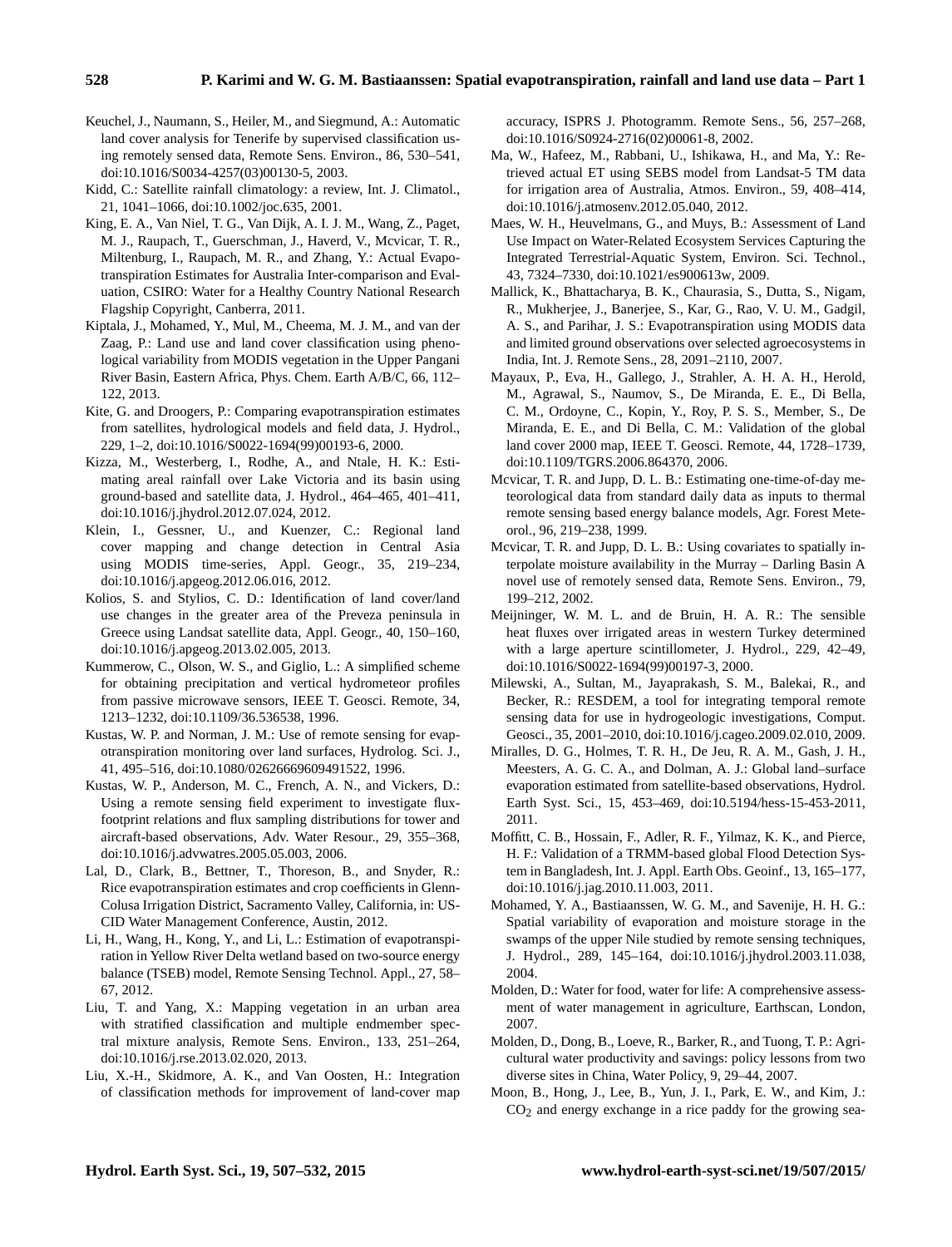- Keuchel, J., Naumann, S., Heiler, M., and Siegmund, A.: Automatic land cover analysis for Tenerife by supervised classification using remotely sensed data, Remote Sens. Environ., 86, 530–541, doi[:10.1016/S0034-4257\(03\)00130-5,](http://dx.doi.org/10.1016/S0034-4257(03)00130-5) 2003.
- Kidd, C.: Satellite rainfall climatology: a review, Int. J. Climatol., 21, 1041–1066, doi[:10.1002/joc.635,](http://dx.doi.org/10.1002/joc.635) 2001.
- King, E. A., Van Niel, T. G., Van Dijk, A. I. J. M., Wang, Z., Paget, M. J., Raupach, T., Guerschman, J., Haverd, V., Mcvicar, T. R., Miltenburg, I., Raupach, M. R., and Zhang, Y.: Actual Evapotranspiration Estimates for Australia Inter-comparison and Evaluation, CSIRO: Water for a Healthy Country National Research Flagship Copyright, Canberra, 2011.
- Kiptala, J., Mohamed, Y., Mul, M., Cheema, M. J. M., and van der Zaag, P.: Land use and land cover classification using phenological variability from MODIS vegetation in the Upper Pangani River Basin, Eastern Africa, Phys. Chem. Earth A/B/C, 66, 112– 122, 2013.
- Kite, G. and Droogers, P.: Comparing evapotranspiration estimates from satellites, hydrological models and field data, J. Hydrol., 229, 1–2, doi[:10.1016/S0022-1694\(99\)00193-6,](http://dx.doi.org/10.1016/S0022-1694(99)00193-6) 2000.
- Kizza, M., Westerberg, I., Rodhe, A., and Ntale, H. K.: Estimating areal rainfall over Lake Victoria and its basin using ground-based and satellite data, J. Hydrol., 464–465, 401–411, doi[:10.1016/j.jhydrol.2012.07.024,](http://dx.doi.org/10.1016/j.jhydrol.2012.07.024) 2012.
- Klein, I., Gessner, U., and Kuenzer, C.: Regional land cover mapping and change detection in Central Asia using MODIS time-series, Appl. Geogr., 35, 219–234, doi[:10.1016/j.apgeog.2012.06.016,](http://dx.doi.org/10.1016/j.apgeog.2012.06.016) 2012.
- Kolios, S. and Stylios, C. D.: Identification of land cover/land use changes in the greater area of the Preveza peninsula in Greece using Landsat satellite data, Appl. Geogr., 40, 150–160, doi[:10.1016/j.apgeog.2013.02.005,](http://dx.doi.org/10.1016/j.apgeog.2013.02.005) 2013.
- Kummerow, C., Olson, W. S., and Giglio, L.: A simplified scheme for obtaining precipitation and vertical hydrometeor profiles from passive microwave sensors, IEEE T. Geosci. Remote, 34, 1213–1232, doi[:10.1109/36.536538,](http://dx.doi.org/10.1109/36.536538) 1996.
- Kustas, W. P. and Norman, J. M.: Use of remote sensing for evapotranspiration monitoring over land surfaces, Hydrolog. Sci. J., 41, 495–516, doi[:10.1080/02626669609491522,](http://dx.doi.org/10.1080/02626669609491522) 1996.
- Kustas, W. P., Anderson, M. C., French, A. N., and Vickers, D.: Using a remote sensing field experiment to investigate fluxfootprint relations and flux sampling distributions for tower and aircraft-based observations, Adv. Water Resour., 29, 355–368, doi[:10.1016/j.advwatres.2005.05.003,](http://dx.doi.org/10.1016/j.advwatres.2005.05.003) 2006.
- Lal, D., Clark, B., Bettner, T., Thoreson, B., and Snyder, R.: Rice evapotranspiration estimates and crop coefficients in Glenn-Colusa Irrigation District, Sacramento Valley, California, in: US-CID Water Management Conference, Austin, 2012.
- Li, H., Wang, H., Kong, Y., and Li, L.: Estimation of evapotranspiration in Yellow River Delta wetland based on two-source energy balance (TSEB) model, Remote Sensing Technol. Appl., 27, 58– 67, 2012.
- Liu, T. and Yang, X.: Mapping vegetation in an urban area with stratified classification and multiple endmember spectral mixture analysis, Remote Sens. Environ., 133, 251–264, doi[:10.1016/j.rse.2013.02.020,](http://dx.doi.org/10.1016/j.rse.2013.02.020) 2013.
- Liu, X.-H., Skidmore, A. K., and Van Oosten, H.: Integration of classification methods for improvement of land-cover map

accuracy, ISPRS J. Photogramm. Remote Sens., 56, 257–268, doi[:10.1016/S0924-2716\(02\)00061-8,](http://dx.doi.org/10.1016/S0924-2716(02)00061-8) 2002.

- Ma, W., Hafeez, M., Rabbani, U., Ishikawa, H., and Ma, Y.: Retrieved actual ET using SEBS model from Landsat-5 TM data for irrigation area of Australia, Atmos. Environ., 59, 408–414, doi[:10.1016/j.atmosenv.2012.05.040,](http://dx.doi.org/10.1016/j.atmosenv.2012.05.040) 2012.
- Maes, W. H., Heuvelmans, G., and Muys, B.: Assessment of Land Use Impact on Water-Related Ecosystem Services Capturing the Integrated Terrestrial-Aquatic System, Environ. Sci. Technol., 43, 7324–7330, doi[:10.1021/es900613w,](http://dx.doi.org/10.1021/es900613w) 2009.
- Mallick, K., Bhattacharya, B. K., Chaurasia, S., Dutta, S., Nigam, R., Mukherjee, J., Banerjee, S., Kar, G., Rao, V. U. M., Gadgil, A. S., and Parihar, J. S.: Evapotranspiration using MODIS data and limited ground observations over selected agroecosystems in India, Int. J. Remote Sens., 28, 2091–2110, 2007.
- Mayaux, P., Eva, H., Gallego, J., Strahler, A. H. A. H., Herold, M., Agrawal, S., Naumov, S., De Miranda, E. E., Di Bella, C. M., Ordoyne, C., Kopin, Y., Roy, P. S. S., Member, S., De Miranda, E. E., and Di Bella, C. M.: Validation of the global land cover 2000 map, IEEE T. Geosci. Remote, 44, 1728–1739, doi[:10.1109/TGRS.2006.864370,](http://dx.doi.org/10.1109/TGRS.2006.864370) 2006.
- Mcvicar, T. R. and Jupp, D. L. B.: Estimating one-time-of-day meteorological data from standard daily data as inputs to thermal remote sensing based energy balance models, Agr. Forest Meteorol., 96, 219–238, 1999.
- Mcvicar, T. R. and Jupp, D. L. B.: Using covariates to spatially interpolate moisture availability in the Murray – Darling Basin A novel use of remotely sensed data, Remote Sens. Environ., 79, 199–212, 2002.
- Meijninger, W. M. L. and de Bruin, H. A. R.: The sensible heat fluxes over irrigated areas in western Turkey determined with a large aperture scintillometer, J. Hydrol., 229, 42–49, doi[:10.1016/S0022-1694\(99\)00197-3,](http://dx.doi.org/10.1016/S0022-1694(99)00197-3) 2000.
- Milewski, A., Sultan, M., Jayaprakash, S. M., Balekai, R., and Becker, R.: RESDEM, a tool for integrating temporal remote sensing data for use in hydrogeologic investigations, Comput. Geosci., 35, 2001–2010, doi[:10.1016/j.cageo.2009.02.010,](http://dx.doi.org/10.1016/j.cageo.2009.02.010) 2009.
- Miralles, D. G., Holmes, T. R. H., De Jeu, R. A. M., Gash, J. H., Meesters, A. G. C. A., and Dolman, A. J.: Global land–surface evaporation estimated from satellite-based observations, Hydrol. Earth Syst. Sci., 15, 453–469, doi[:10.5194/hess-15-453-2011,](http://dx.doi.org/10.5194/hess-15-453-2011) 2011.
- Moffitt, C. B., Hossain, F., Adler, R. F., Yilmaz, K. K., and Pierce, H. F.: Validation of a TRMM-based global Flood Detection System in Bangladesh, Int. J. Appl. Earth Obs. Geoinf., 13, 165–177, doi[:10.1016/j.jag.2010.11.003,](http://dx.doi.org/10.1016/j.jag.2010.11.003) 2011.
- Mohamed, Y. A., Bastiaanssen, W. G. M., and Savenije, H. H. G.: Spatial variability of evaporation and moisture storage in the swamps of the upper Nile studied by remote sensing techniques, J. Hydrol., 289, 145–164, doi[:10.1016/j.jhydrol.2003.11.038,](http://dx.doi.org/10.1016/j.jhydrol.2003.11.038) 2004.
- Molden, D.: Water for food, water for life: A comprehensive assessment of water management in agriculture, Earthscan, London, 2007.
- Molden, D., Dong, B., Loeve, R., Barker, R., and Tuong, T. P.: Agricultural water productivity and savings: policy lessons from two diverse sites in China, Water Policy, 9, 29–44, 2007.
- Moon, B., Hong, J., Lee, B., Yun, J. I., Park, E. W., and Kim, J.:  $CO<sub>2</sub>$  and energy exchange in a rice paddy for the growing sea-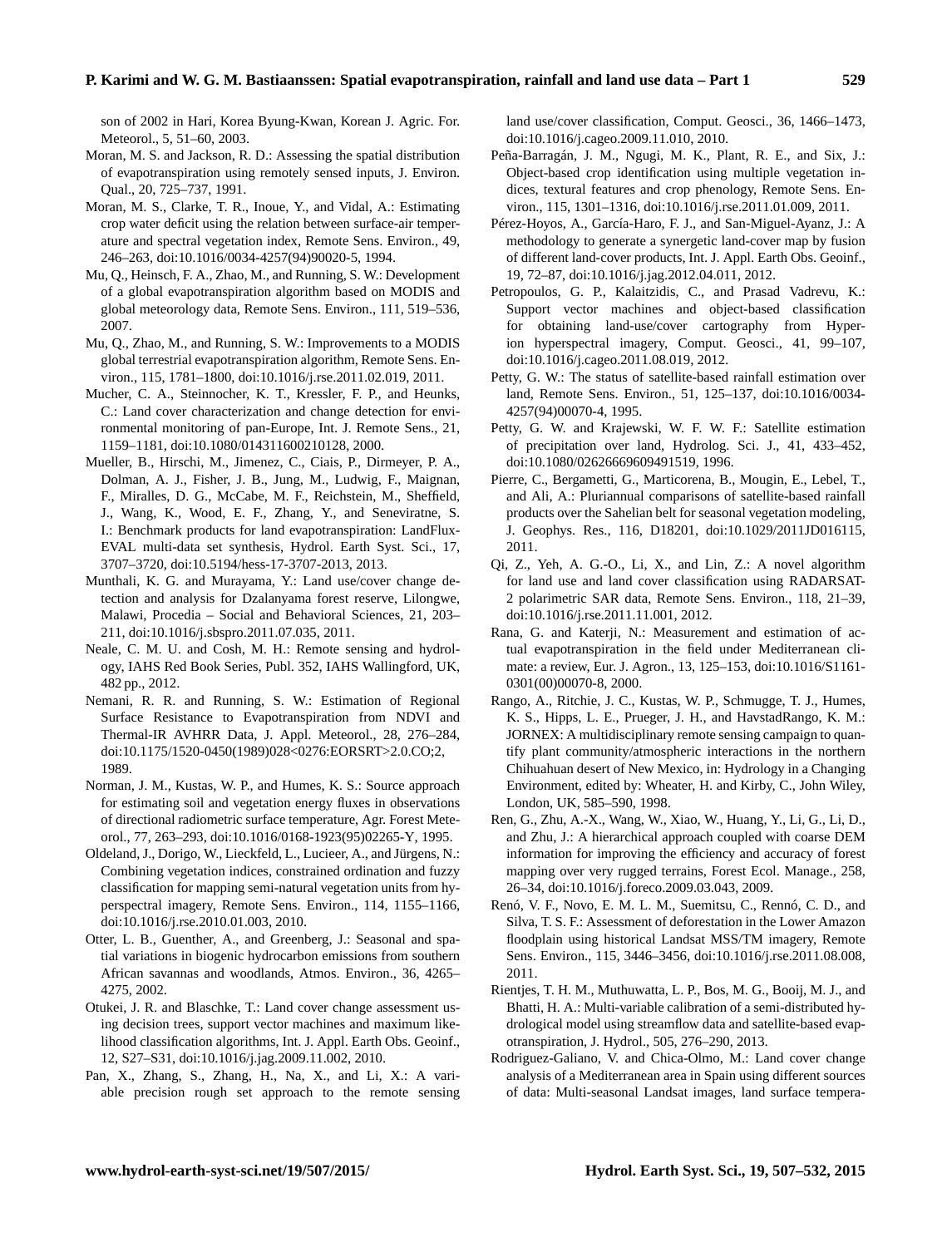son of 2002 in Hari, Korea Byung-Kwan, Korean J. Agric. For. Meteorol., 5, 51–60, 2003.

- Moran, M. S. and Jackson, R. D.: Assessing the spatial distribution of evapotranspiration using remotely sensed inputs, J. Environ. Qual., 20, 725–737, 1991.
- Moran, M. S., Clarke, T. R., Inoue, Y., and Vidal, A.: Estimating crop water deficit using the relation between surface-air temperature and spectral vegetation index, Remote Sens. Environ., 49, 246–263, doi[:10.1016/0034-4257\(94\)90020-5,](http://dx.doi.org/10.1016/0034-4257(94)90020-5) 1994.
- Mu, Q., Heinsch, F. A., Zhao, M., and Running, S. W.: Development of a global evapotranspiration algorithm based on MODIS and global meteorology data, Remote Sens. Environ., 111, 519–536, 2007.
- Mu, Q., Zhao, M., and Running, S. W.: Improvements to a MODIS global terrestrial evapotranspiration algorithm, Remote Sens. Environ., 115, 1781–1800, doi[:10.1016/j.rse.2011.02.019,](http://dx.doi.org/10.1016/j.rse.2011.02.019) 2011.
- Mucher, C. A., Steinnocher, K. T., Kressler, F. P., and Heunks, C.: Land cover characterization and change detection for environmental monitoring of pan-Europe, Int. J. Remote Sens., 21, 1159–1181, doi[:10.1080/014311600210128,](http://dx.doi.org/10.1080/014311600210128) 2000.
- Mueller, B., Hirschi, M., Jimenez, C., Ciais, P., Dirmeyer, P. A., Dolman, A. J., Fisher, J. B., Jung, M., Ludwig, F., Maignan, F., Miralles, D. G., McCabe, M. F., Reichstein, M., Sheffield, J., Wang, K., Wood, E. F., Zhang, Y., and Seneviratne, S. I.: Benchmark products for land evapotranspiration: LandFlux-EVAL multi-data set synthesis, Hydrol. Earth Syst. Sci., 17, 3707–3720, doi[:10.5194/hess-17-3707-2013,](http://dx.doi.org/10.5194/hess-17-3707-2013) 2013.
- Munthali, K. G. and Murayama, Y.: Land use/cover change detection and analysis for Dzalanyama forest reserve, Lilongwe, Malawi, Procedia – Social and Behavioral Sciences, 21, 203– 211, doi[:10.1016/j.sbspro.2011.07.035,](http://dx.doi.org/10.1016/j.sbspro.2011.07.035) 2011.
- Neale, C. M. U. and Cosh, M. H.: Remote sensing and hydrology, IAHS Red Book Series, Publ. 352, IAHS Wallingford, UK, 482 pp., 2012.
- Nemani, R. R. and Running, S. W.: Estimation of Regional Surface Resistance to Evapotranspiration from NDVI and Thermal-IR AVHRR Data, J. Appl. Meteorol., 28, 276–284, doi[:10.1175/1520-0450\(1989\)028<0276:EORSRT>2.0.CO;2,](http://dx.doi.org/10.1175/1520-0450(1989)028<0276:EORSRT>2.0.CO;2) 1989.
- Norman, J. M., Kustas, W. P., and Humes, K. S.: Source approach for estimating soil and vegetation energy fluxes in observations of directional radiometric surface temperature, Agr. Forest Meteorol., 77, 263–293, doi[:10.1016/0168-1923\(95\)02265-Y,](http://dx.doi.org/10.1016/0168-1923(95)02265-Y) 1995.
- Oldeland, J., Dorigo, W., Lieckfeld, L., Lucieer, A., and Jürgens, N.: Combining vegetation indices, constrained ordination and fuzzy classification for mapping semi-natural vegetation units from hyperspectral imagery, Remote Sens. Environ., 114, 1155–1166, doi[:10.1016/j.rse.2010.01.003,](http://dx.doi.org/10.1016/j.rse.2010.01.003) 2010.
- Otter, L. B., Guenther, A., and Greenberg, J.: Seasonal and spatial variations in biogenic hydrocarbon emissions from southern African savannas and woodlands, Atmos. Environ., 36, 4265– 4275, 2002.
- Otukei, J. R. and Blaschke, T.: Land cover change assessment using decision trees, support vector machines and maximum likelihood classification algorithms, Int. J. Appl. Earth Obs. Geoinf., 12, S27–S31, doi[:10.1016/j.jag.2009.11.002,](http://dx.doi.org/10.1016/j.jag.2009.11.002) 2010.
- Pan, X., Zhang, S., Zhang, H., Na, X., and Li, X.: A variable precision rough set approach to the remote sensing

land use/cover classification, Comput. Geosci., 36, 1466–1473, doi[:10.1016/j.cageo.2009.11.010,](http://dx.doi.org/10.1016/j.cageo.2009.11.010) 2010.

- Peña-Barragán, J. M., Ngugi, M. K., Plant, R. E., and Six, J.: Object-based crop identification using multiple vegetation indices, textural features and crop phenology, Remote Sens. Environ., 115, 1301–1316, doi[:10.1016/j.rse.2011.01.009,](http://dx.doi.org/10.1016/j.rse.2011.01.009) 2011.
- Pérez-Hoyos, A., García-Haro, F. J., and San-Miguel-Ayanz, J.: A methodology to generate a synergetic land-cover map by fusion of different land-cover products, Int. J. Appl. Earth Obs. Geoinf., 19, 72–87, doi[:10.1016/j.jag.2012.04.011,](http://dx.doi.org/10.1016/j.jag.2012.04.011) 2012.
- Petropoulos, G. P., Kalaitzidis, C., and Prasad Vadrevu, K.: Support vector machines and object-based classification for obtaining land-use/cover cartography from Hyperion hyperspectral imagery, Comput. Geosci., 41, 99–107, doi[:10.1016/j.cageo.2011.08.019,](http://dx.doi.org/10.1016/j.cageo.2011.08.019) 2012.
- Petty, G. W.: The status of satellite-based rainfall estimation over land, Remote Sens. Environ., 51, 125–137, doi[:10.1016/0034-](http://dx.doi.org/10.1016/0034-4257(94)00070-4) [4257\(94\)00070-4,](http://dx.doi.org/10.1016/0034-4257(94)00070-4) 1995.
- Petty, G. W. and Krajewski, W. F. W. F.: Satellite estimation of precipitation over land, Hydrolog. Sci. J., 41, 433–452, doi[:10.1080/02626669609491519,](http://dx.doi.org/10.1080/02626669609491519) 1996.
- Pierre, C., Bergametti, G., Marticorena, B., Mougin, E., Lebel, T., and Ali, A.: Pluriannual comparisons of satellite-based rainfall products over the Sahelian belt for seasonal vegetation modeling, J. Geophys. Res., 116, D18201, doi[:10.1029/2011JD016115,](http://dx.doi.org/10.1029/2011JD016115) 2011.
- Qi, Z., Yeh, A. G.-O., Li, X., and Lin, Z.: A novel algorithm for land use and land cover classification using RADARSAT-2 polarimetric SAR data, Remote Sens. Environ., 118, 21–39, doi[:10.1016/j.rse.2011.11.001,](http://dx.doi.org/10.1016/j.rse.2011.11.001) 2012.
- Rana, G. and Katerji, N.: Measurement and estimation of actual evapotranspiration in the field under Mediterranean climate: a review, Eur. J. Agron., 13, 125–153, doi[:10.1016/S1161-](http://dx.doi.org/10.1016/S1161-0301(00)00070-8) [0301\(00\)00070-8,](http://dx.doi.org/10.1016/S1161-0301(00)00070-8) 2000.
- Rango, A., Ritchie, J. C., Kustas, W. P., Schmugge, T. J., Humes, K. S., Hipps, L. E., Prueger, J. H., and HavstadRango, K. M.: JORNEX: A multidisciplinary remote sensing campaign to quantify plant community/atmospheric interactions in the northern Chihuahuan desert of New Mexico, in: Hydrology in a Changing Environment, edited by: Wheater, H. and Kirby, C., John Wiley, London, UK, 585–590, 1998.
- Ren, G., Zhu, A.-X., Wang, W., Xiao, W., Huang, Y., Li, G., Li, D., and Zhu, J.: A hierarchical approach coupled with coarse DEM information for improving the efficiency and accuracy of forest mapping over very rugged terrains, Forest Ecol. Manage., 258, 26–34, doi[:10.1016/j.foreco.2009.03.043,](http://dx.doi.org/10.1016/j.foreco.2009.03.043) 2009.
- Renó, V. F., Novo, E. M. L. M., Suemitsu, C., Rennó, C. D., and Silva, T. S. F.: Assessment of deforestation in the Lower Amazon floodplain using historical Landsat MSS/TM imagery, Remote Sens. Environ., 115, 3446–3456, doi[:10.1016/j.rse.2011.08.008,](http://dx.doi.org/10.1016/j.rse.2011.08.008) 2011.
- Rientjes, T. H. M., Muthuwatta, L. P., Bos, M. G., Booij, M. J., and Bhatti, H. A.: Multi-variable calibration of a semi-distributed hydrological model using streamflow data and satellite-based evapotranspiration, J. Hydrol., 505, 276–290, 2013.
- Rodriguez-Galiano, V. and Chica-Olmo, M.: Land cover change analysis of a Mediterranean area in Spain using different sources of data: Multi-seasonal Landsat images, land surface tempera-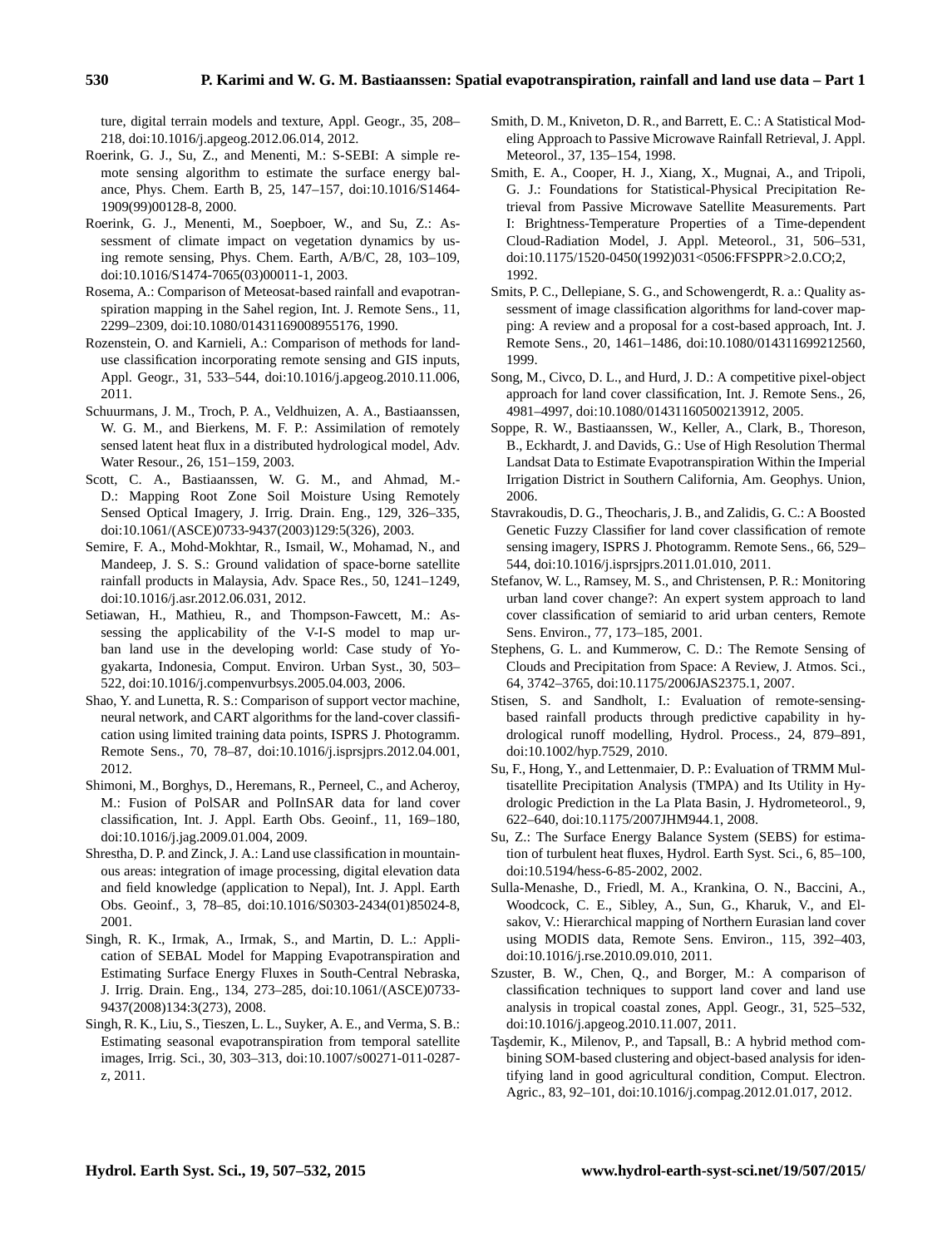ture, digital terrain models and texture, Appl. Geogr., 35, 208– 218, doi[:10.1016/j.apgeog.2012.06.014,](http://dx.doi.org/10.1016/j.apgeog.2012.06.014) 2012.

- Roerink, G. J., Su, Z., and Menenti, M.: S-SEBI: A simple remote sensing algorithm to estimate the surface energy balance, Phys. Chem. Earth B, 25, 147–157, doi[:10.1016/S1464-](http://dx.doi.org/10.1016/S1464-1909(99)00128-8) [1909\(99\)00128-8,](http://dx.doi.org/10.1016/S1464-1909(99)00128-8) 2000.
- Roerink, G. J., Menenti, M., Soepboer, W., and Su, Z.: Assessment of climate impact on vegetation dynamics by using remote sensing, Phys. Chem. Earth, A/B/C, 28, 103–109, doi[:10.1016/S1474-7065\(03\)00011-1,](http://dx.doi.org/10.1016/S1474-7065(03)00011-1) 2003.
- Rosema, A.: Comparison of Meteosat-based rainfall and evapotranspiration mapping in the Sahel region, Int. J. Remote Sens., 11, 2299–2309, doi[:10.1080/01431169008955176,](http://dx.doi.org/10.1080/01431169008955176) 1990.
- Rozenstein, O. and Karnieli, A.: Comparison of methods for landuse classification incorporating remote sensing and GIS inputs, Appl. Geogr., 31, 533–544, doi[:10.1016/j.apgeog.2010.11.006,](http://dx.doi.org/10.1016/j.apgeog.2010.11.006) 2011.
- Schuurmans, J. M., Troch, P. A., Veldhuizen, A. A., Bastiaanssen, W. G. M., and Bierkens, M. F. P.: Assimilation of remotely sensed latent heat flux in a distributed hydrological model, Adv. Water Resour., 26, 151–159, 2003.
- Scott, C. A., Bastiaanssen, W. G. M., and Ahmad, M.- D.: Mapping Root Zone Soil Moisture Using Remotely Sensed Optical Imagery, J. Irrig. Drain. Eng., 129, 326–335, doi[:10.1061/\(ASCE\)0733-9437\(2003\)129:5\(326\),](http://dx.doi.org/10.1061/(ASCE)0733-9437(2003)129:5(326)) 2003.
- Semire, F. A., Mohd-Mokhtar, R., Ismail, W., Mohamad, N., and Mandeep, J. S. S.: Ground validation of space-borne satellite rainfall products in Malaysia, Adv. Space Res., 50, 1241–1249, doi[:10.1016/j.asr.2012.06.031,](http://dx.doi.org/10.1016/j.asr.2012.06.031) 2012.
- Setiawan, H., Mathieu, R., and Thompson-Fawcett, M.: Assessing the applicability of the V-I-S model to map urban land use in the developing world: Case study of Yogyakarta, Indonesia, Comput. Environ. Urban Syst., 30, 503– 522, doi[:10.1016/j.compenvurbsys.2005.04.003,](http://dx.doi.org/10.1016/j.compenvurbsys.2005.04.003) 2006.
- Shao, Y. and Lunetta, R. S.: Comparison of support vector machine, neural network, and CART algorithms for the land-cover classification using limited training data points, ISPRS J. Photogramm. Remote Sens., 70, 78–87, doi[:10.1016/j.isprsjprs.2012.04.001,](http://dx.doi.org/10.1016/j.isprsjprs.2012.04.001) 2012.
- Shimoni, M., Borghys, D., Heremans, R., Perneel, C., and Acheroy, M.: Fusion of PolSAR and PolInSAR data for land cover classification, Int. J. Appl. Earth Obs. Geoinf., 11, 169–180, doi[:10.1016/j.jag.2009.01.004,](http://dx.doi.org/10.1016/j.jag.2009.01.004) 2009.
- Shrestha, D. P. and Zinck, J. A.: Land use classification in mountainous areas: integration of image processing, digital elevation data and field knowledge (application to Nepal), Int. J. Appl. Earth Obs. Geoinf., 3, 78–85, doi[:10.1016/S0303-2434\(01\)85024-8,](http://dx.doi.org/10.1016/S0303-2434(01)85024-8) 2001.
- Singh, R. K., Irmak, A., Irmak, S., and Martin, D. L.: Application of SEBAL Model for Mapping Evapotranspiration and Estimating Surface Energy Fluxes in South-Central Nebraska, J. Irrig. Drain. Eng., 134, 273–285, doi[:10.1061/\(ASCE\)0733-](http://dx.doi.org/10.1061/(ASCE)0733-9437(2008)134:3(273)) [9437\(2008\)134:3\(273\),](http://dx.doi.org/10.1061/(ASCE)0733-9437(2008)134:3(273)) 2008.
- Singh, R. K., Liu, S., Tieszen, L. L., Suyker, A. E., and Verma, S. B.: Estimating seasonal evapotranspiration from temporal satellite images, Irrig. Sci., 30, 303–313, doi[:10.1007/s00271-011-0287](http://dx.doi.org/10.1007/s00271-011-0287-z) [z,](http://dx.doi.org/10.1007/s00271-011-0287-z) 2011.
- Smith, D. M., Kniveton, D. R., and Barrett, E. C.: A Statistical Modeling Approach to Passive Microwave Rainfall Retrieval, J. Appl. Meteorol., 37, 135–154, 1998.
- Smith, E. A., Cooper, H. J., Xiang, X., Mugnai, A., and Tripoli, G. J.: Foundations for Statistical-Physical Precipitation Retrieval from Passive Microwave Satellite Measurements. Part I: Brightness-Temperature Properties of a Time-dependent Cloud-Radiation Model, J. Appl. Meteorol., 31, 506–531, doi[:10.1175/1520-0450\(1992\)031<0506:FFSPPR>2.0.CO;2,](http://dx.doi.org/10.1175/1520-0450(1992)031<0506:FFSPPR>2.0.CO;2) 1992.
- Smits, P. C., Dellepiane, S. G., and Schowengerdt, R. a.: Quality assessment of image classification algorithms for land-cover mapping: A review and a proposal for a cost-based approach, Int. J. Remote Sens., 20, 1461–1486, doi[:10.1080/014311699212560,](http://dx.doi.org/10.1080/014311699212560) 1999.
- Song, M., Civco, D. L., and Hurd, J. D.: A competitive pixel-object approach for land cover classification, Int. J. Remote Sens., 26, 4981–4997, doi[:10.1080/01431160500213912,](http://dx.doi.org/10.1080/01431160500213912) 2005.
- Soppe, R. W., Bastiaanssen, W., Keller, A., Clark, B., Thoreson, B., Eckhardt, J. and Davids, G.: Use of High Resolution Thermal Landsat Data to Estimate Evapotranspiration Within the Imperial Irrigation District in Southern California, Am. Geophys. Union, 2006.
- Stavrakoudis, D. G., Theocharis, J. B., and Zalidis, G. C.: A Boosted Genetic Fuzzy Classifier for land cover classification of remote sensing imagery, ISPRS J. Photogramm. Remote Sens., 66, 529– 544, doi[:10.1016/j.isprsjprs.2011.01.010,](http://dx.doi.org/10.1016/j.isprsjprs.2011.01.010) 2011.
- Stefanov, W. L., Ramsey, M. S., and Christensen, P. R.: Monitoring urban land cover change?: An expert system approach to land cover classification of semiarid to arid urban centers, Remote Sens. Environ., 77, 173–185, 2001.
- Stephens, G. L. and Kummerow, C. D.: The Remote Sensing of Clouds and Precipitation from Space: A Review, J. Atmos. Sci., 64, 3742–3765, doi[:10.1175/2006JAS2375.1,](http://dx.doi.org/10.1175/2006JAS2375.1) 2007.
- Stisen, S. and Sandholt, I.: Evaluation of remote-sensingbased rainfall products through predictive capability in hydrological runoff modelling, Hydrol. Process., 24, 879–891, doi[:10.1002/hyp.7529,](http://dx.doi.org/10.1002/hyp.7529) 2010.
- Su, F., Hong, Y., and Lettenmaier, D. P.: Evaluation of TRMM Multisatellite Precipitation Analysis (TMPA) and Its Utility in Hydrologic Prediction in the La Plata Basin, J. Hydrometeorol., 9, 622–640, doi[:10.1175/2007JHM944.1,](http://dx.doi.org/10.1175/2007JHM944.1) 2008.
- Su, Z.: The Surface Energy Balance System (SEBS) for estimation of turbulent heat fluxes, Hydrol. Earth Syst. Sci., 6, 85–100, doi[:10.5194/hess-6-85-2002,](http://dx.doi.org/10.5194/hess-6-85-2002) 2002.
- Sulla-Menashe, D., Friedl, M. A., Krankina, O. N., Baccini, A., Woodcock, C. E., Sibley, A., Sun, G., Kharuk, V., and Elsakov, V.: Hierarchical mapping of Northern Eurasian land cover using MODIS data, Remote Sens. Environ., 115, 392–403, doi[:10.1016/j.rse.2010.09.010,](http://dx.doi.org/10.1016/j.rse.2010.09.010) 2011.
- Szuster, B. W., Chen, Q., and Borger, M.: A comparison of classification techniques to support land cover and land use analysis in tropical coastal zones, Appl. Geogr., 31, 525–532, doi[:10.1016/j.apgeog.2010.11.007,](http://dx.doi.org/10.1016/j.apgeog.2010.11.007) 2011.
- Taşdemir, K., Milenov, P., and Tapsall, B.: A hybrid method combining SOM-based clustering and object-based analysis for identifying land in good agricultural condition, Comput. Electron. Agric., 83, 92–101, doi[:10.1016/j.compag.2012.01.017,](http://dx.doi.org/10.1016/j.compag.2012.01.017) 2012.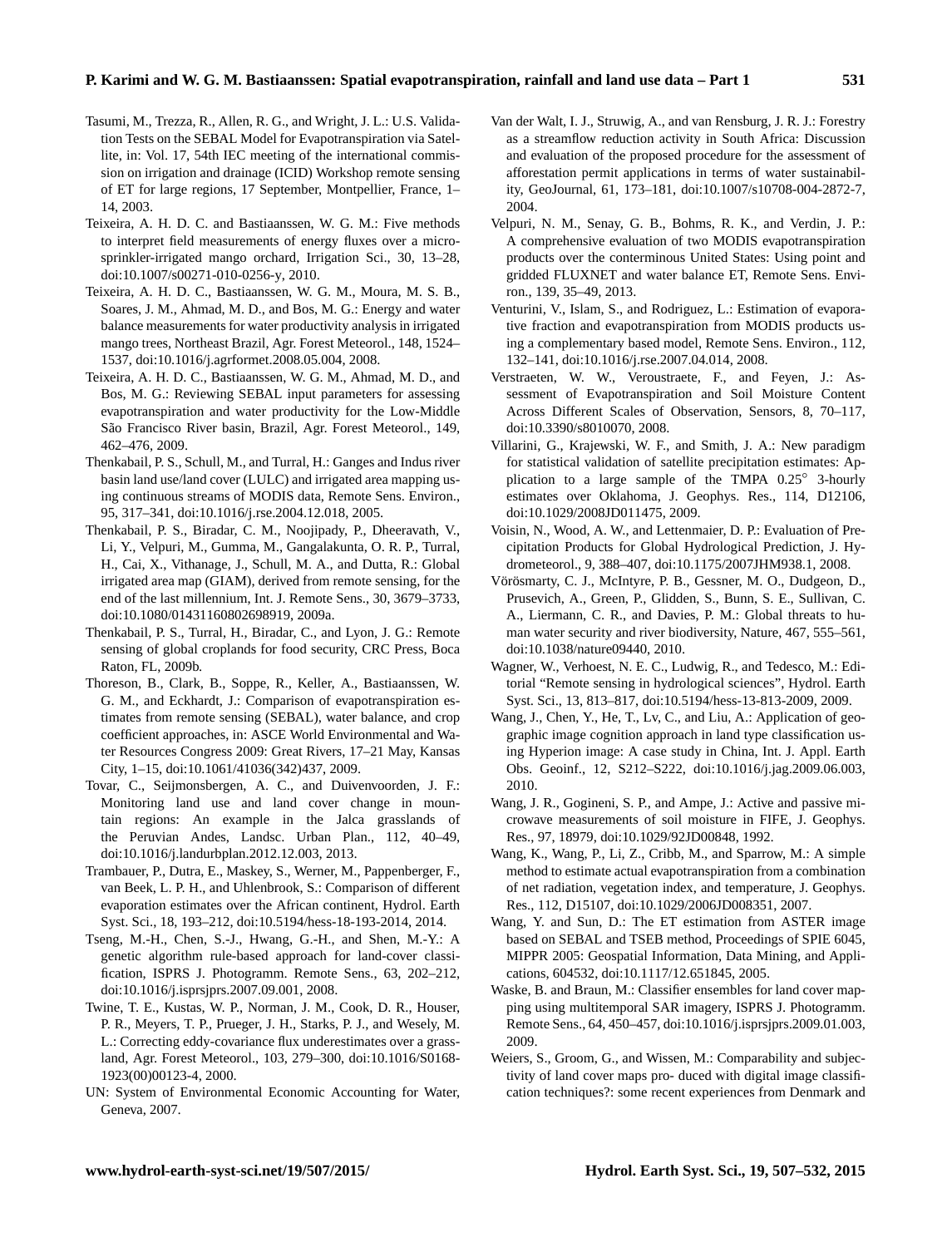- Tasumi, M., Trezza, R., Allen, R. G., and Wright, J. L.: U.S. Validation Tests on the SEBAL Model for Evapotranspiration via Satellite, in: Vol. 17, 54th IEC meeting of the international commission on irrigation and drainage (ICID) Workshop remote sensing of ET for large regions, 17 September, Montpellier, France, 1– 14, 2003.
- Teixeira, A. H. D. C. and Bastiaanssen, W. G. M.: Five methods to interpret field measurements of energy fluxes over a microsprinkler-irrigated mango orchard, Irrigation Sci., 30, 13–28, doi[:10.1007/s00271-010-0256-y,](http://dx.doi.org/10.1007/s00271-010-0256-y) 2010.
- Teixeira, A. H. D. C., Bastiaanssen, W. G. M., Moura, M. S. B., Soares, J. M., Ahmad, M. D., and Bos, M. G.: Energy and water balance measurements for water productivity analysis in irrigated mango trees, Northeast Brazil, Agr. Forest Meteorol., 148, 1524– 1537, doi[:10.1016/j.agrformet.2008.05.004,](http://dx.doi.org/10.1016/j.agrformet.2008.05.004) 2008.
- Teixeira, A. H. D. C., Bastiaanssen, W. G. M., Ahmad, M. D., and Bos, M. G.: Reviewing SEBAL input parameters for assessing evapotranspiration and water productivity for the Low-Middle São Francisco River basin, Brazil, Agr. Forest Meteorol., 149, 462–476, 2009.
- Thenkabail, P. S., Schull, M., and Turral, H.: Ganges and Indus river basin land use/land cover (LULC) and irrigated area mapping using continuous streams of MODIS data, Remote Sens. Environ., 95, 317–341, doi[:10.1016/j.rse.2004.12.018,](http://dx.doi.org/10.1016/j.rse.2004.12.018) 2005.
- Thenkabail, P. S., Biradar, C. M., Noojipady, P., Dheeravath, V., Li, Y., Velpuri, M., Gumma, M., Gangalakunta, O. R. P., Turral, H., Cai, X., Vithanage, J., Schull, M. A., and Dutta, R.: Global irrigated area map (GIAM), derived from remote sensing, for the end of the last millennium, Int. J. Remote Sens., 30, 3679–3733, doi[:10.1080/01431160802698919,](http://dx.doi.org/10.1080/01431160802698919) 2009a.
- Thenkabail, P. S., Turral, H., Biradar, C., and Lyon, J. G.: Remote sensing of global croplands for food security, CRC Press, Boca Raton, FL, 2009b.
- Thoreson, B., Clark, B., Soppe, R., Keller, A., Bastiaanssen, W. G. M., and Eckhardt, J.: Comparison of evapotranspiration estimates from remote sensing (SEBAL), water balance, and crop coefficient approaches, in: ASCE World Environmental and Water Resources Congress 2009: Great Rivers, 17–21 May, Kansas City, 1–15, doi[:10.1061/41036\(342\)437,](http://dx.doi.org/10.1061/41036(342)437) 2009.
- Tovar, C., Seijmonsbergen, A. C., and Duivenvoorden, J. F.: Monitoring land use and land cover change in mountain regions: An example in the Jalca grasslands of the Peruvian Andes, Landsc. Urban Plan., 112, 40–49, doi[:10.1016/j.landurbplan.2012.12.003,](http://dx.doi.org/10.1016/j.landurbplan.2012.12.003) 2013.
- Trambauer, P., Dutra, E., Maskey, S., Werner, M., Pappenberger, F., van Beek, L. P. H., and Uhlenbrook, S.: Comparison of different evaporation estimates over the African continent, Hydrol. Earth Syst. Sci., 18, 193–212, doi[:10.5194/hess-18-193-2014,](http://dx.doi.org/10.5194/hess-18-193-2014) 2014.
- Tseng, M.-H., Chen, S.-J., Hwang, G.-H., and Shen, M.-Y.: A genetic algorithm rule-based approach for land-cover classification, ISPRS J. Photogramm. Remote Sens., 63, 202–212, doi[:10.1016/j.isprsjprs.2007.09.001,](http://dx.doi.org/10.1016/j.isprsjprs.2007.09.001) 2008.
- Twine, T. E., Kustas, W. P., Norman, J. M., Cook, D. R., Houser, P. R., Meyers, T. P., Prueger, J. H., Starks, P. J., and Wesely, M. L.: Correcting eddy-covariance flux underestimates over a grassland, Agr. Forest Meteorol., 103, 279–300, doi[:10.1016/S0168-](http://dx.doi.org/10.1016/S0168-1923(00)00123-4) [1923\(00\)00123-4,](http://dx.doi.org/10.1016/S0168-1923(00)00123-4) 2000.
- UN: System of Environmental Economic Accounting for Water, Geneva, 2007.
- Van der Walt, I. J., Struwig, A., and van Rensburg, J. R. J.: Forestry as a streamflow reduction activity in South Africa: Discussion and evaluation of the proposed procedure for the assessment of afforestation permit applications in terms of water sustainability, GeoJournal, 61, 173–181, doi[:10.1007/s10708-004-2872-7,](http://dx.doi.org/10.1007/s10708-004-2872-7) 2004.
- Velpuri, N. M., Senay, G. B., Bohms, R. K., and Verdin, J. P.: A comprehensive evaluation of two MODIS evapotranspiration products over the conterminous United States: Using point and gridded FLUXNET and water balance ET, Remote Sens. Environ., 139, 35–49, 2013.
- Venturini, V., Islam, S., and Rodriguez, L.: Estimation of evaporative fraction and evapotranspiration from MODIS products using a complementary based model, Remote Sens. Environ., 112, 132–141, doi[:10.1016/j.rse.2007.04.014,](http://dx.doi.org/10.1016/j.rse.2007.04.014) 2008.
- Verstraeten, W. W., Veroustraete, F., and Feyen, J.: Assessment of Evapotranspiration and Soil Moisture Content Across Different Scales of Observation, Sensors, 8, 70–117, doi[:10.3390/s8010070,](http://dx.doi.org/10.3390/s8010070) 2008.
- Villarini, G., Krajewski, W. F., and Smith, J. A.: New paradigm for statistical validation of satellite precipitation estimates: Application to a large sample of the TMPA 0.25<sup>°</sup> 3-hourly estimates over Oklahoma, J. Geophys. Res., 114, D12106, doi[:10.1029/2008JD011475,](http://dx.doi.org/10.1029/2008JD011475) 2009.
- Voisin, N., Wood, A. W., and Lettenmaier, D. P.: Evaluation of Precipitation Products for Global Hydrological Prediction, J. Hydrometeorol., 9, 388–407, doi[:10.1175/2007JHM938.1,](http://dx.doi.org/10.1175/2007JHM938.1) 2008.
- Vörösmarty, C. J., McIntyre, P. B., Gessner, M. O., Dudgeon, D., Prusevich, A., Green, P., Glidden, S., Bunn, S. E., Sullivan, C. A., Liermann, C. R., and Davies, P. M.: Global threats to human water security and river biodiversity, Nature, 467, 555–561, doi[:10.1038/nature09440,](http://dx.doi.org/10.1038/nature09440) 2010.
- Wagner, W., Verhoest, N. E. C., Ludwig, R., and Tedesco, M.: Editorial "Remote sensing in hydrological sciences", Hydrol. Earth Syst. Sci., 13, 813–817, doi[:10.5194/hess-13-813-2009,](http://dx.doi.org/10.5194/hess-13-813-2009) 2009.
- Wang, J., Chen, Y., He, T., Lv, C., and Liu, A.: Application of geographic image cognition approach in land type classification using Hyperion image: A case study in China, Int. J. Appl. Earth Obs. Geoinf., 12, S212–S222, doi[:10.1016/j.jag.2009.06.003,](http://dx.doi.org/10.1016/j.jag.2009.06.003) 2010.
- Wang, J. R., Gogineni, S. P., and Ampe, J.: Active and passive microwave measurements of soil moisture in FIFE, J. Geophys. Res., 97, 18979, doi[:10.1029/92JD00848,](http://dx.doi.org/10.1029/92JD00848) 1992.
- Wang, K., Wang, P., Li, Z., Cribb, M., and Sparrow, M.: A simple method to estimate actual evapotranspiration from a combination of net radiation, vegetation index, and temperature, J. Geophys. Res., 112, D15107, doi[:10.1029/2006JD008351,](http://dx.doi.org/10.1029/2006JD008351) 2007.
- Wang, Y. and Sun, D.: The ET estimation from ASTER image based on SEBAL and TSEB method, Proceedings of SPIE 6045, MIPPR 2005: Geospatial Information, Data Mining, and Applications, 604532, doi[:10.1117/12.651845,](http://dx.doi.org/10.1117/12.651845) 2005.
- Waske, B. and Braun, M.: Classifier ensembles for land cover mapping using multitemporal SAR imagery, ISPRS J. Photogramm. Remote Sens., 64, 450–457, doi[:10.1016/j.isprsjprs.2009.01.003,](http://dx.doi.org/10.1016/j.isprsjprs.2009.01.003) 2009.
- Weiers, S., Groom, G., and Wissen, M.: Comparability and subjectivity of land cover maps pro- duced with digital image classification techniques?: some recent experiences from Denmark and